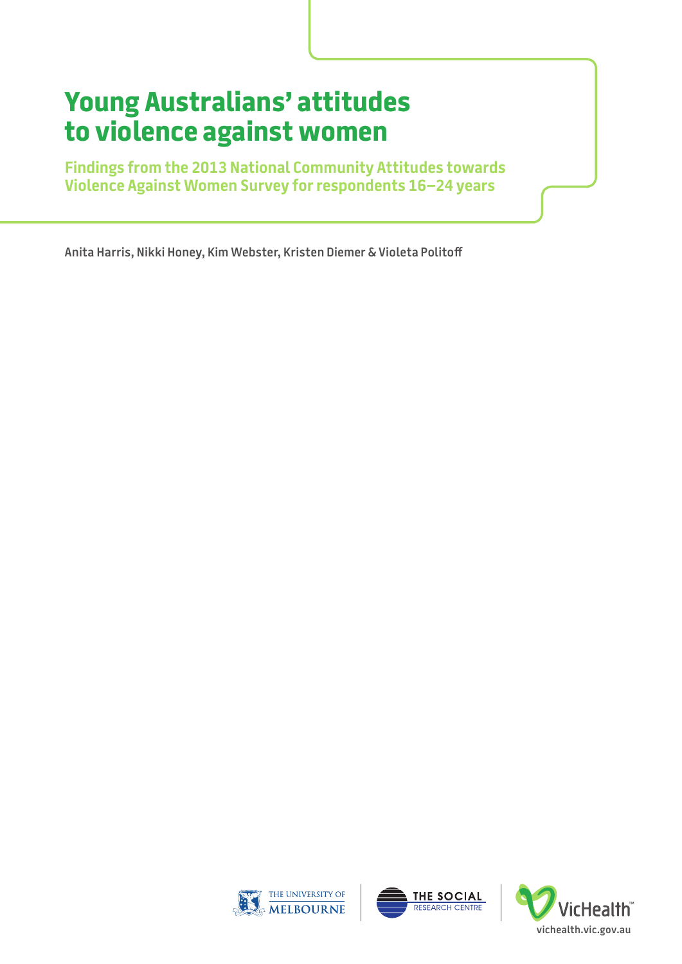# **Young Australians' attitudes to violence against women**

**Findings from the 2013 National Community Attitudes towards Violence Against Women Survey for respondents 16–24 years**

**Anita Harris, Nikki Honey, Kim Webster, Kristen Diemer & Violeta Politoff**





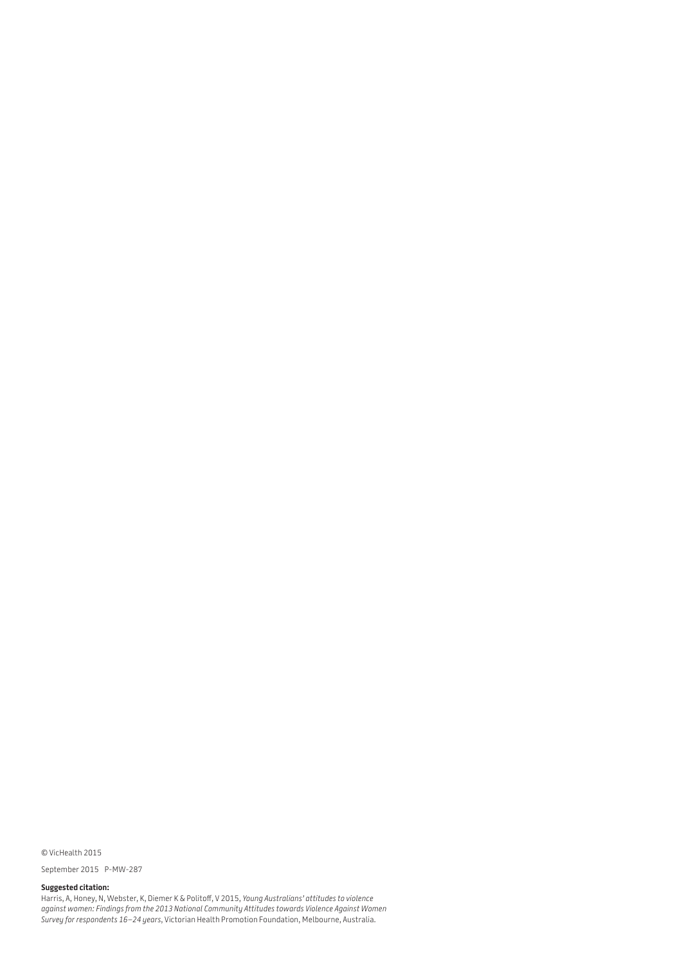© VicHealth 2015

September 2015 P-MW-287

#### **Suggested citation:**

Harris, A, Honey, N, Webster, K, Diemer K & Politoff, V 2015, *Young Australians' attitudes to violence against women: Findings from the 2013 National Community Attitudes towards Violence Against Women Survey for respondents 16–24 years*, Victorian Health Promotion Foundation, Melbourne, Australia.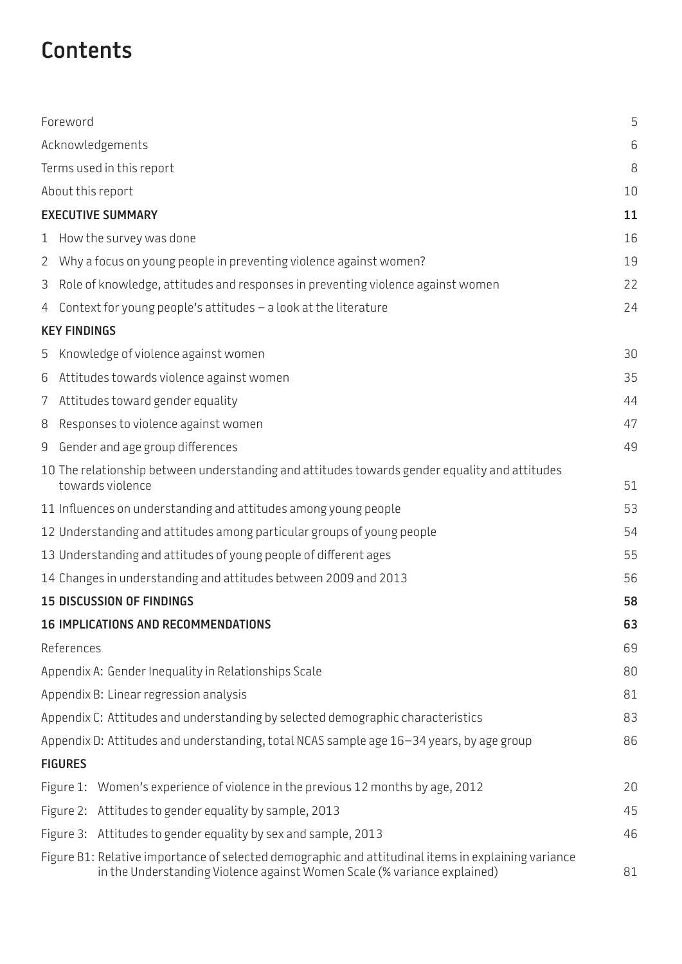# **Contents**

|   | Foreword                                                                                                                                                                        | 5  |
|---|---------------------------------------------------------------------------------------------------------------------------------------------------------------------------------|----|
|   | Acknowledgements                                                                                                                                                                | 6  |
|   | Terms used in this report                                                                                                                                                       | 8  |
|   | About this report                                                                                                                                                               | 10 |
|   | <b>EXECUTIVE SUMMARY</b>                                                                                                                                                        | 11 |
|   | 1 How the survey was done                                                                                                                                                       | 16 |
|   | 2 Why a focus on young people in preventing violence against women?                                                                                                             | 19 |
| 3 | Role of knowledge, attitudes and responses in preventing violence against women                                                                                                 | 22 |
| 4 | Context for young people's attitudes $-$ a look at the literature                                                                                                               | 24 |
|   | <b>KEY FINDINGS</b>                                                                                                                                                             |    |
| 5 | Knowledge of violence against women                                                                                                                                             | 30 |
| 6 | Attitudes towards violence against women                                                                                                                                        | 35 |
| 7 | Attitudes toward gender equality                                                                                                                                                | 44 |
| 8 | Responses to violence against women                                                                                                                                             | 47 |
| 9 | Gender and age group differences                                                                                                                                                | 49 |
|   | 10 The relationship between understanding and attitudes towards gender equality and attitudes<br>towards violence                                                               | 51 |
|   | 11 Influences on understanding and attitudes among young people                                                                                                                 | 53 |
|   | 12 Understanding and attitudes among particular groups of young people                                                                                                          | 54 |
|   | 13 Understanding and attitudes of young people of different ages                                                                                                                | 55 |
|   | 14 Changes in understanding and attitudes between 2009 and 2013                                                                                                                 | 56 |
|   | <b>15 DISCUSSION OF FINDINGS</b>                                                                                                                                                | 58 |
|   | <b>16 IMPLICATIONS AND RECOMMENDATIONS</b>                                                                                                                                      | 63 |
|   | References                                                                                                                                                                      | 69 |
|   | Appendix A: Gender Inequality in Relationships Scale                                                                                                                            | 80 |
|   | Appendix B: Linear regression analysis                                                                                                                                          | 81 |
|   | Appendix C: Attitudes and understanding by selected demographic characteristics                                                                                                 | 83 |
|   | Appendix D: Attitudes and understanding, total NCAS sample age 16-34 years, by age group                                                                                        | 86 |
|   | <b>FIGURES</b>                                                                                                                                                                  |    |
|   | Figure 1: Women's experience of violence in the previous 12 months by age, 2012                                                                                                 | 20 |
|   | Figure 2: Attitudes to gender equality by sample, 2013                                                                                                                          | 45 |
|   | Figure 3: Attitudes to gender equality by sex and sample, 2013                                                                                                                  | 46 |
|   | Figure B1: Relative importance of selected demographic and attitudinal items in explaining variance<br>in the Understanding Violence against Women Scale (% variance explained) | 81 |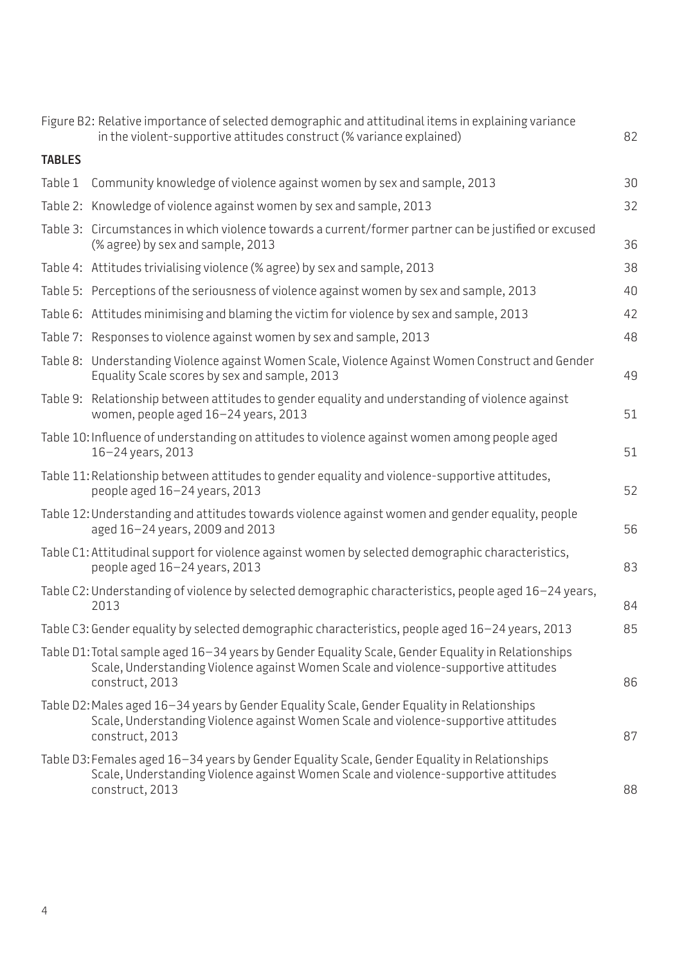|               | Figure B2: Relative importance of selected demographic and attitudinal items in explaining variance<br>in the violent-supportive attitudes construct (% variance explained)                                  | 82 |
|---------------|--------------------------------------------------------------------------------------------------------------------------------------------------------------------------------------------------------------|----|
| <b>TABLES</b> |                                                                                                                                                                                                              |    |
| Table 1       | Community knowledge of violence against women by sex and sample, 2013                                                                                                                                        | 30 |
|               | Table 2: Knowledge of violence against women by sex and sample, 2013                                                                                                                                         | 32 |
|               | Table 3: Circumstances in which violence towards a current/former partner can be justified or excused<br>(% agree) by sex and sample, 2013                                                                   | 36 |
|               | Table 4: Attitudes trivialising violence (% agree) by sex and sample, 2013                                                                                                                                   | 38 |
|               | Table 5: Perceptions of the seriousness of violence against women by sex and sample, 2013                                                                                                                    | 40 |
|               | Table 6: Attitudes minimising and blaming the victim for violence by sex and sample, 2013                                                                                                                    | 42 |
|               | Table 7: Responses to violence against women by sex and sample, 2013                                                                                                                                         | 48 |
|               | Table 8: Understanding Violence against Women Scale, Violence Against Women Construct and Gender<br>Equality Scale scores by sex and sample, 2013                                                            | 49 |
|               | Table 9: Relationship between attitudes to gender equality and understanding of violence against<br>women, people aged 16-24 years, 2013                                                                     | 51 |
|               | Table 10: Influence of understanding on attitudes to violence against women among people aged<br>16-24 years, 2013                                                                                           | 51 |
|               | Table 11: Relationship between attitudes to gender equality and violence-supportive attitudes,<br>people aged 16-24 years, 2013                                                                              | 52 |
|               | Table 12: Understanding and attitudes towards violence against women and gender equality, people<br>aged 16-24 years, 2009 and 2013                                                                          | 56 |
|               | Table C1: Attitudinal support for violence against women by selected demographic characteristics,<br>people aged 16-24 years, 2013                                                                           | 83 |
|               | Table C2: Understanding of violence by selected demographic characteristics, people aged 16-24 years,<br>2013                                                                                                | 84 |
|               | Table C3: Gender equality by selected demographic characteristics, people aged 16-24 years, 2013                                                                                                             | 85 |
|               | Table D1: Total sample aged 16-34 years by Gender Equality Scale, Gender Equality in Relationships<br>Scale, Understanding Violence against Women Scale and violence-supportive attitudes<br>construct, 2013 | 86 |
|               | Table D2: Males aged 16-34 years by Gender Equality Scale, Gender Equality in Relationships<br>Scale, Understanding Violence against Women Scale and violence-supportive attitudes<br>construct, 2013        | 87 |
|               | Table D3: Females aged 16-34 years by Gender Equality Scale, Gender Equality in Relationships<br>Scale, Understanding Violence against Women Scale and violence-supportive attitudes<br>construct, 2013      | 88 |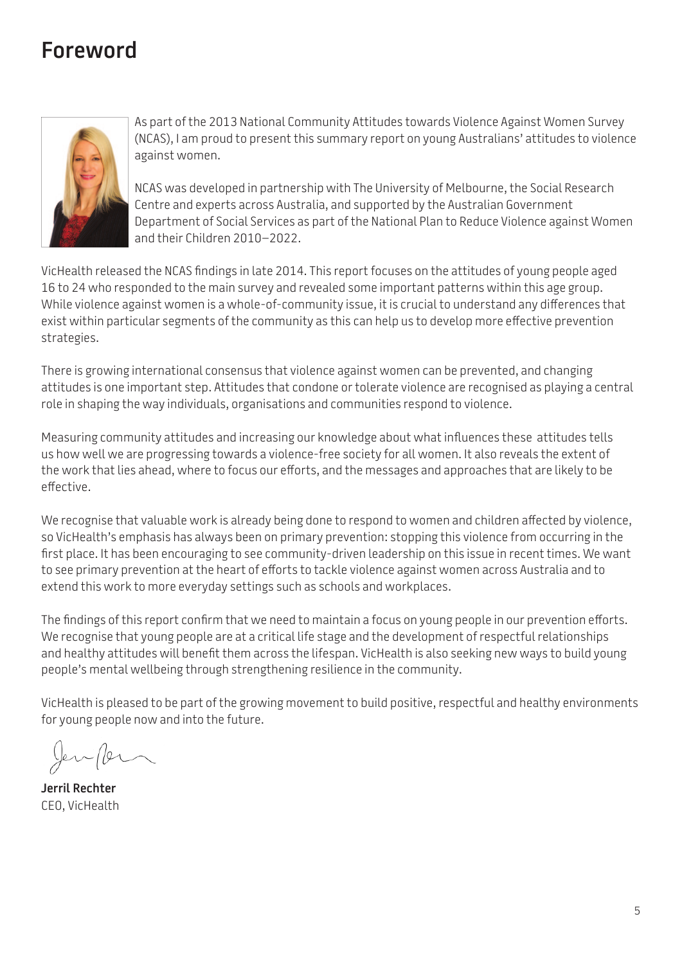# **Foreword**



As part of the 2013 National Community Attitudes towards Violence Against Women Survey (NCAS), I am proud to present this summary report on young Australians' attitudes to violence against women.

NCAS was developed in partnership with The University of Melbourne, the Social Research Centre and experts across Australia, and supported by the Australian Government Department of Social Services as part of the National Plan to Reduce Violence against Women and their Children 2010–2022.

VicHealth released the NCAS findings in late 2014. This report focuses on the attitudes of young people aged 16 to 24 who responded to the main survey and revealed some important patterns within this age group. While violence against women is a whole-of-community issue, it is crucial to understand any differences that exist within particular segments of the community as this can help us to develop more effective prevention strategies.

There is growing international consensus that violence against women can be prevented, and changing attitudes is one important step. Attitudes that condone or tolerate violence are recognised as playing a central role in shaping the way individuals, organisations and communities respond to violence.

Measuring community attitudes and increasing our knowledge about what influences these attitudes tells us how well we are progressing towards a violence-free society for all women. It also reveals the extent of the work that lies ahead, where to focus our efforts, and the messages and approaches that are likely to be effective.

We recognise that valuable work is already being done to respond to women and children affected by violence, so VicHealth's emphasis has always been on primary prevention: stopping this violence from occurring in the first place. It has been encouraging to see community-driven leadership on this issue in recent times. We want to see primary prevention at the heart of efforts to tackle violence against women across Australia and to extend this work to more everyday settings such as schools and workplaces.

The findings of this report confirm that we need to maintain a focus on young people in our prevention efforts. We recognise that young people are at a critical life stage and the development of respectful relationships and healthy attitudes will benefit them across the lifespan. VicHealth is also seeking new ways to build young people's mental wellbeing through strengthening resilience in the community.

VicHealth is pleased to be part of the growing movement to build positive, respectful and healthy environments for young people now and into the future.

19

**Jerril Rechter** CEO, VicHealth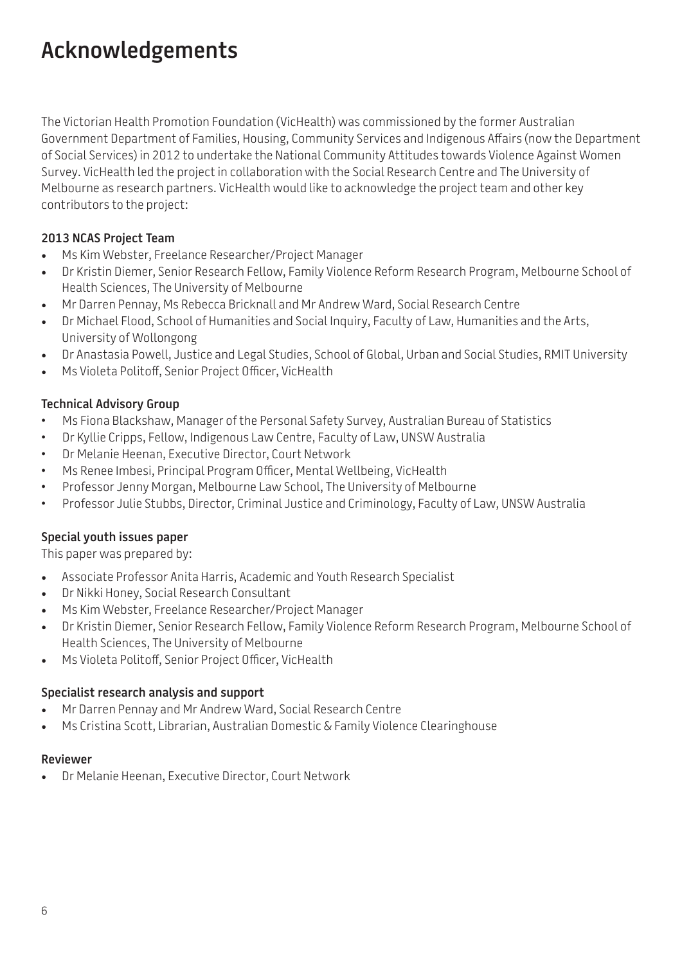# **Acknowledgements**

The Victorian Health Promotion Foundation (VicHealth) was commissioned by the former Australian Government Department of Families, Housing, Community Services and Indigenous Affairs (now the Department of Social Services) in 2012 to undertake the National Community Attitudes towards Violence Against Women Survey. VicHealth led the project in collaboration with the Social Research Centre and The University of Melbourne as research partners. VicHealth would like to acknowledge the project team and other key contributors to the project:

### **2013 NCAS Project Team**

- Ms Kim Webster, Freelance Researcher/Project Manager
- Dr Kristin Diemer, Senior Research Fellow, Family Violence Reform Research Program, Melbourne School of Health Sciences, The University of Melbourne
- Mr Darren Pennay, Ms Rebecca Bricknall and Mr Andrew Ward, Social Research Centre
- Dr Michael Flood, School of Humanities and Social Inquiry, Faculty of Law, Humanities and the Arts, University of Wollongong
- Dr Anastasia Powell, Justice and Legal Studies, School of Global, Urban and Social Studies, RMIT University
- Ms Violeta Politoff, Senior Project Officer, VicHealth

#### **Technical Advisory Group**

- Ms Fiona Blackshaw, Manager of the Personal Safety Survey, Australian Bureau of Statistics
- Dr Kyllie Cripps, Fellow, Indigenous Law Centre, Faculty of Law, UNSW Australia
- Dr Melanie Heenan, Executive Director, Court Network
- Ms Renee Imbesi, Principal Program Officer, Mental Wellbeing, VicHealth
- Professor Jenny Morgan, Melbourne Law School, The University of Melbourne
- • Professor Julie Stubbs, Director, Criminal Justice and Criminology, Faculty of Law, UNSW Australia

#### **Special youth issues paper**

This paper was prepared by:

- Associate Professor Anita Harris, Academic and Youth Research Specialist
- Dr Nikki Honey, Social Research Consultant
- Ms Kim Webster, Freelance Researcher/Project Manager
- Dr Kristin Diemer, Senior Research Fellow, Family Violence Reform Research Program, Melbourne School of Health Sciences, The University of Melbourne
- • Ms Violeta Politoff, Senior Project Officer, VicHealth

#### **Specialist research analysis and support**

- Mr Darren Pennay and Mr Andrew Ward, Social Research Centre
- Ms Cristina Scott, Librarian, Australian Domestic & Family Violence Clearinghouse

#### **Reviewer**

Dr Melanie Heenan, Executive Director, Court Network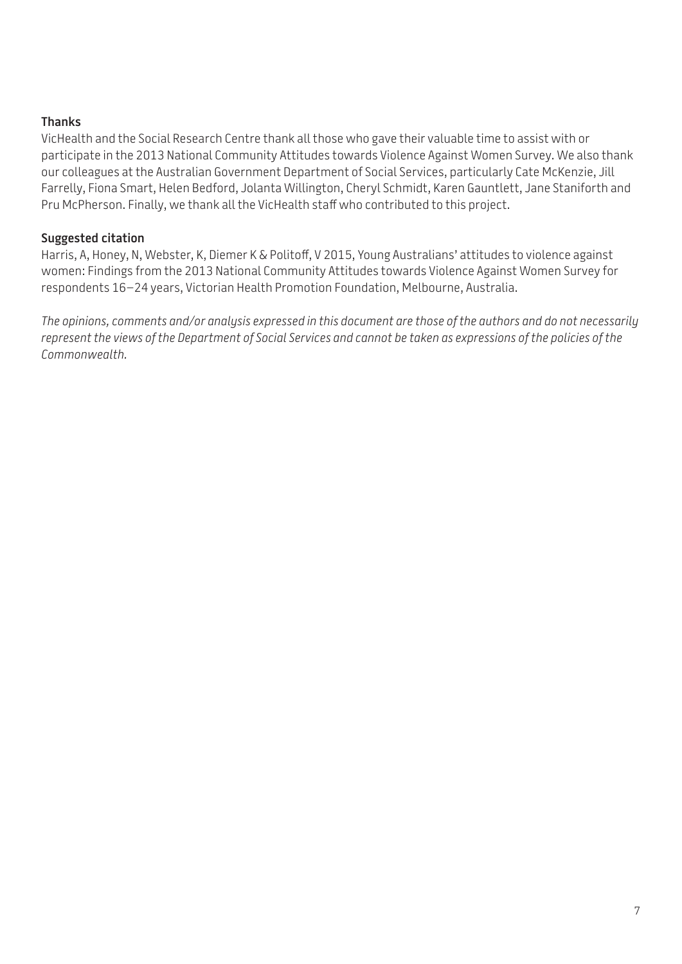#### **Thanks**

VicHealth and the Social Research Centre thank all those who gave their valuable time to assist with or participate in the 2013 National Community Attitudes towards Violence Against Women Survey. We also thank our colleagues at the Australian Government Department of Social Services, particularly Cate McKenzie, Jill Farrelly, Fiona Smart, Helen Bedford, Jolanta Willington, Cheryl Schmidt, Karen Gauntlett, Jane Staniforth and Pru McPherson. Finally, we thank all the VicHealth staff who contributed to this project.

### **Suggested citation**

Harris, A, Honey, N, Webster, K, Diemer K & Politoff, V 2015, Young Australians' attitudes to violence against women: Findings from the 2013 National Community Attitudes towards Violence Against Women Survey for respondents 16–24 years, Victorian Health Promotion Foundation, Melbourne, Australia.

*The opinions, comments and/or analysis expressed in this document are those of the authors and do not necessarily*  represent the views of the Department of Social Services and cannot be taken as expressions of the policies of the *Commonwealth.*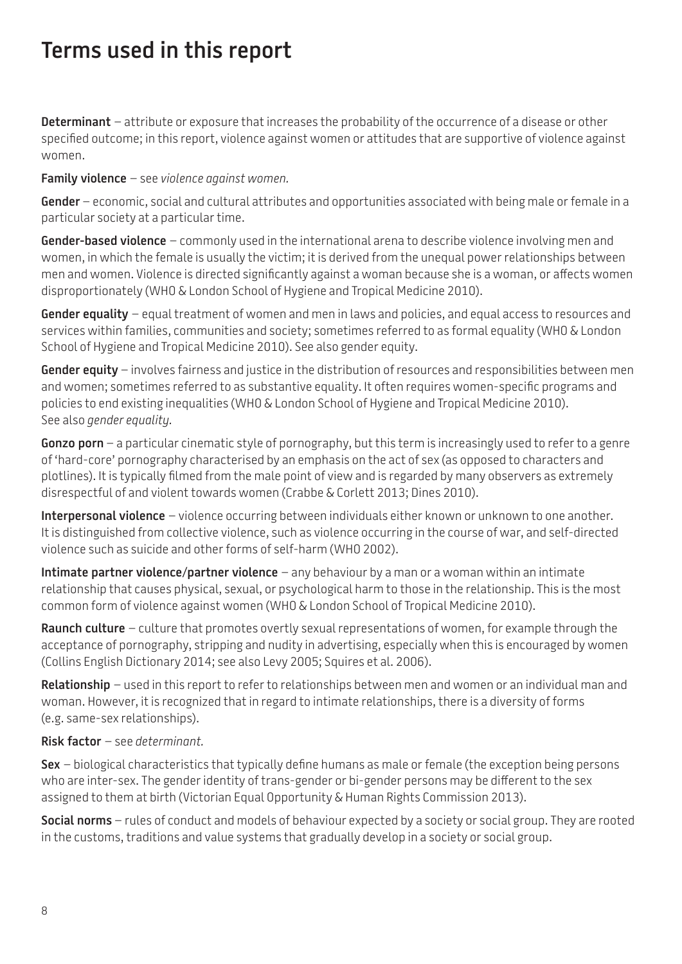# **Terms used in this report**

**Determinant** – attribute or exposure that increases the probability of the occurrence of a disease or other specified outcome; in this report, violence against women or attitudes that are supportive of violence against women.

**Family violence** – see *violence against women.*

**Gender** – economic, social and cultural attributes and opportunities associated with being male or female in a particular society at a particular time.

**Gender-based violence** – commonly used in the international arena to describe violence involving men and women, in which the female is usually the victim; it is derived from the unequal power relationships between men and women. Violence is directed significantly against a woman because she is a woman, or affects women disproportionately (WHO & London School of Hygiene and Tropical Medicine 2010).

**Gender equality** – equal treatment of women and men in laws and policies, and equal access to resources and services within families, communities and society; sometimes referred to as formal equality (WHO & London School of Hygiene and Tropical Medicine 2010). See also gender equity.

**Gender equity** – involves fairness and justice in the distribution of resources and responsibilities between men and women; sometimes referred to as substantive equality. It often requires women-specific programs and policies to end existing inequalities (WHO & London School of Hygiene and Tropical Medicine 2010). See also *gender equality.*

**Gonzo porn** – a particular cinematic style of pornography, but this term is increasingly used to refer to a genre of 'hard-core' pornography characterised by an emphasis on the act of sex (as opposed to characters and plotlines). It is typically filmed from the male point of view and is regarded by many observers as extremely disrespectful of and violent towards women (Crabbe & Corlett 2013; Dines 2010).

**Interpersonal violence** – violence occurring between individuals either known or unknown to one another. It is distinguished from collective violence, such as violence occurring in the course of war, and self-directed violence such as suicide and other forms of self-harm (WHO 2002).

**Intimate partner violence/partner violence** – any behaviour by a man or a woman within an intimate relationship that causes physical, sexual, or psychological harm to those in the relationship. This is the most common form of violence against women (WHO & London School of Tropical Medicine 2010).

**Raunch culture** – culture that promotes overtly sexual representations of women, for example through the acceptance of pornography, stripping and nudity in advertising, especially when this is encouraged by women (Collins English Dictionary 2014; see also Levy 2005; Squires et al. 2006).

**Relationship** – used in this report to refer to relationships between men and women or an individual man and woman. However, it is recognized that in regard to intimate relationships, there is a diversity of forms (e.g. same-sex relationships).

**Risk factor** – see *determinant.*

**Sex** – biological characteristics that typically define humans as male or female (the exception being persons who are inter-sex. The gender identity of trans-gender or bi-gender persons may be different to the sex assigned to them at birth (Victorian Equal Opportunity & Human Rights Commission 2013).

**Social norms** – rules of conduct and models of behaviour expected by a society or social group. They are rooted in the customs, traditions and value systems that gradually develop in a society or social group.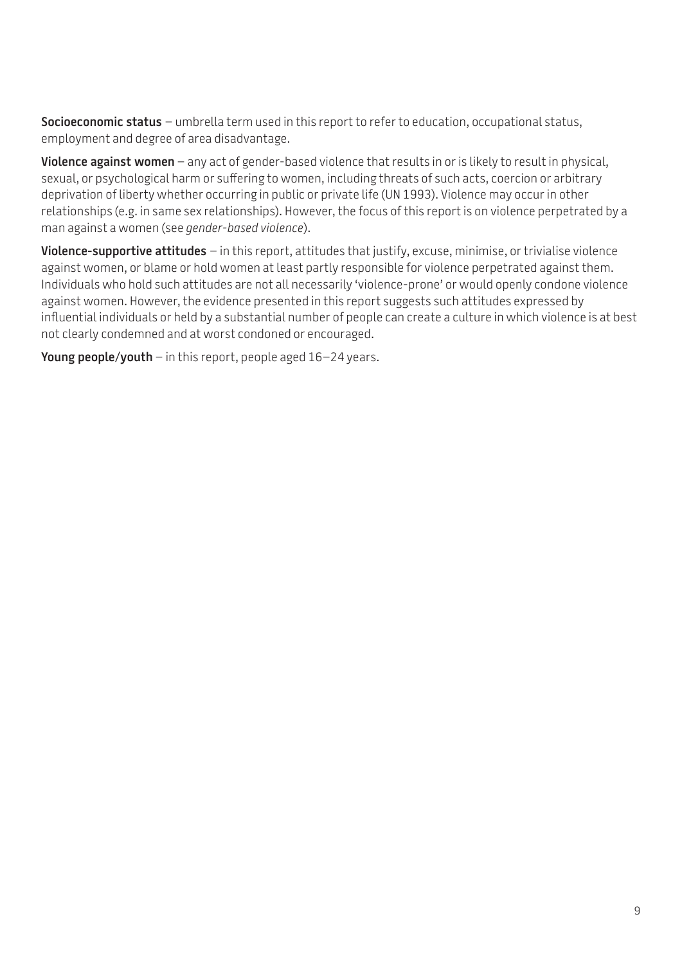**Socioeconomic status** – umbrella term used in this report to refer to education, occupational status, employment and degree of area disadvantage.

**Violence against women** – any act of gender-based violence that results in or is likely to result in physical, sexual, or psychological harm or suffering to women, including threats of such acts, coercion or arbitrary deprivation of liberty whether occurring in public or private life (UN 1993). Violence may occur in other relationships (e.g. in same sex relationships). However, the focus of this report is on violence perpetrated by a man against a women (see *gender-based violence*).

**Violence-supportive attitudes** – in this report, attitudes that justify, excuse, minimise, or trivialise violence against women, or blame or hold women at least partly responsible for violence perpetrated against them. Individuals who hold such attitudes are not all necessarily 'violence-prone' or would openly condone violence against women. However, the evidence presented in this report suggests such attitudes expressed by influential individuals or held by a substantial number of people can create a culture in which violence is at best not clearly condemned and at worst condoned or encouraged.

**Young people/youth** – in this report, people aged 16–24 years.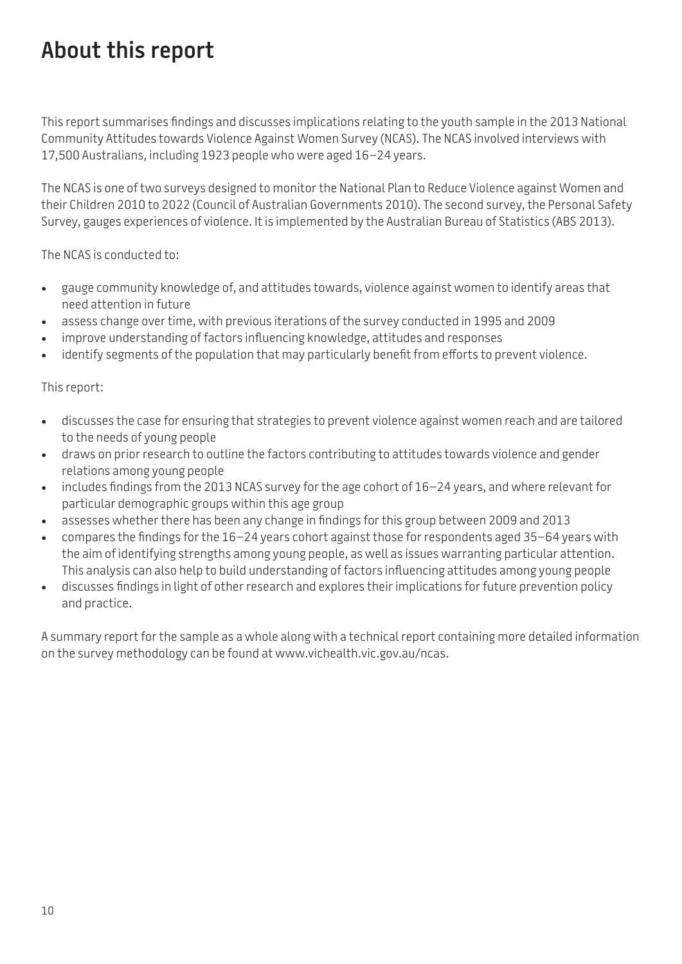# **About this report**

This report summarises findings and discusses implications relating to the youth sample in the 2013 National Community Attitudes towards Violence Against Women Survey (NCAS). The NCAS involved interviews with 17,500 Australians, including 1923 people who were aged 16–24 years.

The NCAS is one of two surveys designed to monitor the National Plan to Reduce Violence against Women and their Children 2010 to 2022 (Council of Australian Governments 2010). The second survey, the Personal Safety Survey, gauges experiences of violence. It is implemented by the Australian Bureau of Statistics (ABS 2013).

#### The NCAS is conducted to:

- • gauge community knowledge of, and attitudes towards, violence against women to identify areas that need attention in future
- assess change over time, with previous iterations of the survey conducted in 1995 and 2009
- improve understanding of factors influencing knowledge, attitudes and responses
- identify segments of the population that may particularly benefit from efforts to prevent violence.

#### This report:

- • discusses the case for ensuring that strategies to prevent violence against women reach and are tailored to the needs of young people
- • draws on prior research to outline the factors contributing to attitudes towards violence and gender relations among young people
- includes findings from the 2013 NCAS survey for the age cohort of 16–24 years, and where relevant for particular demographic groups within this age group
- assesses whether there has been any change in findings for this group between 2009 and 2013
- compares the findings for the 16–24 years cohort against those for respondents aged 35–64 years with the aim of identifying strengths among young people, as well as issues warranting particular attention. This analysis can also help to build understanding of factors influencing attitudes among young people
- discusses findings in light of other research and explores their implications for future prevention policy and practice.

A summary report for the sample as a whole along with a technical report containing more detailed information on the survey methodology can be found at www.vichealth.vic.gov.au/ncas.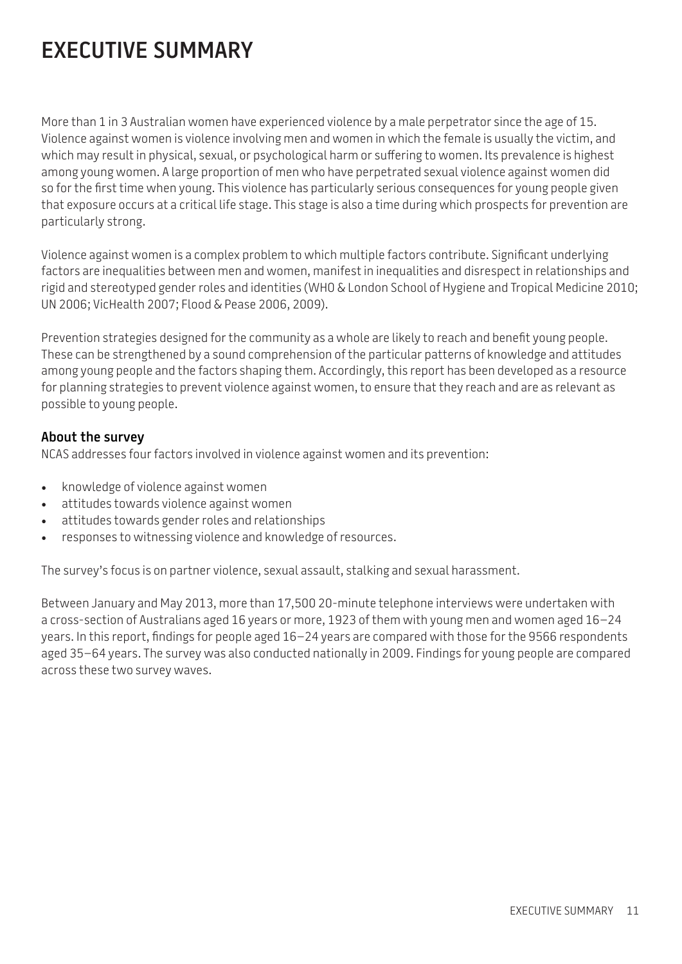# **EXECUTIVE SUMMARY**

More than 1 in 3 Australian women have experienced violence by a male perpetrator since the age of 15. Violence against women is violence involving men and women in which the female is usually the victim, and which may result in physical, sexual, or psychological harm or suffering to women. Its prevalence is highest among young women. A large proportion of men who have perpetrated sexual violence against women did so for the first time when young. This violence has particularly serious consequences for young people given that exposure occurs at a critical life stage. This stage is also a time during which prospects for prevention are particularly strong.

Violence against women is a complex problem to which multiple factors contribute. Significant underlying factors are inequalities between men and women, manifest in inequalities and disrespect in relationships and rigid and stereotyped gender roles and identities (WHO & London School of Hygiene and Tropical Medicine 2010; UN 2006; VicHealth 2007; Flood & Pease 2006, 2009).

Prevention strategies designed for the community as a whole are likely to reach and benefit young people. These can be strengthened by a sound comprehension of the particular patterns of knowledge and attitudes among young people and the factors shaping them. Accordingly, this report has been developed as a resource for planning strategies to prevent violence against women, to ensure that they reach and are as relevant as possible to young people.

#### **About the survey**

NCAS addresses four factors involved in violence against women and its prevention:

- knowledge of violence against women
- attitudes towards violence against women
- attitudes towards gender roles and relationships
- responses to witnessing violence and knowledge of resources.

The survey's focus is on partner violence, sexual assault, stalking and sexual harassment.

Between January and May 2013, more than 17,500 20-minute telephone interviews were undertaken with a cross-section of Australians aged 16 years or more, 1923 of them with young men and women aged 16–24 years. In this report, findings for people aged 16–24 years are compared with those for the 9566 respondents aged 35–64 years. The survey was also conducted nationally in 2009. Findings for young people are compared across these two survey waves.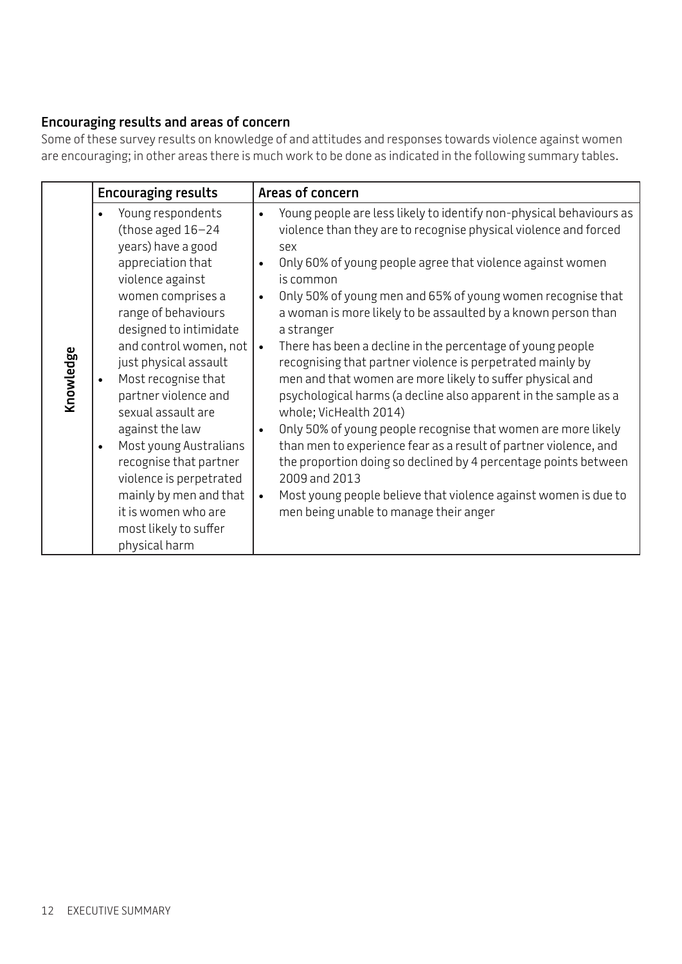# **Encouraging results and areas of concern**

Some of these survey results on knowledge of and attitudes and responses towards violence against women are encouraging; in other areas there is much work to be done as indicated in the following summary tables.

|           | <b>Encouraging results</b>                                                                                                                                                                                                                                                                                                                                                                                                                                                                                                              | Areas of concern                                                                                                                                                                                                                                                                                                                                                                                                                                                                                                                                                                                                                                                                                                                                                                                                                                                                                                                                                                                                                                                                  |
|-----------|-----------------------------------------------------------------------------------------------------------------------------------------------------------------------------------------------------------------------------------------------------------------------------------------------------------------------------------------------------------------------------------------------------------------------------------------------------------------------------------------------------------------------------------------|-----------------------------------------------------------------------------------------------------------------------------------------------------------------------------------------------------------------------------------------------------------------------------------------------------------------------------------------------------------------------------------------------------------------------------------------------------------------------------------------------------------------------------------------------------------------------------------------------------------------------------------------------------------------------------------------------------------------------------------------------------------------------------------------------------------------------------------------------------------------------------------------------------------------------------------------------------------------------------------------------------------------------------------------------------------------------------------|
| Knowledge | Young respondents<br>$\bullet$<br>(those aged 16-24<br>years) have a good<br>appreciation that<br>violence against<br>women comprises a<br>range of behaviours<br>designed to intimidate<br>and control women, not<br>just physical assault<br>Most recognise that<br>$\bullet$<br>partner violence and<br>sexual assault are<br>against the law<br>Most young Australians<br>$\bullet$<br>recognise that partner<br>violence is perpetrated<br>mainly by men and that<br>it is women who are<br>most likely to suffer<br>physical harm | Young people are less likely to identify non-physical behaviours as<br>$\bullet$<br>violence than they are to recognise physical violence and forced<br>sex<br>Only 60% of young people agree that violence against women<br>$\bullet$<br>is common<br>Only 50% of young men and 65% of young women recognise that<br>$\bullet$<br>a woman is more likely to be assaulted by a known person than<br>a stranger<br>There has been a decline in the percentage of young people<br>$\bullet$<br>recognising that partner violence is perpetrated mainly by<br>men and that women are more likely to suffer physical and<br>psychological harms (a decline also apparent in the sample as a<br>whole; VicHealth 2014)<br>Only 50% of young people recognise that women are more likely<br>$\bullet$<br>than men to experience fear as a result of partner violence, and<br>the proportion doing so declined by 4 percentage points between<br>2009 and 2013<br>Most young people believe that violence against women is due to<br>$\bullet$<br>men being unable to manage their anger |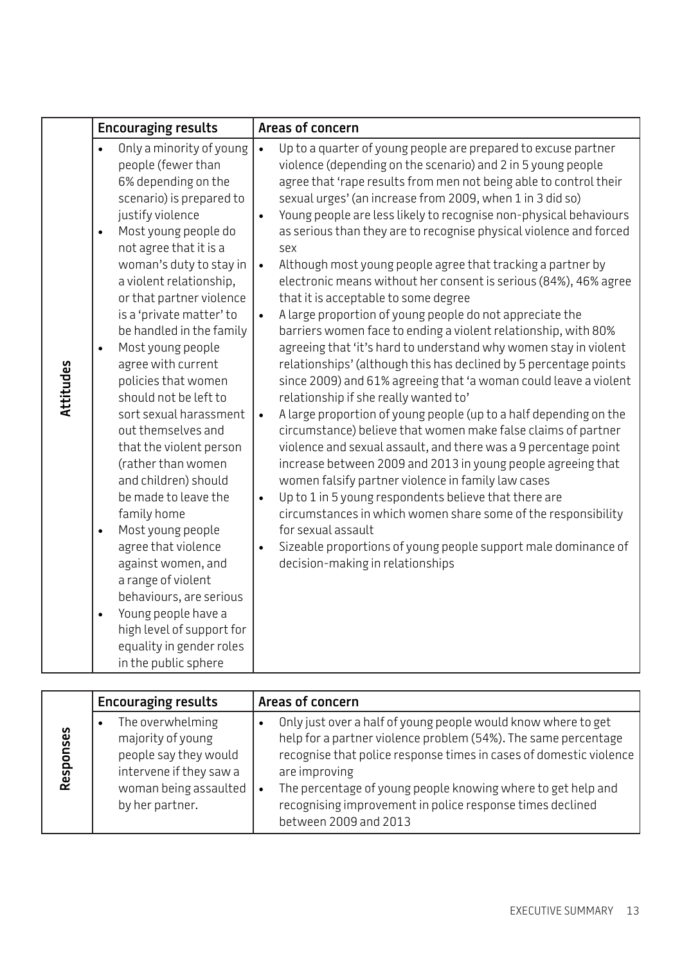|           | <b>Encouraging results</b>                                                                                                                                                                                                                                                                                                                                                                                                                                                                                                                                                                                                                                                                                                                                                                                                        | Areas of concern                                                                                                                                                                                                                                                                                                                                                                                                                                                                                                                                                                                                                                                                                                                                                                                                                                                                                                                                                                                                                                                                                                                                                                                                                                                                                                                                                                                                                                                                                                                                                                                                                                     |
|-----------|-----------------------------------------------------------------------------------------------------------------------------------------------------------------------------------------------------------------------------------------------------------------------------------------------------------------------------------------------------------------------------------------------------------------------------------------------------------------------------------------------------------------------------------------------------------------------------------------------------------------------------------------------------------------------------------------------------------------------------------------------------------------------------------------------------------------------------------|------------------------------------------------------------------------------------------------------------------------------------------------------------------------------------------------------------------------------------------------------------------------------------------------------------------------------------------------------------------------------------------------------------------------------------------------------------------------------------------------------------------------------------------------------------------------------------------------------------------------------------------------------------------------------------------------------------------------------------------------------------------------------------------------------------------------------------------------------------------------------------------------------------------------------------------------------------------------------------------------------------------------------------------------------------------------------------------------------------------------------------------------------------------------------------------------------------------------------------------------------------------------------------------------------------------------------------------------------------------------------------------------------------------------------------------------------------------------------------------------------------------------------------------------------------------------------------------------------------------------------------------------------|
| Attitudes | Only a minority of young<br>$\bullet$<br>people (fewer than<br>6% depending on the<br>scenario) is prepared to<br>justify violence<br>Most young people do<br>$\bullet$<br>not agree that it is a<br>woman's duty to stay in<br>a violent relationship,<br>or that partner violence<br>is a 'private matter' to<br>be handled in the family<br>Most young people<br>agree with current<br>policies that women<br>should not be left to<br>sort sexual harassment<br>out themselves and<br>that the violent person<br>(rather than women<br>and children) should<br>be made to leave the<br>family home<br>Most young people<br>agree that violence<br>against women, and<br>a range of violent<br>behaviours, are serious<br>Young people have a<br>high level of support for<br>equality in gender roles<br>in the public sphere | Up to a quarter of young people are prepared to excuse partner<br>$\bullet$<br>violence (depending on the scenario) and 2 in 5 young people<br>agree that 'rape results from men not being able to control their<br>sexual urges' (an increase from 2009, when 1 in 3 did so)<br>Young people are less likely to recognise non-physical behaviours<br>$\bullet$<br>as serious than they are to recognise physical violence and forced<br>sex<br>Although most young people agree that tracking a partner by<br>$\bullet$<br>electronic means without her consent is serious (84%), 46% agree<br>that it is acceptable to some degree<br>A large proportion of young people do not appreciate the<br>$\bullet$<br>barriers women face to ending a violent relationship, with 80%<br>agreeing that 'it's hard to understand why women stay in violent<br>relationships' (although this has declined by 5 percentage points<br>since 2009) and 61% agreeing that 'a woman could leave a violent<br>relationship if she really wanted to'<br>A large proportion of young people (up to a half depending on the<br>$\bullet$<br>circumstance) believe that women make false claims of partner<br>violence and sexual assault, and there was a 9 percentage point<br>increase between 2009 and 2013 in young people agreeing that<br>women falsify partner violence in family law cases<br>Up to 1 in 5 young respondents believe that there are<br>$\bullet$<br>circumstances in which women share some of the responsibility<br>for sexual assault<br>Sizeable proportions of young people support male dominance of<br>decision-making in relationships |

|           | <b>Encouraging results</b>                                                                                                            | Areas of concern                                                                                                                                                                                                                                                                                                                                                             |
|-----------|---------------------------------------------------------------------------------------------------------------------------------------|------------------------------------------------------------------------------------------------------------------------------------------------------------------------------------------------------------------------------------------------------------------------------------------------------------------------------------------------------------------------------|
| Responses | The overwhelming<br>majority of young<br>people say they would<br>intervene if they saw a<br>woman being assaulted<br>by her partner. | Only just over a half of young people would know where to get<br>help for a partner violence problem (54%). The same percentage<br>recognise that police response times in cases of domestic violence<br>are improving<br>The percentage of young people knowing where to get help and<br>recognising improvement in police response times declined<br>between 2009 and 2013 |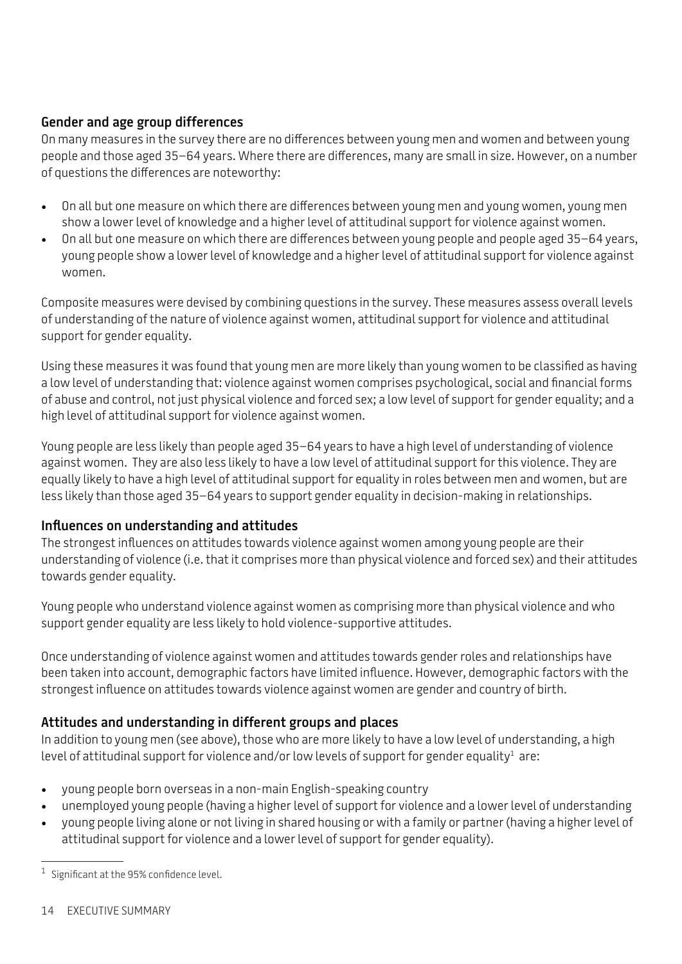### **Gender and age group differences**

On many measures in the survey there are no differences between young men and women and between young people and those aged 35–64 years. Where there are differences, many are small in size. However, on a number of questions the differences are noteworthy:

- On all but one measure on which there are differences between young men and young women, young men show a lower level of knowledge and a higher level of attitudinal support for violence against women.
- On all but one measure on which there are differences between young people and people aged 35–64 years, young people show a lower level of knowledge and a higher level of attitudinal support for violence against women.

Composite measures were devised by combining questions in the survey. These measures assess overall levels of understanding of the nature of violence against women, attitudinal support for violence and attitudinal support for gender equality.

Using these measures it was found that young men are more likely than young women to be classified as having a low level of understanding that: violence against women comprises psychological, social and financial forms of abuse and control, not just physical violence and forced sex; a low level of support for gender equality; and a high level of attitudinal support for violence against women.

Young people are less likely than people aged 35–64 years to have a high level of understanding of violence against women. They are also less likely to have a low level of attitudinal support for this violence. They are equally likely to have a high level of attitudinal support for equality in roles between men and women, but are less likely than those aged 35–64 years to support gender equality in decision-making in relationships.

# **Influences on understanding and attitudes**

The strongest influences on attitudes towards violence against women among young people are their understanding of violence (i.e. that it comprises more than physical violence and forced sex) and their attitudes towards gender equality.

Young people who understand violence against women as comprising more than physical violence and who support gender equality are less likely to hold violence-supportive attitudes.

Once understanding of violence against women and attitudes towards gender roles and relationships have been taken into account, demographic factors have limited influence. However, demographic factors with the strongest influence on attitudes towards violence against women are gender and country of birth.

# **Attitudes and understanding in different groups and places**

In addition to young men (see above), those who are more likely to have a low level of understanding, a high level of attitudinal support for violence and/or low levels of support for gender equality $^{\scriptscriptstyle 1}$  are:

- young people born overseas in a non-main English-speaking country
- unemployed young people (having a higher level of support for violence and a lower level of understanding
- young people living alone or not living in shared housing or with a family or partner (having a higher level of attitudinal support for violence and a lower level of support for gender equality).

 $1$  Significant at the 95% confidence level.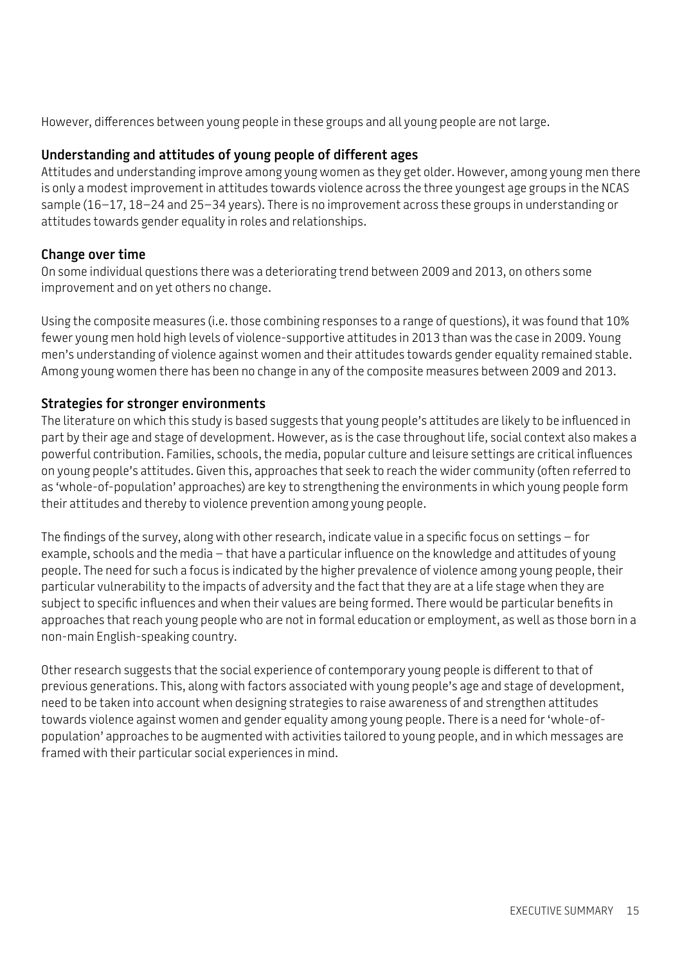However, differences between young people in these groups and all young people are not large.

### **Understanding and attitudes of young people of different ages**

Attitudes and understanding improve among young women as they get older. However, among young men there is only a modest improvement in attitudes towards violence across the three youngest age groups in the NCAS sample (16–17, 18–24 and 25–34 years). There is no improvement across these groups in understanding or attitudes towards gender equality in roles and relationships.

#### **Change over time**

On some individual questions there was a deteriorating trend between 2009 and 2013, on others some improvement and on yet others no change.

Using the composite measures (i.e. those combining responses to a range of questions), it was found that 10% fewer young men hold high levels of violence-supportive attitudes in 2013 than was the case in 2009. Young men's understanding of violence against women and their attitudes towards gender equality remained stable. Among young women there has been no change in any of the composite measures between 2009 and 2013.

### **Strategies for stronger environments**

The literature on which this study is based suggests that young people's attitudes are likely to be influenced in part by their age and stage of development. However, as is the case throughout life, social context also makes a powerful contribution. Families, schools, the media, popular culture and leisure settings are critical influences on young people's attitudes. Given this, approaches that seek to reach the wider community (often referred to as 'whole-of-population' approaches) are key to strengthening the environments in which young people form their attitudes and thereby to violence prevention among young people.

The findings of the survey, along with other research, indicate value in a specific focus on settings – for example, schools and the media – that have a particular influence on the knowledge and attitudes of young people. The need for such a focus is indicated by the higher prevalence of violence among young people, their particular vulnerability to the impacts of adversity and the fact that they are at a life stage when they are subject to specific influences and when their values are being formed. There would be particular benefits in approaches that reach young people who are not in formal education or employment, as well as those born in a non-main English-speaking country.

Other research suggests that the social experience of contemporary young people is different to that of previous generations. This, along with factors associated with young people's age and stage of development, need to be taken into account when designing strategies to raise awareness of and strengthen attitudes towards violence against women and gender equality among young people. There is a need for 'whole-ofpopulation' approaches to be augmented with activities tailored to young people, and in which messages are framed with their particular social experiences in mind.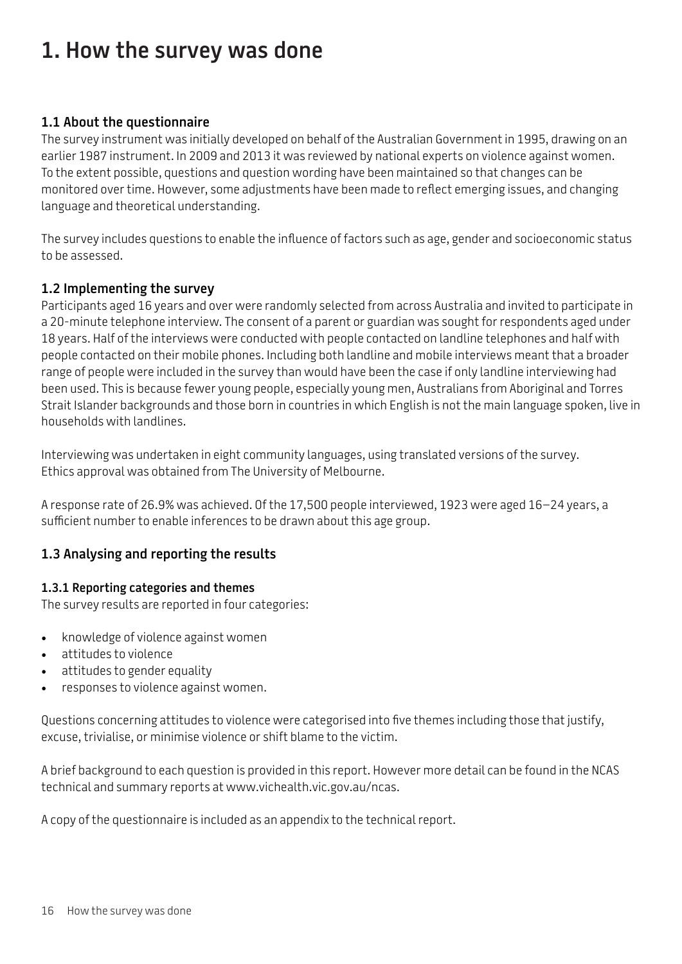# **1. How the survey was done**

### **1.1 About the questionnaire**

The survey instrument was initially developed on behalf of the Australian Government in 1995, drawing on an earlier 1987 instrument. In 2009 and 2013 it was reviewed by national experts on violence against women. To the extent possible, questions and question wording have been maintained so that changes can be monitored over time. However, some adjustments have been made to reflect emerging issues, and changing language and theoretical understanding.

The survey includes questions to enable the influence of factors such as age, gender and socioeconomic status to be assessed.

# **1.2 Implementing the survey**

Participants aged 16 years and over were randomly selected from across Australia and invited to participate in a 20-minute telephone interview. The consent of a parent or guardian was sought for respondents aged under 18 years. Half of the interviews were conducted with people contacted on landline telephones and half with people contacted on their mobile phones. Including both landline and mobile interviews meant that a broader range of people were included in the survey than would have been the case if only landline interviewing had been used. This is because fewer young people, especially young men, Australians from Aboriginal and Torres Strait Islander backgrounds and those born in countries in which English is not the main language spoken, live in households with landlines.

Interviewing was undertaken in eight community languages, using translated versions of the survey. Ethics approval was obtained from The University of Melbourne.

A response rate of 26.9% was achieved. Of the 17,500 people interviewed, 1923 were aged 16–24 years, a sufficient number to enable inferences to be drawn about this age group.

# **1.3 Analysing and reporting the results**

#### **1.3.1 Reporting categories and themes**

The survey results are reported in four categories:

- • knowledge of violence against women
- attitudes to violence
- attitudes to gender equality
- responses to violence against women.

Questions concerning attitudes to violence were categorised into five themes including those that justify, excuse, trivialise, or minimise violence or shift blame to the victim.

A brief background to each question is provided in this report. However more detail can be found in the NCAS technical and summary reports at www.vichealth.vic.gov.au/ncas.

A copy of the questionnaire is included as an appendix to the technical report.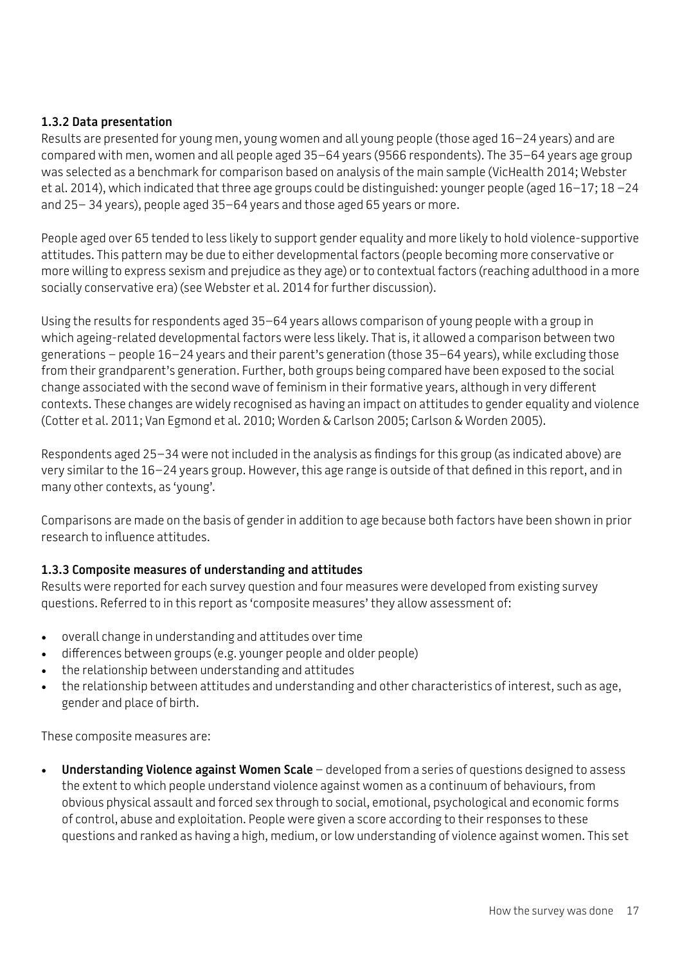### **1.3.2 Data presentation**

Results are presented for young men, young women and all young people (those aged 16–24 years) and are compared with men, women and all people aged 35–64 years (9566 respondents). The 35–64 years age group was selected as a benchmark for comparison based on analysis of the main sample (VicHealth 2014; Webster et al. 2014), which indicated that three age groups could be distinguished: younger people (aged 16–17; 18 –24 and 25– 34 years), people aged 35–64 years and those aged 65 years or more.

People aged over 65 tended to less likely to support gender equality and more likely to hold violence-supportive attitudes. This pattern may be due to either developmental factors (people becoming more conservative or more willing to express sexism and prejudice as they age) or to contextual factors (reaching adulthood in a more socially conservative era) (see Webster et al. 2014 for further discussion).

Using the results for respondents aged 35–64 years allows comparison of young people with a group in which ageing-related developmental factors were less likely. That is, it allowed a comparison between two generations – people 16–24 years and their parent's generation (those 35–64 years), while excluding those from their grandparent's generation. Further, both groups being compared have been exposed to the social change associated with the second wave of feminism in their formative years, although in very different contexts. These changes are widely recognised as having an impact on attitudes to gender equality and violence (Cotter et al. 2011; Van Egmond et al. 2010; Worden & Carlson 2005; Carlson & Worden 2005).

Respondents aged 25–34 were not included in the analysis as findings for this group (as indicated above) are very similar to the 16–24 years group. However, this age range is outside of that defined in this report, and in many other contexts, as 'young'.

Comparisons are made on the basis of gender in addition to age because both factors have been shown in prior research to influence attitudes.

#### **1.3.3 Composite measures of understanding and attitudes**

Results were reported for each survey question and four measures were developed from existing survey questions. Referred to in this report as 'composite measures' they allow assessment of:

- • overall change in understanding and attitudes over time
- differences between groups (e.g. younger people and older people)
- the relationship between understanding and attitudes
- the relationship between attitudes and understanding and other characteristics of interest, such as age, gender and place of birth.

These composite measures are:

• **Understanding Violence against Women Scale** – developed from a series of questions designed to assess the extent to which people understand violence against women as a continuum of behaviours, from obvious physical assault and forced sex through to social, emotional, psychological and economic forms of control, abuse and exploitation. People were given a score according to their responses to these questions and ranked as having a high, medium, or low understanding of violence against women. This set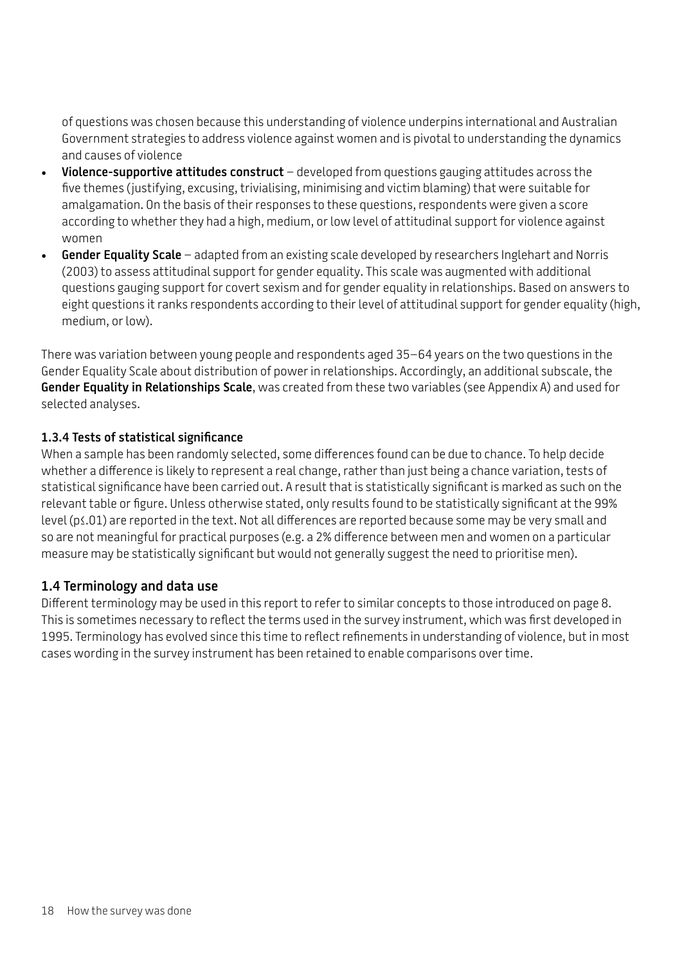of questions was chosen because this understanding of violence underpins international and Australian Government strategies to address violence against women and is pivotal to understanding the dynamics and causes of violence

- **Violence-supportive attitudes construct** developed from questions gauging attitudes across the five themes (justifying, excusing, trivialising, minimising and victim blaming) that were suitable for amalgamation. On the basis of their responses to these questions, respondents were given a score according to whether they had a high, medium, or low level of attitudinal support for violence against women
- **Gender Equality Scale** adapted from an existing scale developed by researchers Inglehart and Norris (2003) to assess attitudinal support for gender equality. This scale was augmented with additional questions gauging support for covert sexism and for gender equality in relationships. Based on answers to eight questions it ranks respondents according to their level of attitudinal support for gender equality (high, medium, or low).

There was variation between young people and respondents aged 35–64 years on the two questions in the Gender Equality Scale about distribution of power in relationships. Accordingly, an additional subscale, the **Gender Equality in Relationships Scale**, was created from these two variables (see Appendix A) and used for selected analyses.

### **1.3.4 Tests of statistical significance**

When a sample has been randomly selected, some differences found can be due to chance. To help decide whether a difference is likely to represent a real change, rather than just being a chance variation, tests of statistical significance have been carried out. A result that is statistically significant is marked as such on the relevant table or figure. Unless otherwise stated, only results found to be statistically significant at the 99% level (p≤.01) are reported in the text. Not all differences are reported because some may be very small and so are not meaningful for practical purposes (e.g. a 2% difference between men and women on a particular measure may be statistically significant but would not generally suggest the need to prioritise men).

#### **1.4 Terminology and data use**

Different terminology may be used in this report to refer to similar concepts to those introduced on page 8. This is sometimes necessary to reflect the terms used in the survey instrument, which was first developed in 1995. Terminology has evolved since this time to reflect refinements in understanding of violence, but in most cases wording in the survey instrument has been retained to enable comparisons over time.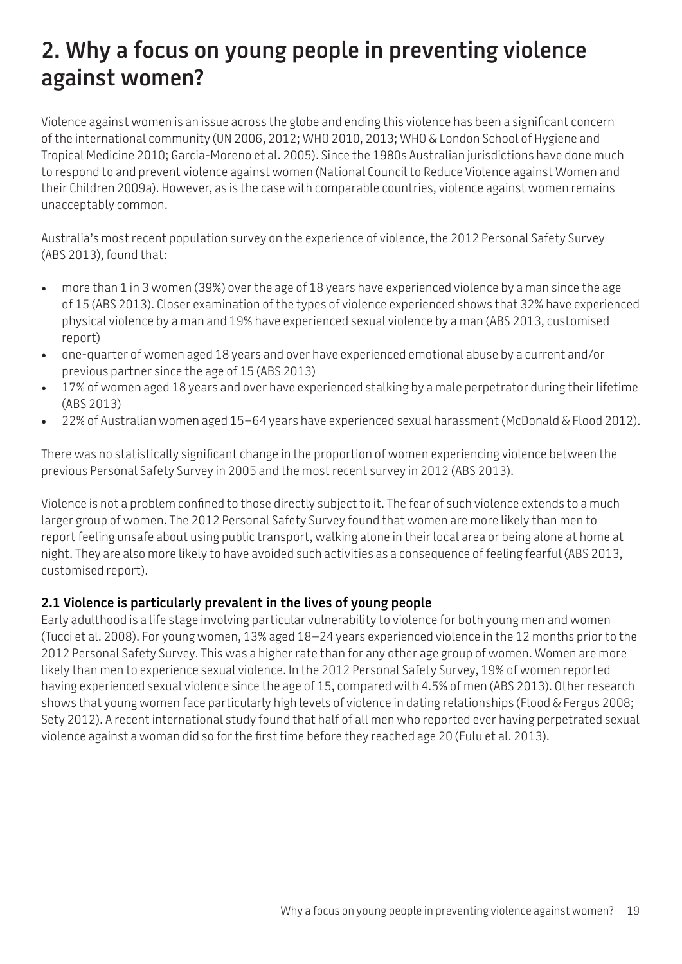# **2. Why a focus on young people in preventing violence against women?**

Violence against women is an issue across the globe and ending this violence has been a significant concern of the international community (UN 2006, 2012; WHO 2010, 2013; WHO & London School of Hygiene and Tropical Medicine 2010; Garcia-Moreno et al. 2005). Since the 1980s Australian jurisdictions have done much to respond to and prevent violence against women (National Council to Reduce Violence against Women and their Children 2009a). However, as is the case with comparable countries, violence against women remains unacceptably common.

Australia's most recent population survey on the experience of violence, the 2012 Personal Safety Survey (ABS 2013), found that:

- more than 1 in 3 women (39%) over the age of 18 years have experienced violence by a man since the age of 15 (ABS 2013). Closer examination of the types of violence experienced shows that 32% have experienced physical violence by a man and 19% have experienced sexual violence by a man (ABS 2013, customised report)
- one-quarter of women aged 18 years and over have experienced emotional abuse by a current and/or previous partner since the age of 15 (ABS 2013)
- 17% of women aged 18 years and over have experienced stalking by a male perpetrator during their lifetime (ABS 2013)
- • 22% of Australian women aged 15–64 years have experienced sexual harassment (McDonald & Flood 2012).

There was no statistically significant change in the proportion of women experiencing violence between the previous Personal Safety Survey in 2005 and the most recent survey in 2012 (ABS 2013).

Violence is not a problem confined to those directly subject to it. The fear of such violence extends to a much larger group of women. The 2012 Personal Safety Survey found that women are more likely than men to report feeling unsafe about using public transport, walking alone in their local area or being alone at home at night. They are also more likely to have avoided such activities as a consequence of feeling fearful (ABS 2013, customised report).

# **2.1 Violence is particularly prevalent in the lives of young people**

Early adulthood is a life stage involving particular vulnerability to violence for both young men and women (Tucci et al. 2008). For young women, 13% aged 18–24 years experienced violence in the 12 months prior to the 2012 Personal Safety Survey. This was a higher rate than for any other age group of women. Women are more likely than men to experience sexual violence. In the 2012 Personal Safety Survey, 19% of women reported having experienced sexual violence since the age of 15, compared with 4.5% of men (ABS 2013). Other research shows that young women face particularly high levels of violence in dating relationships (Flood & Fergus 2008; Sety 2012). A recent international study found that half of all men who reported ever having perpetrated sexual violence against a woman did so for the first time before they reached age 20 (Fulu et al. 2013).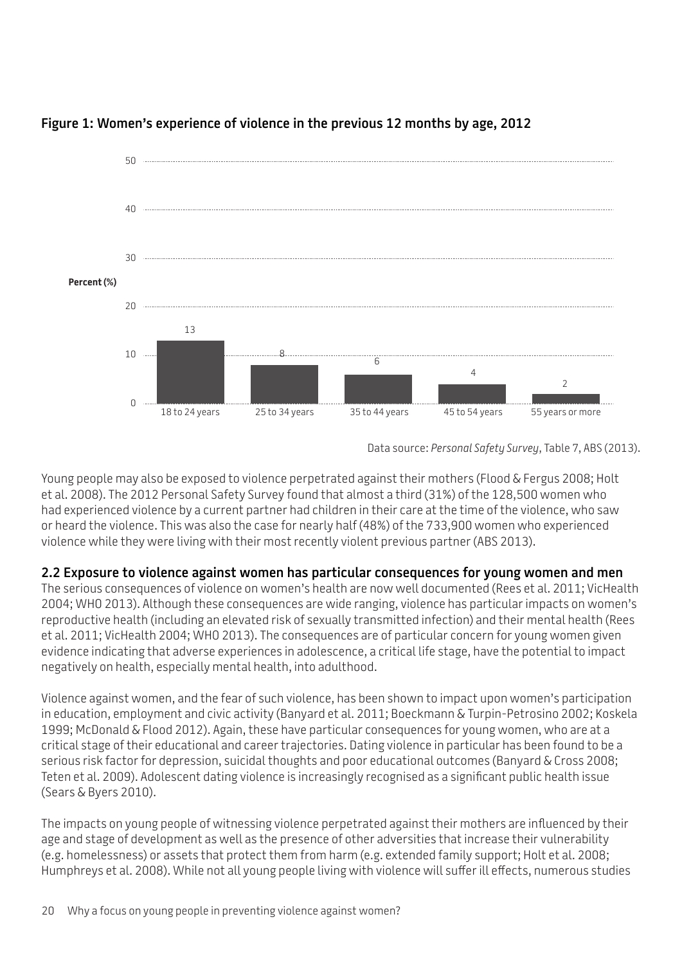

# **Figure 1: Women's experience of violence in the previous 12 months by age, 2012**

Data source: *Personal Safety Survey*, Table 7, ABS (2013).

Young people may also be exposed to violence perpetrated against their mothers (Flood & Fergus 2008; Holt et al. 2008). The 2012 Personal Safety Survey found that almost a third (31%) of the 128,500 women who had experienced violence by a current partner had children in their care at the time of the violence, who saw or heard the violence. This was also the case for nearly half (48%) of the 733,900 women who experienced violence while they were living with their most recently violent previous partner (ABS 2013).

# **2.2 Exposure to violence against women has particular consequences for young women and men**

The serious consequences of violence on women's health are now well documented (Rees et al. 2011; VicHealth 2004; WHO 2013). Although these consequences are wide ranging, violence has particular impacts on women's reproductive health (including an elevated risk of sexually transmitted infection) and their mental health (Rees et al. 2011; VicHealth 2004; WHO 2013). The consequences are of particular concern for young women given evidence indicating that adverse experiences in adolescence, a critical life stage, have the potential to impact negatively on health, especially mental health, into adulthood.

Violence against women, and the fear of such violence, has been shown to impact upon women's participation in education, employment and civic activity (Banyard et al. 2011; Boeckmann & Turpin-Petrosino 2002; Koskela 1999; McDonald & Flood 2012). Again, these have particular consequences for young women, who are at a critical stage of their educational and career trajectories. Dating violence in particular has been found to be a serious risk factor for depression, suicidal thoughts and poor educational outcomes (Banyard & Cross 2008; Teten et al. 2009). Adolescent dating violence is increasingly recognised as a significant public health issue (Sears & Byers 2010).

The impacts on young people of witnessing violence perpetrated against their mothers are influenced by their age and stage of development as well as the presence of other adversities that increase their vulnerability (e.g. homelessness) or assets that protect them from harm (e.g. extended family support; Holt et al. 2008; Humphreys et al. 2008). While not all young people living with violence will suffer ill effects, numerous studies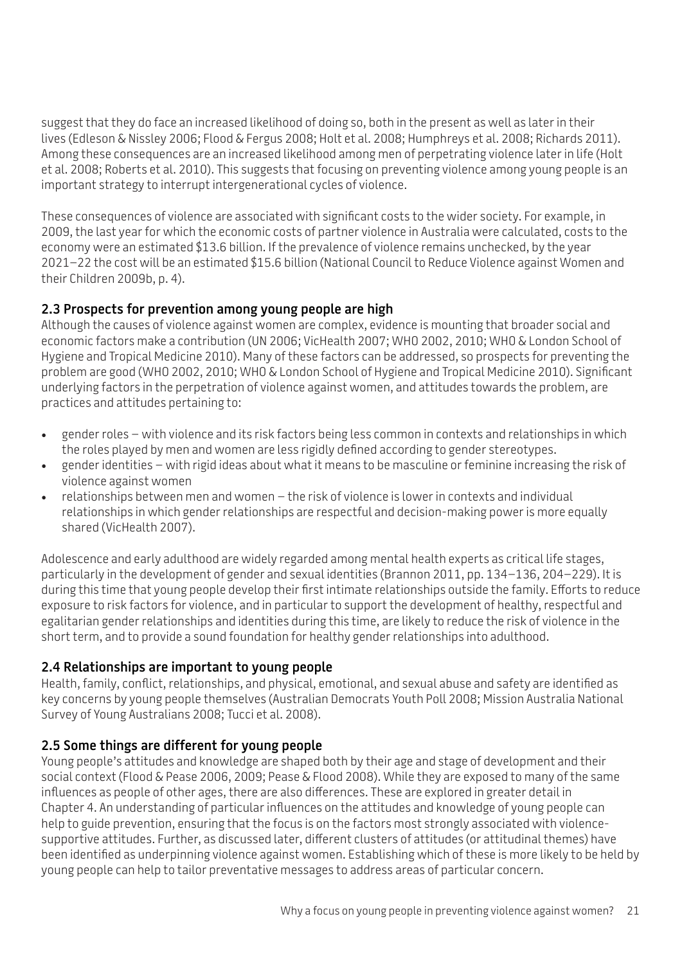suggest that they do face an increased likelihood of doing so, both in the present as well as later in their lives (Edleson & Nissley 2006; Flood & Fergus 2008; Holt et al. 2008; Humphreys et al. 2008; Richards 2011). Among these consequences are an increased likelihood among men of perpetrating violence later in life (Holt et al. 2008; Roberts et al. 2010). This suggests that focusing on preventing violence among young people is an important strategy to interrupt intergenerational cycles of violence.

These consequences of violence are associated with significant costs to the wider society. For example, in 2009, the last year for which the economic costs of partner violence in Australia were calculated, costs to the economy were an estimated \$13.6 billion. If the prevalence of violence remains unchecked, by the year 2021–22 the cost will be an estimated \$15.6 billion (National Council to Reduce Violence against Women and their Children 2009b, p. 4).

# **2.3 Prospects for prevention among young people are high**

Although the causes of violence against women are complex, evidence is mounting that broader social and economic factors make a contribution (UN 2006; VicHealth 2007; WHO 2002, 2010; WHO & London School of Hygiene and Tropical Medicine 2010). Many of these factors can be addressed, so prospects for preventing the problem are good (WHO 2002, 2010; WHO & London School of Hygiene and Tropical Medicine 2010). Significant underlying factors in the perpetration of violence against women, and attitudes towards the problem, are practices and attitudes pertaining to:

- • gender roles with violence and its risk factors being less common in contexts and relationships in which the roles played by men and women are less rigidly defined according to gender stereotypes.
- gender identities with rigid ideas about what it means to be masculine or feminine increasing the risk of violence against women
- relationships between men and women the risk of violence is lower in contexts and individual relationships in which gender relationships are respectful and decision-making power is more equally shared (VicHealth 2007).

Adolescence and early adulthood are widely regarded among mental health experts as critical life stages, particularly in the development of gender and sexual identities (Brannon 2011, pp. 134–136, 204–229). It is during this time that young people develop their first intimate relationships outside the family. Efforts to reduce exposure to risk factors for violence, and in particular to support the development of healthy, respectful and egalitarian gender relationships and identities during this time, are likely to reduce the risk of violence in the short term, and to provide a sound foundation for healthy gender relationships into adulthood.

# **2.4 Relationships are important to young people**

Health, family, conflict, relationships, and physical, emotional, and sexual abuse and safety are identified as key concerns by young people themselves (Australian Democrats Youth Poll 2008; Mission Australia National Survey of Young Australians 2008; Tucci et al. 2008).

# **2.5 Some things are different for young people**

Young people's attitudes and knowledge are shaped both by their age and stage of development and their social context (Flood & Pease 2006, 2009; Pease & Flood 2008). While they are exposed to many of the same influences as people of other ages, there are also differences. These are explored in greater detail in Chapter 4. An understanding of particular influences on the attitudes and knowledge of young people can help to guide prevention, ensuring that the focus is on the factors most strongly associated with violencesupportive attitudes. Further, as discussed later, different clusters of attitudes (or attitudinal themes) have been identified as underpinning violence against women. Establishing which of these is more likely to be held by young people can help to tailor preventative messages to address areas of particular concern.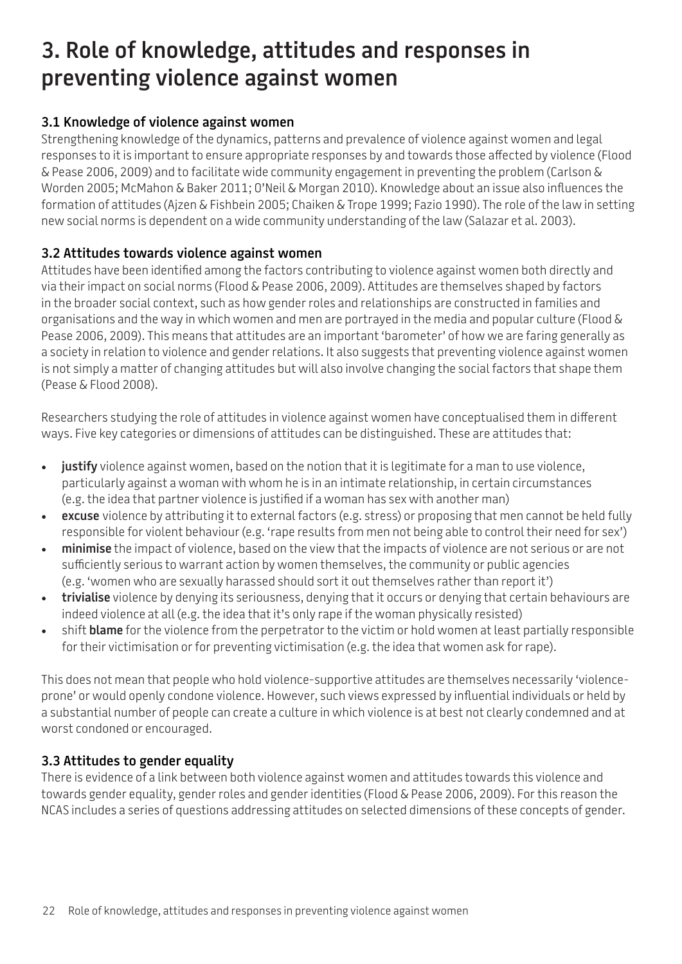# **3. Role of knowledge, attitudes and responses in preventing violence against women**

# **3.1 Knowledge of violence against women**

Strengthening knowledge of the dynamics, patterns and prevalence of violence against women and legal responses to it is important to ensure appropriate responses by and towards those affected by violence (Flood & Pease 2006, 2009) and to facilitate wide community engagement in preventing the problem (Carlson & Worden 2005; McMahon & Baker 2011; O'Neil & Morgan 2010). Knowledge about an issue also influences the formation of attitudes (Ajzen & Fishbein 2005; Chaiken & Trope 1999; Fazio 1990). The role of the law in setting new social norms is dependent on a wide community understanding of the law (Salazar et al. 2003).

# **3.2 Attitudes towards violence against women**

Attitudes have been identified among the factors contributing to violence against women both directly and via their impact on social norms (Flood & Pease 2006, 2009). Attitudes are themselves shaped by factors in the broader social context, such as how gender roles and relationships are constructed in families and organisations and the way in which women and men are portrayed in the media and popular culture (Flood & Pease 2006, 2009). This means that attitudes are an important 'barometer' of how we are faring generally as a society in relation to violence and gender relations. It also suggests that preventing violence against women is not simply a matter of changing attitudes but will also involve changing the social factors that shape them (Pease & Flood 2008).

Researchers studying the role of attitudes in violence against women have conceptualised them in different ways. Five key categories or dimensions of attitudes can be distinguished. These are attitudes that:

- **justify** violence against women, based on the notion that it is legitimate for a man to use violence, particularly against a woman with whom he is in an intimate relationship, in certain circumstances (e.g. the idea that partner violence is justified if a woman has sex with another man)
- **excuse** violence by attributing it to external factors (e.g. stress) or proposing that men cannot be held fully responsible for violent behaviour (e.g. 'rape results from men not being able to control their need for sex')
- **minimise** the impact of violence, based on the view that the impacts of violence are not serious or are not sufficiently serious to warrant action by women themselves, the community or public agencies (e.g. 'women who are sexually harassed should sort it out themselves rather than report it')
- **trivialise** violence by denying its seriousness, denying that it occurs or denying that certain behaviours are indeed violence at all (e.g. the idea that it's only rape if the woman physically resisted)
- shift **blame** for the violence from the perpetrator to the victim or hold women at least partially responsible for their victimisation or for preventing victimisation (e.g. the idea that women ask for rape).

This does not mean that people who hold violence-supportive attitudes are themselves necessarily 'violenceprone' or would openly condone violence. However, such views expressed by influential individuals or held by a substantial number of people can create a culture in which violence is at best not clearly condemned and at worst condoned or encouraged.

# **3.3 Attitudes to gender equality**

There is evidence of a link between both violence against women and attitudes towards this violence and towards gender equality, gender roles and gender identities (Flood & Pease 2006, 2009). For this reason the NCAS includes a series of questions addressing attitudes on selected dimensions of these concepts of gender.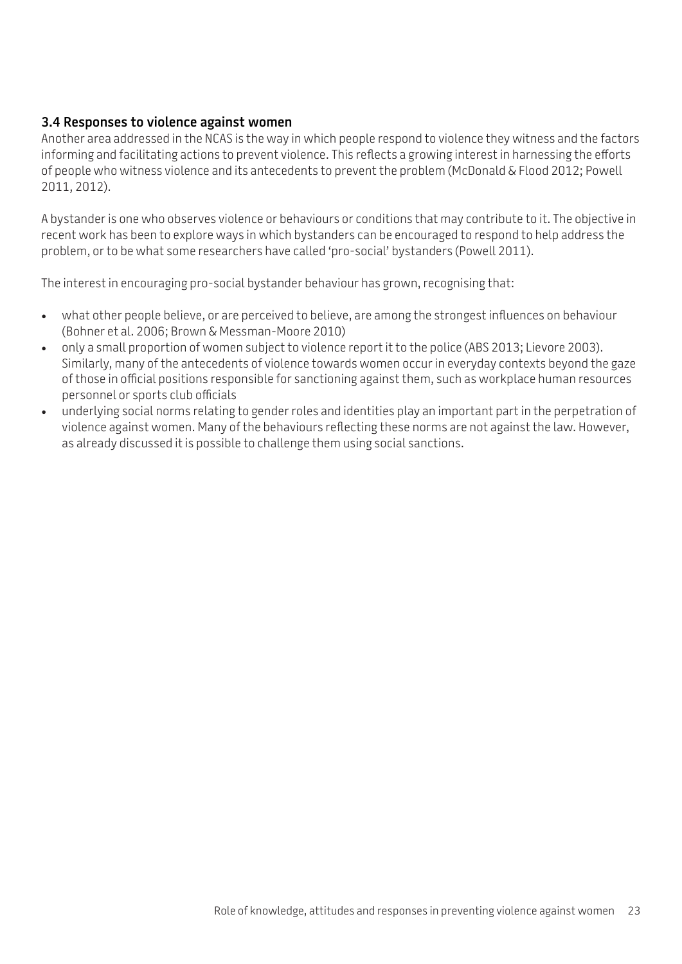### **3.4 Responses to violence against women**

Another area addressed in the NCAS is the way in which people respond to violence they witness and the factors informing and facilitating actions to prevent violence. This reflects a growing interest in harnessing the efforts of people who witness violence and its antecedents to prevent the problem (McDonald & Flood 2012; Powell 2011, 2012).

A bystander is one who observes violence or behaviours or conditions that may contribute to it. The objective in recent work has been to explore ways in which bystanders can be encouraged to respond to help address the problem, or to be what some researchers have called 'pro-social' bystanders (Powell 2011).

The interest in encouraging pro-social bystander behaviour has grown, recognising that:

- what other people believe, or are perceived to believe, are among the strongest influences on behaviour (Bohner et al. 2006; Brown & Messman-Moore 2010)
- only a small proportion of women subject to violence report it to the police (ABS 2013; Lievore 2003). Similarly, many of the antecedents of violence towards women occur in everyday contexts beyond the gaze of those in official positions responsible for sanctioning against them, such as workplace human resources personnel or sports club officials
- • underlying social norms relating to gender roles and identities play an important part in the perpetration of violence against women. Many of the behaviours reflecting these norms are not against the law. However, as already discussed it is possible to challenge them using social sanctions.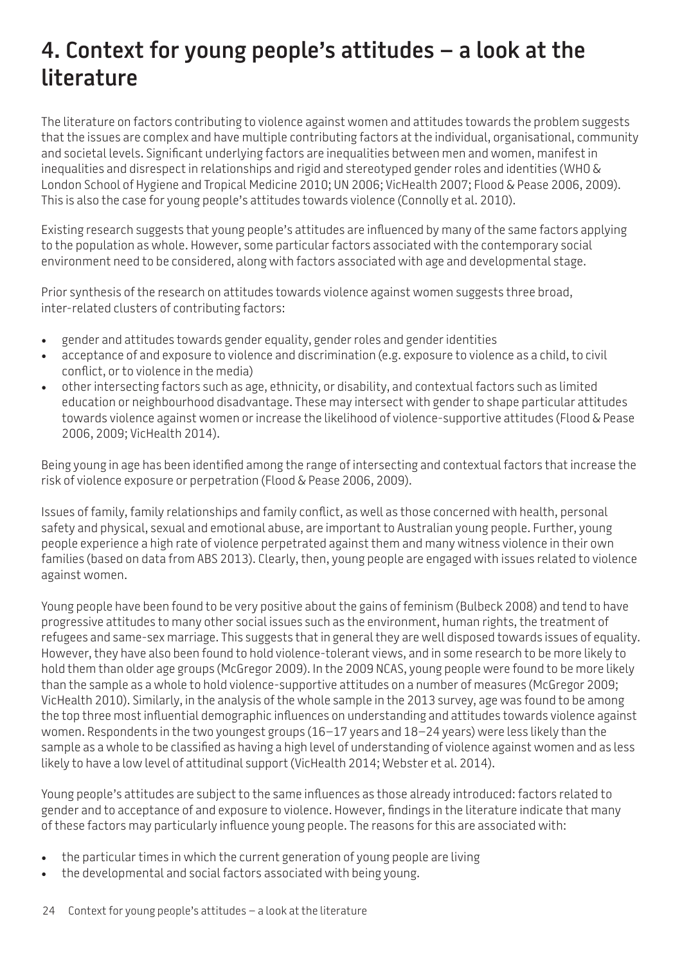# **4. Context for young people's attitudes – a look at the literature**

The literature on factors contributing to violence against women and attitudes towards the problem suggests that the issues are complex and have multiple contributing factors at the individual, organisational, community and societal levels. Significant underlying factors are inequalities between men and women, manifest in inequalities and disrespect in relationships and rigid and stereotyped gender roles and identities (WHO & London School of Hygiene and Tropical Medicine 2010; UN 2006; VicHealth 2007; Flood & Pease 2006, 2009). This is also the case for young people's attitudes towards violence (Connolly et al. 2010).

Existing research suggests that young people's attitudes are influenced by many of the same factors applying to the population as whole. However, some particular factors associated with the contemporary social environment need to be considered, along with factors associated with age and developmental stage.

Prior synthesis of the research on attitudes towards violence against women suggests three broad, inter-related clusters of contributing factors:

- • gender and attitudes towards gender equality, gender roles and gender identities
- acceptance of and exposure to violence and discrimination (e.g. exposure to violence as a child, to civil conflict, or to violence in the media)
- other intersecting factors such as age, ethnicity, or disability, and contextual factors such as limited education or neighbourhood disadvantage. These may intersect with gender to shape particular attitudes towards violence against women or increase the likelihood of violence-supportive attitudes (Flood & Pease 2006, 2009; VicHealth 2014).

Being young in age has been identified among the range of intersecting and contextual factors that increase the risk of violence exposure or perpetration (Flood & Pease 2006, 2009).

Issues of family, family relationships and family conflict, as well as those concerned with health, personal safety and physical, sexual and emotional abuse, are important to Australian young people. Further, young people experience a high rate of violence perpetrated against them and many witness violence in their own families (based on data from ABS 2013). Clearly, then, young people are engaged with issues related to violence against women.

Young people have been found to be very positive about the gains of feminism (Bulbeck 2008) and tend to have progressive attitudes to many other social issues such as the environment, human rights, the treatment of refugees and same-sex marriage. This suggests that in general they are well disposed towards issues of equality. However, they have also been found to hold violence-tolerant views, and in some research to be more likely to hold them than older age groups (McGregor 2009). In the 2009 NCAS, young people were found to be more likely than the sample as a whole to hold violence-supportive attitudes on a number of measures (McGregor 2009; VicHealth 2010). Similarly, in the analysis of the whole sample in the 2013 survey, age was found to be among the top three most influential demographic influences on understanding and attitudes towards violence against women. Respondents in the two youngest groups (16–17 years and 18–24 years) were less likely than the sample as a whole to be classified as having a high level of understanding of violence against women and as less likely to have a low level of attitudinal support (VicHealth 2014; Webster et al. 2014).

Young people's attitudes are subject to the same influences as those already introduced: factors related to gender and to acceptance of and exposure to violence. However, findings in the literature indicate that many of these factors may particularly influence young people. The reasons for this are associated with:

- the particular times in which the current generation of young people are living
- the developmental and social factors associated with being young.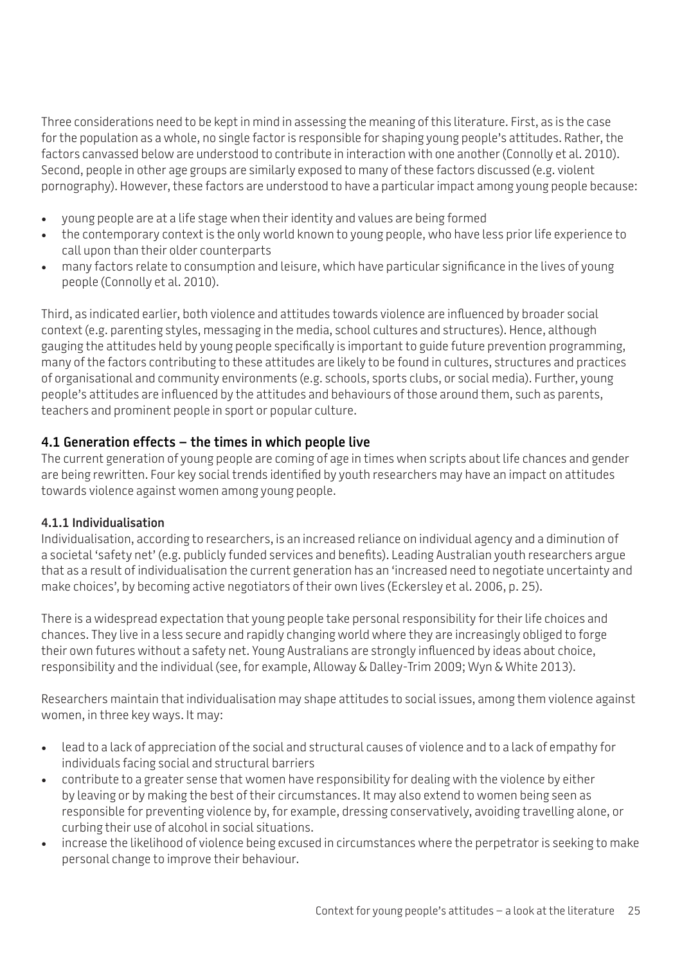Three considerations need to be kept in mind in assessing the meaning of this literature. First, as is the case for the population as a whole, no single factor is responsible for shaping young people's attitudes. Rather, the factors canvassed below are understood to contribute in interaction with one another (Connolly et al. 2010). Second, people in other age groups are similarly exposed to many of these factors discussed (e.g. violent pornography). However, these factors are understood to have a particular impact among young people because:

- young people are at a life stage when their identity and values are being formed
- the contemporary context is the only world known to young people, who have less prior life experience to call upon than their older counterparts
- many factors relate to consumption and leisure, which have particular significance in the lives of young people (Connolly et al. 2010).

Third, as indicated earlier, both violence and attitudes towards violence are influenced by broader social context (e.g. parenting styles, messaging in the media, school cultures and structures). Hence, although gauging the attitudes held by young people specifically is important to guide future prevention programming, many of the factors contributing to these attitudes are likely to be found in cultures, structures and practices of organisational and community environments (e.g. schools, sports clubs, or social media). Further, young people's attitudes are influenced by the attitudes and behaviours of those around them, such as parents, teachers and prominent people in sport or popular culture.

# **4.1 Generation effects – the times in which people live**

The current generation of young people are coming of age in times when scripts about life chances and gender are being rewritten. Four key social trends identified by youth researchers may have an impact on attitudes towards violence against women among young people.

#### **4.1.1 Individualisation**

Individualisation, according to researchers, is an increased reliance on individual agency and a diminution of a societal 'safety net' (e.g. publicly funded services and benefits). Leading Australian youth researchers argue that as a result of individualisation the current generation has an 'increased need to negotiate uncertainty and make choices', by becoming active negotiators of their own lives (Eckersley et al. 2006, p. 25).

There is a widespread expectation that young people take personal responsibility for their life choices and chances. They live in a less secure and rapidly changing world where they are increasingly obliged to forge their own futures without a safety net. Young Australians are strongly influenced by ideas about choice, responsibility and the individual (see, for example, Alloway & Dalley-Trim 2009; Wyn & White 2013).

Researchers maintain that individualisation may shape attitudes to social issues, among them violence against women, in three key ways. It may:

- lead to a lack of appreciation of the social and structural causes of violence and to a lack of empathy for individuals facing social and structural barriers
- contribute to a greater sense that women have responsibility for dealing with the violence by either by leaving or by making the best of their circumstances. It may also extend to women being seen as responsible for preventing violence by, for example, dressing conservatively, avoiding travelling alone, or curbing their use of alcohol in social situations.
- increase the likelihood of violence being excused in circumstances where the perpetrator is seeking to make personal change to improve their behaviour.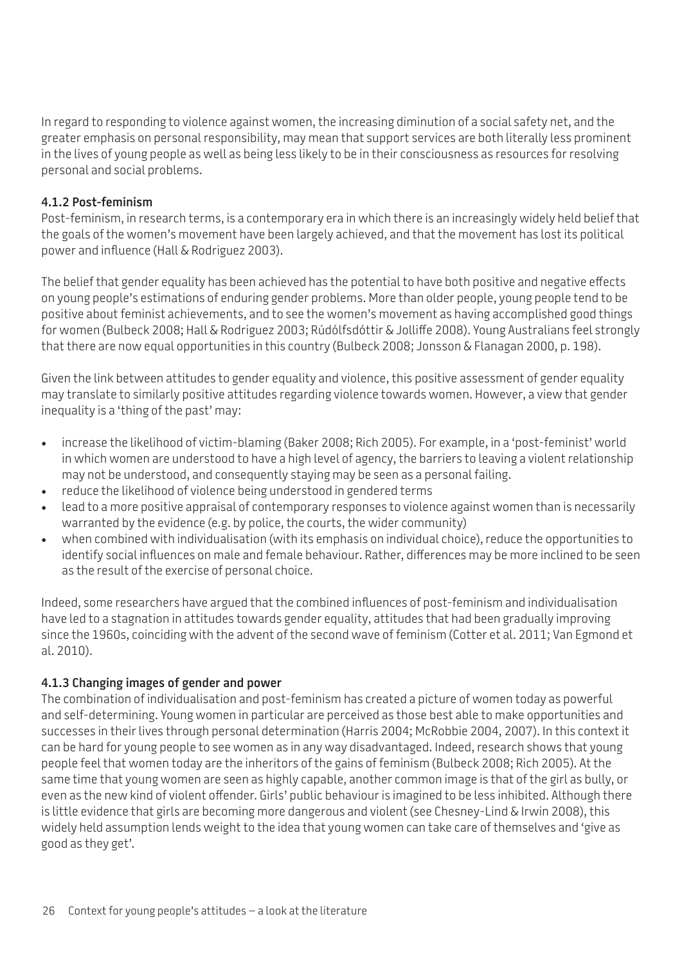In regard to responding to violence against women, the increasing diminution of a social safety net, and the greater emphasis on personal responsibility, may mean that support services are both literally less prominent in the lives of young people as well as being less likely to be in their consciousness as resources for resolving personal and social problems.

#### **4.1.2 Post-feminism**

Post-feminism, in research terms, is a contemporary era in which there is an increasingly widely held belief that the goals of the women's movement have been largely achieved, and that the movement has lost its political power and influence (Hall & Rodriguez 2003).

The belief that gender equality has been achieved has the potential to have both positive and negative effects on young people's estimations of enduring gender problems. More than older people, young people tend to be positive about feminist achievements, and to see the women's movement as having accomplished good things for women (Bulbeck 2008; Hall & Rodriguez 2003; Rúdólfsdóttir & Jolliffe 2008). Young Australians feel strongly that there are now equal opportunities in this country (Bulbeck 2008; Jonsson & Flanagan 2000, p. 198).

Given the link between attitudes to gender equality and violence, this positive assessment of gender equality may translate to similarly positive attitudes regarding violence towards women. However, a view that gender inequality is a 'thing of the past' may:

- increase the likelihood of victim-blaming (Baker 2008; Rich 2005). For example, in a 'post-feminist' world in which women are understood to have a high level of agency, the barriers to leaving a violent relationship may not be understood, and consequently staying may be seen as a personal failing.
- reduce the likelihood of violence being understood in gendered terms
- lead to a more positive appraisal of contemporary responses to violence against women than is necessarily warranted by the evidence (e.g. by police, the courts, the wider community)
- when combined with individualisation (with its emphasis on individual choice), reduce the opportunities to identify social influences on male and female behaviour. Rather, differences may be more inclined to be seen as the result of the exercise of personal choice.

Indeed, some researchers have argued that the combined influences of post-feminism and individualisation have led to a stagnation in attitudes towards gender equality, attitudes that had been gradually improving since the 1960s, coinciding with the advent of the second wave of feminism (Cotter et al. 2011; Van Egmond et al. 2010).

#### **4.1.3 Changing images of gender and power**

The combination of individualisation and post-feminism has created a picture of women today as powerful and self-determining. Young women in particular are perceived as those best able to make opportunities and successes in their lives through personal determination (Harris 2004; McRobbie 2004, 2007). In this context it can be hard for young people to see women as in any way disadvantaged. Indeed, research shows that young people feel that women today are the inheritors of the gains of feminism (Bulbeck 2008; Rich 2005). At the same time that young women are seen as highly capable, another common image is that of the girl as bully, or even as the new kind of violent offender. Girls' public behaviour is imagined to be less inhibited. Although there is little evidence that girls are becoming more dangerous and violent (see Chesney-Lind & Irwin 2008), this widely held assumption lends weight to the idea that young women can take care of themselves and 'give as good as they get'.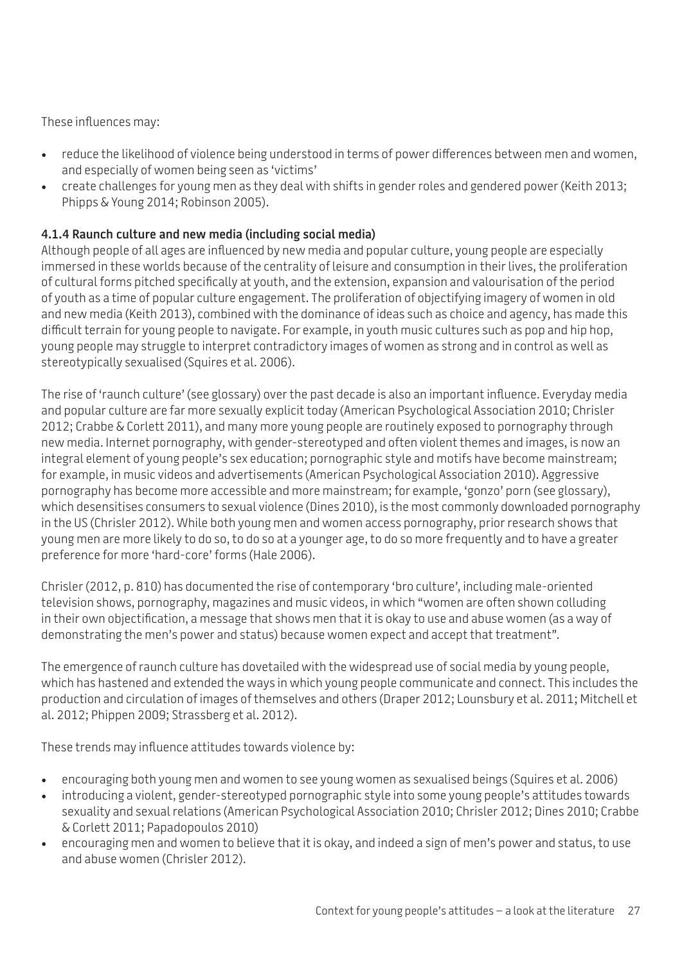These influences may:

- reduce the likelihood of violence being understood in terms of power differences between men and women, and especially of women being seen as 'victims'
- create challenges for young men as they deal with shifts in gender roles and gendered power (Keith 2013; Phipps & Young 2014; Robinson 2005).

# **4.1.4 Raunch culture and new media (including social media)**

Although people of all ages are influenced by new media and popular culture, young people are especially immersed in these worlds because of the centrality of leisure and consumption in their lives, the proliferation of cultural forms pitched specifically at youth, and the extension, expansion and valourisation of the period of youth as a time of popular culture engagement. The proliferation of objectifying imagery of women in old and new media (Keith 2013), combined with the dominance of ideas such as choice and agency, has made this difficult terrain for young people to navigate. For example, in youth music cultures such as pop and hip hop, young people may struggle to interpret contradictory images of women as strong and in control as well as stereotypically sexualised (Squires et al. 2006).

The rise of 'raunch culture' (see glossary) over the past decade is also an important influence. Everyday media and popular culture are far more sexually explicit today (American Psychological Association 2010; Chrisler 2012; Crabbe & Corlett 2011), and many more young people are routinely exposed to pornography through new media. Internet pornography, with gender-stereotyped and often violent themes and images, is now an integral element of young people's sex education; pornographic style and motifs have become mainstream; for example, in music videos and advertisements (American Psychological Association 2010). Aggressive pornography has become more accessible and more mainstream; for example, 'gonzo' porn (see glossary), which desensitises consumers to sexual violence (Dines 2010), is the most commonly downloaded pornography in the US (Chrisler 2012). While both young men and women access pornography, prior research shows that young men are more likely to do so, to do so at a younger age, to do so more frequently and to have a greater preference for more 'hard-core' forms (Hale 2006).

Chrisler (2012, p. 810) has documented the rise of contemporary 'bro culture', including male-oriented television shows, pornography, magazines and music videos, in which "women are often shown colluding in their own objectification, a message that shows men that it is okay to use and abuse women (as a way of demonstrating the men's power and status) because women expect and accept that treatment".

The emergence of raunch culture has dovetailed with the widespread use of social media by young people, which has hastened and extended the ways in which young people communicate and connect. This includes the production and circulation of images of themselves and others (Draper 2012; Lounsbury et al. 2011; Mitchell et al. 2012; Phippen 2009; Strassberg et al. 2012).

These trends may influence attitudes towards violence by:

- • encouraging both young men and women to see young women as sexualised beings (Squires et al. 2006)
- introducing a violent, gender-stereotyped pornographic style into some young people's attitudes towards sexuality and sexual relations (American Psychological Association 2010; Chrisler 2012; Dines 2010; Crabbe & Corlett 2011; Papadopoulos 2010)
- encouraging men and women to believe that it is okay, and indeed a sign of men's power and status, to use and abuse women (Chrisler 2012).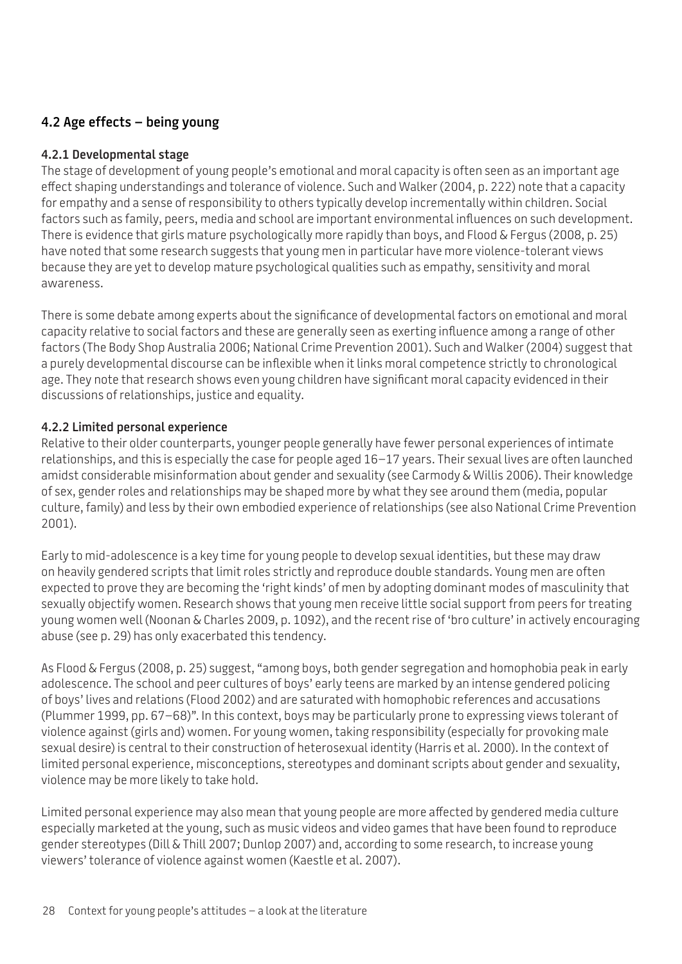# **4.2 Age effects – being young**

#### **4.2.1 Developmental stage**

The stage of development of young people's emotional and moral capacity is often seen as an important age effect shaping understandings and tolerance of violence. Such and Walker (2004, p. 222) note that a capacity for empathy and a sense of responsibility to others typically develop incrementally within children. Social factors such as family, peers, media and school are important environmental influences on such development. There is evidence that girls mature psychologically more rapidly than boys, and Flood & Fergus (2008, p. 25) have noted that some research suggests that young men in particular have more violence-tolerant views because they are yet to develop mature psychological qualities such as empathy, sensitivity and moral awareness.

There is some debate among experts about the significance of developmental factors on emotional and moral capacity relative to social factors and these are generally seen as exerting influence among a range of other factors (The Body Shop Australia 2006; National Crime Prevention 2001). Such and Walker (2004) suggest that a purely developmental discourse can be inflexible when it links moral competence strictly to chronological age. They note that research shows even young children have significant moral capacity evidenced in their discussions of relationships, justice and equality.

### **4.2.2 Limited personal experience**

Relative to their older counterparts, younger people generally have fewer personal experiences of intimate relationships, and this is especially the case for people aged 16–17 years. Their sexual lives are often launched amidst considerable misinformation about gender and sexuality (see Carmody & Willis 2006). Their knowledge of sex, gender roles and relationships may be shaped more by what they see around them (media, popular culture, family) and less by their own embodied experience of relationships (see also National Crime Prevention 2001).

Early to mid-adolescence is a key time for young people to develop sexual identities, but these may draw on heavily gendered scripts that limit roles strictly and reproduce double standards. Young men are often expected to prove they are becoming the 'right kinds' of men by adopting dominant modes of masculinity that sexually objectify women. Research shows that young men receive little social support from peers for treating young women well (Noonan & Charles 2009, p. 1092), and the recent rise of 'bro culture' in actively encouraging abuse (see p. 29) has only exacerbated this tendency.

As Flood & Fergus (2008, p. 25) suggest, "among boys, both gender segregation and homophobia peak in early adolescence. The school and peer cultures of boys' early teens are marked by an intense gendered policing of boys' lives and relations (Flood 2002) and are saturated with homophobic references and accusations (Plummer 1999, pp. 67–68)". In this context, boys may be particularly prone to expressing views tolerant of violence against (girls and) women. For young women, taking responsibility (especially for provoking male sexual desire) is central to their construction of heterosexual identity (Harris et al. 2000). In the context of limited personal experience, misconceptions, stereotypes and dominant scripts about gender and sexuality, violence may be more likely to take hold.

Limited personal experience may also mean that young people are more affected by gendered media culture especially marketed at the young, such as music videos and video games that have been found to reproduce gender stereotypes (Dill & Thill 2007; Dunlop 2007) and, according to some research, to increase young viewers' tolerance of violence against women (Kaestle et al. 2007).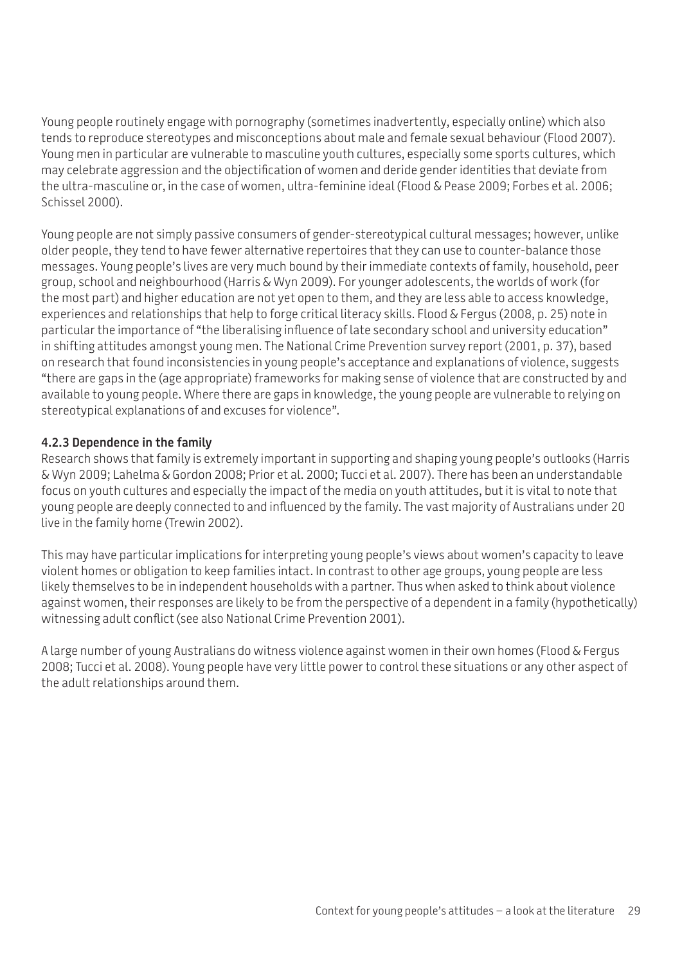Young people routinely engage with pornography (sometimes inadvertently, especially online) which also tends to reproduce stereotypes and misconceptions about male and female sexual behaviour (Flood 2007). Young men in particular are vulnerable to masculine youth cultures, especially some sports cultures, which may celebrate aggression and the objectification of women and deride gender identities that deviate from the ultra-masculine or, in the case of women, ultra-feminine ideal (Flood & Pease 2009; Forbes et al. 2006; Schissel 2000).

Young people are not simply passive consumers of gender-stereotypical cultural messages; however, unlike older people, they tend to have fewer alternative repertoires that they can use to counter-balance those messages. Young people's lives are very much bound by their immediate contexts of family, household, peer group, school and neighbourhood (Harris & Wyn 2009). For younger adolescents, the worlds of work (for the most part) and higher education are not yet open to them, and they are less able to access knowledge, experiences and relationships that help to forge critical literacy skills. Flood & Fergus (2008, p. 25) note in particular the importance of "the liberalising influence of late secondary school and university education" in shifting attitudes amongst young men. The National Crime Prevention survey report (2001, p. 37), based on research that found inconsistencies in young people's acceptance and explanations of violence, suggests "there are gaps in the (age appropriate) frameworks for making sense of violence that are constructed by and available to young people. Where there are gaps in knowledge, the young people are vulnerable to relying on stereotypical explanations of and excuses for violence".

#### **4.2.3 Dependence in the family**

Research shows that family is extremely important in supporting and shaping young people's outlooks (Harris & Wyn 2009; Lahelma & Gordon 2008; Prior et al. 2000; Tucci et al. 2007). There has been an understandable focus on youth cultures and especially the impact of the media on youth attitudes, but it is vital to note that young people are deeply connected to and influenced by the family. The vast majority of Australians under 20 live in the family home (Trewin 2002).

This may have particular implications for interpreting young people's views about women's capacity to leave violent homes or obligation to keep families intact. In contrast to other age groups, young people are less likely themselves to be in independent households with a partner. Thus when asked to think about violence against women, their responses are likely to be from the perspective of a dependent in a family (hypothetically) witnessing adult conflict (see also National Crime Prevention 2001).

A large number of young Australians do witness violence against women in their own homes (Flood & Fergus 2008; Tucci et al. 2008). Young people have very little power to control these situations or any other aspect of the adult relationships around them.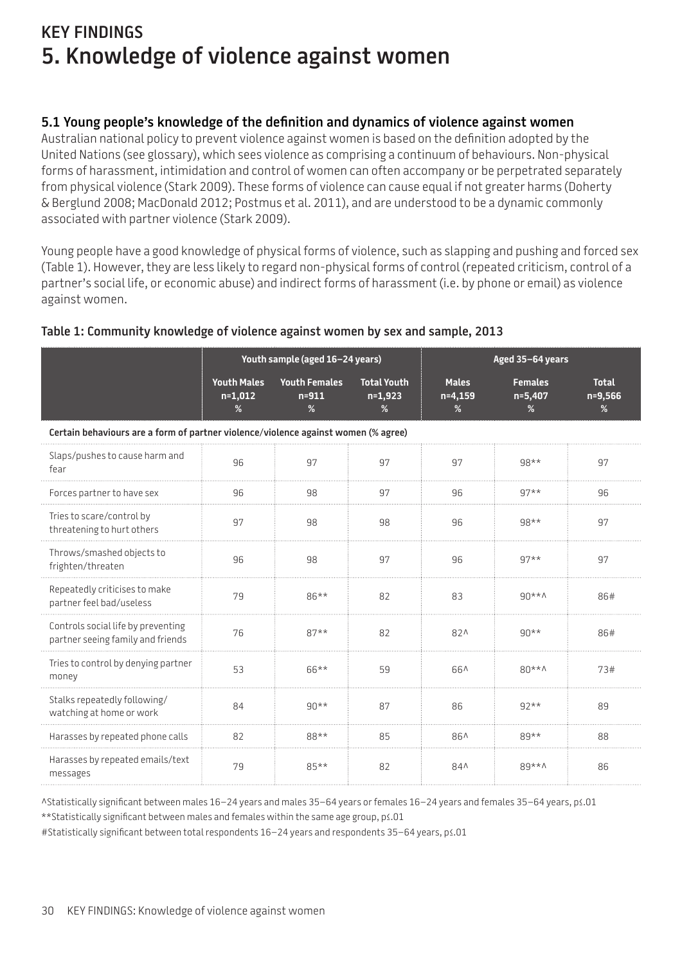# **5. Knowledge of violence against women KEY FINDINGS**

### **5.1 Young people's knowledge of the definition and dynamics of violence against women**

Australian national policy to prevent violence against women is based on the definition adopted by the United Nations (see glossary), which sees violence as comprising a continuum of behaviours. Non-physical forms of harassment, intimidation and control of women can often accompany or be perpetrated separately from physical violence (Stark 2009). These forms of violence can cause equal if not greater harms (Doherty & Berglund 2008; MacDonald 2012; Postmus et al. 2011), and are understood to be a dynamic commonly associated with partner violence (Stark 2009).

Young people have a good knowledge of physical forms of violence, such as slapping and pushing and forced sex (Table 1). However, they are less likely to regard non-physical forms of control (repeated criticism, control of a partner's social life, or economic abuse) and indirect forms of harassment (i.e. by phone or email) as violence against women.

#### **Table 1: Community knowledge of violence against women by sex and sample, 2013**

|                                                                                    | Youth sample (aged 16-24 years)      |                                        |                                      | Aged 35-64 years               |                                  |                              |  |
|------------------------------------------------------------------------------------|--------------------------------------|----------------------------------------|--------------------------------------|--------------------------------|----------------------------------|------------------------------|--|
|                                                                                    | <b>Youth Males</b><br>$n=1,012$<br>% | <b>Youth Females</b><br>$n = 911$<br>% | <b>Total Youth</b><br>$n=1,923$<br>% | <b>Males</b><br>$n=4,159$<br>% | <b>Females</b><br>$n=5,407$<br>% | <b>Total</b><br>n=9,566<br>% |  |
| Certain behaviours are a form of partner violence/violence against women (% agree) |                                      |                                        |                                      |                                |                                  |                              |  |
| Slaps/pushes to cause harm and<br>fear                                             | 96                                   | 97                                     | 97                                   | 97                             | $98**$                           | 97                           |  |
| Forces partner to have sex                                                         | 96                                   | 98                                     | 97                                   | 96                             | $97**$                           | 96                           |  |
| Tries to scare/control by<br>threatening to hurt others                            | 97                                   | 98                                     | 98                                   | 96                             | 98**                             | 97                           |  |
| Throws/smashed objects to<br>frighten/threaten                                     | 96                                   | 98                                     | 97                                   | 96                             | $97**$                           | 97                           |  |
| Repeatedly criticises to make<br>partner feel bad/useless                          | 79                                   | $86***$                                | 82                                   | 83                             | $90***$ $\wedge$                 | 86#                          |  |
| Controls social life by preventing<br>partner seeing family and friends            | 76                                   | $87**$                                 | 82                                   | 82 <sub>0</sub>                | $90**$                           | 86#                          |  |
| Tries to control by denying partner<br>money                                       | 53                                   | $66***$                                | 59                                   | 66^                            | $80***$                          | 73#                          |  |
| Stalks repeatedly following/<br>watching at home or work                           | 84                                   | $90**$                                 | 87                                   | 86                             | $92**$                           | 89                           |  |
| Harasses by repeated phone calls                                                   | 82                                   | $88**$                                 | 85                                   | 86^                            | $89**$                           | 88                           |  |
| Harasses by repeated emails/text<br>messages                                       | 79                                   | $85**$                                 | 82                                   | 84^                            | $89***$                          | 86                           |  |

^Statistically significant between males 16–24 years and males 35–64 years or females 16–24 years and females 35–64 years, p≤.01

\*\*Statistically significant between males and females within the same age group, p≤.01

#Statistically significant between total respondents 16–24 years and respondents 35–64 years, p≤.01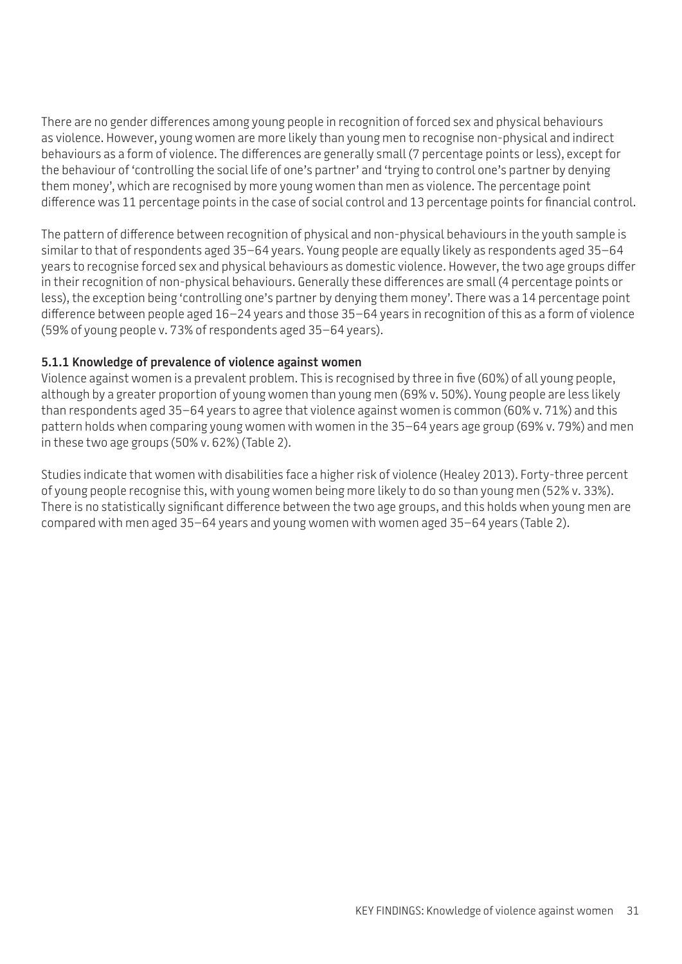There are no gender differences among young people in recognition of forced sex and physical behaviours as violence. However, young women are more likely than young men to recognise non-physical and indirect behaviours as a form of violence. The differences are generally small (7 percentage points or less), except for the behaviour of 'controlling the social life of one's partner' and 'trying to control one's partner by denying them money', which are recognised by more young women than men as violence. The percentage point difference was 11 percentage points in the case of social control and 13 percentage points for financial control.

The pattern of difference between recognition of physical and non-physical behaviours in the youth sample is similar to that of respondents aged 35–64 years. Young people are equally likely as respondents aged 35–64 years to recognise forced sex and physical behaviours as domestic violence. However, the two age groups differ in their recognition of non-physical behaviours. Generally these differences are small (4 percentage points or less), the exception being 'controlling one's partner by denying them money'. There was a 14 percentage point difference between people aged 16–24 years and those 35–64 years in recognition of this as a form of violence (59% of young people v. 73% of respondents aged 35–64 years).

### **5.1.1 Knowledge of prevalence of violence against women**

Violence against women is a prevalent problem. This is recognised by three in five (60%) of all young people, although by a greater proportion of young women than young men (69% v. 50%). Young people are less likely than respondents aged 35–64 years to agree that violence against women is common (60% v. 71%) and this pattern holds when comparing young women with women in the 35–64 years age group (69% v. 79%) and men in these two age groups (50% v. 62%) (Table 2).

Studies indicate that women with disabilities face a higher risk of violence (Healey 2013). Forty-three percent of young people recognise this, with young women being more likely to do so than young men (52% v. 33%). There is no statistically significant difference between the two age groups, and this holds when young men are compared with men aged 35–64 years and young women with women aged 35–64 years (Table 2).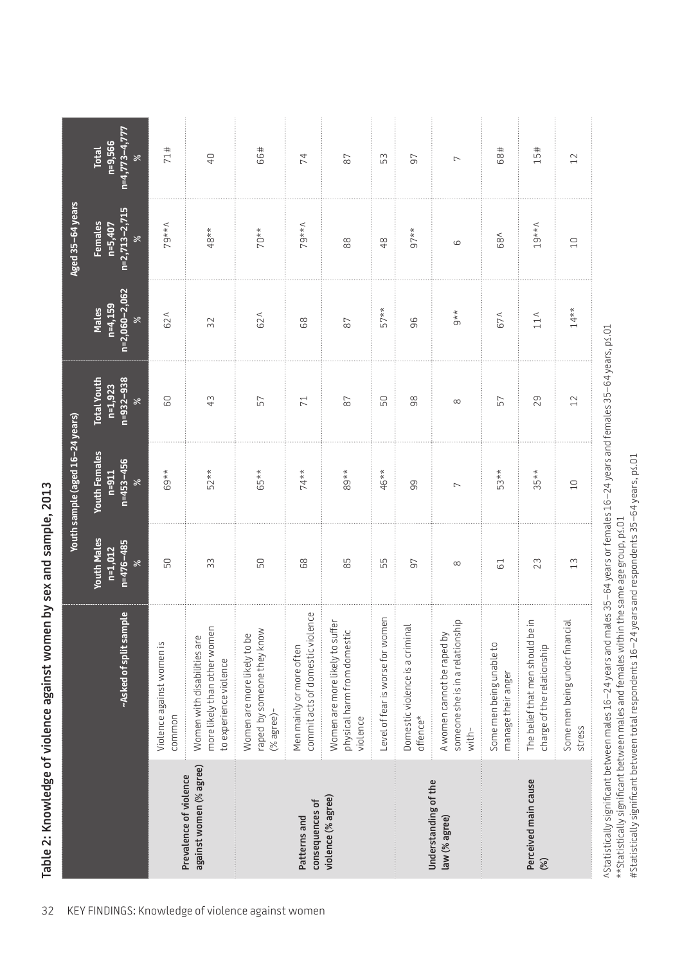|                                       |                                                                                       |                                                                | Youth sample (aged 16-24 years)                                  |                                                                      |                                                   |         | Aged 35-64 years                                           |
|---------------------------------------|---------------------------------------------------------------------------------------|----------------------------------------------------------------|------------------------------------------------------------------|----------------------------------------------------------------------|---------------------------------------------------|---------|------------------------------------------------------------|
|                                       | ~Asked of split sample                                                                | <b>/outh Males</b><br>$n = 476 - 485$<br>$n=1,012$<br>$\aleph$ | <b>Youth Females</b><br>$n = 453 - 456$<br>$n = 911$<br>$\aleph$ | $n = 932 - 938$<br><b>Total Youth</b><br>$n=1,923$<br>$\frac{1}{26}$ | $n=2,060-2,062$<br>$n=4,159$<br>Males<br>$\aleph$ |         | $n=2,713-2,715$<br><b>Females</b><br>$n=5,407$<br>$\aleph$ |
| Prevalence of violence                | Violence against women is<br>common                                                   | 50                                                             | 69**                                                             | 60                                                                   | 62 <sup>^</sup>                                   |         | $79***$                                                    |
| against women (% agree)               | more likely than other women<br>Women with disabilities are<br>to experience violence | 33                                                             | 52**                                                             | 43                                                                   | 32                                                | $48**$  |                                                            |
|                                       | raped by someone they know<br>Women are more likely to be<br>$(%$ agree)~             | 50                                                             | 65**                                                             | 57                                                                   | 62 ^                                              | $70**$  |                                                            |
| consequences of<br>Patterns and       | commit acts of domestic violence<br>Men mainly or more often                          | 89                                                             | $74**$                                                           | $71\,$                                                               | 68                                                | 79**^   |                                                            |
| violence (% agree)                    | Women are more likely to suffer<br>physical harm from domestic<br>violence            | 85                                                             | 89**                                                             | 87                                                                   | 87                                                | 88      |                                                            |
|                                       | Level of fear is worse for women                                                      | 55                                                             | 46**                                                             | 50                                                                   | $57**$                                            | 48      |                                                            |
|                                       | Domestic violence is a criminal<br>offence*                                           | 57                                                             | 99                                                               | 98                                                                   | 96                                                | $97**$  |                                                            |
| Understanding of the<br>law (% agree) | someone she is in a relationship<br>A women cannot be raped by<br>$with$ ~            | $\infty$                                                       | $\overline{\phantom{a}}$                                         | $\infty$                                                             | $9**$                                             | $\circ$ |                                                            |
|                                       | Some men being unable to<br>manage their anger                                        | $61$                                                           | 53**                                                             | 57                                                                   | 67 <sup>^</sup>                                   | 68      |                                                            |
| Perceived main cause<br>(%)           | The belief that men should be in<br>charge of the relationship                        | 23                                                             | $35**$                                                           | 29                                                                   | $11^{\prime}$                                     | $19***$ |                                                            |
|                                       | Some men being under financial<br>stress                                              | $13$                                                           | $\Box$                                                           | $22$                                                                 | $14**$                                            | $\Box$  |                                                            |

#Statistically significant between total respondents 16–24 years and respondents 35–64 years, p≤.01

#Statistically significant between total respondents 16-24 years and respondents 35-64 years, ps.01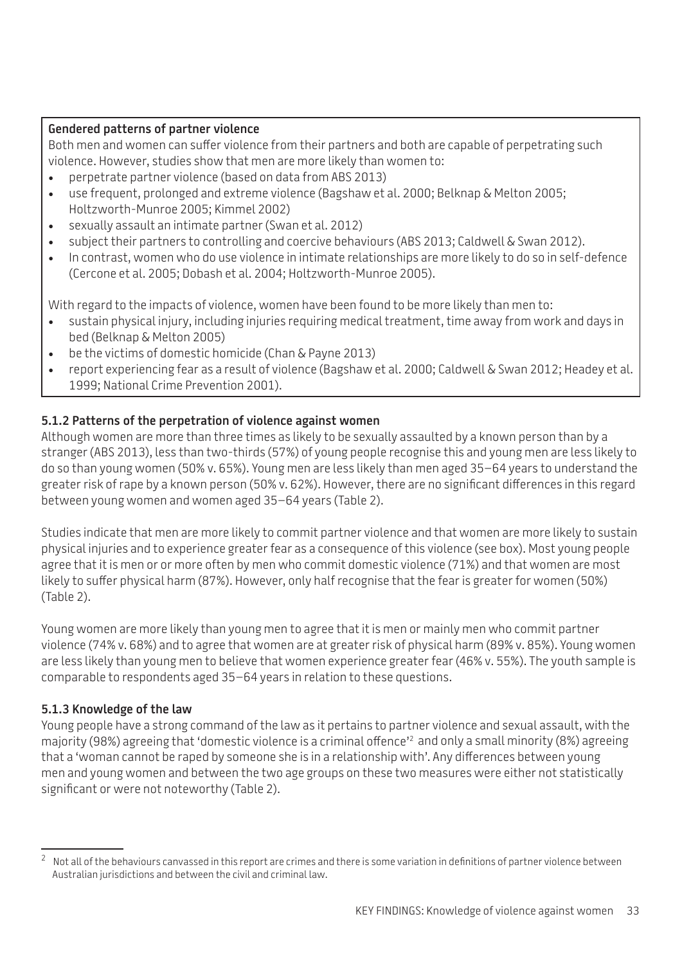### **Gendered patterns of partner violence**

Both men and women can suffer violence from their partners and both are capable of perpetrating such violence. However, studies show that men are more likely than women to:

- • perpetrate partner violence (based on data from ABS 2013)
- use frequent, prolonged and extreme violence (Bagshaw et al. 2000; Belknap & Melton 2005; Holtzworth-Munroe 2005; Kimmel 2002)
- • sexually assault an intimate partner (Swan et al. 2012)
- subject their partners to controlling and coercive behaviours (ABS 2013; Caldwell & Swan 2012).
- • In contrast, women who do use violence in intimate relationships are more likely to do so in self-defence (Cercone et al. 2005; Dobash et al. 2004; Holtzworth-Munroe 2005).

With regard to the impacts of violence, women have been found to be more likely than men to:

- • sustain physical injury, including injuries requiring medical treatment, time away from work and days in bed (Belknap & Melton 2005)
- • be the victims of domestic homicide (Chan & Payne 2013)
- report experiencing fear as a result of violence (Bagshaw et al. 2000; Caldwell & Swan 2012; Headey et al. 1999; National Crime Prevention 2001).

# **5.1.2 Patterns of the perpetration of violence against women**

Although women are more than three times as likely to be sexually assaulted by a known person than by a stranger (ABS 2013), less than two-thirds (57%) of young people recognise this and young men are less likely to do so than young women (50% v. 65%). Young men are less likely than men aged 35–64 years to understand the greater risk of rape by a known person (50% v. 62%). However, there are no significant differences in this regard between young women and women aged 35–64 years (Table 2).

Studies indicate that men are more likely to commit partner violence and that women are more likely to sustain physical injuries and to experience greater fear as a consequence of this violence (see box). Most young people agree that it is men or or more often by men who commit domestic violence (71%) and that women are most likely to suffer physical harm (87%). However, only half recognise that the fear is greater for women (50%) (Table 2).

Young women are more likely than young men to agree that it is men or mainly men who commit partner violence (74% v. 68%) and to agree that women are at greater risk of physical harm (89% v. 85%). Young women are less likely than young men to believe that women experience greater fear (46% v. 55%). The youth sample is comparable to respondents aged 35–64 years in relation to these questions.

# **5.1.3 Knowledge of the law**

Young people have a strong command of the law as it pertains to partner violence and sexual assault, with the majority (98%) agreeing that 'domestic violence is a criminal offence'2 and only a small minority (8%) agreeing that a 'woman cannot be raped by someone she is in a relationship with'. Any differences between young men and young women and between the two age groups on these two measures were either not statistically significant or were not noteworthy (Table 2).

<sup>2</sup> Not all of the behaviours canvassed in this report are crimes and there is some variation in definitions of partner violence between Australian jurisdictions and between the civil and criminal law.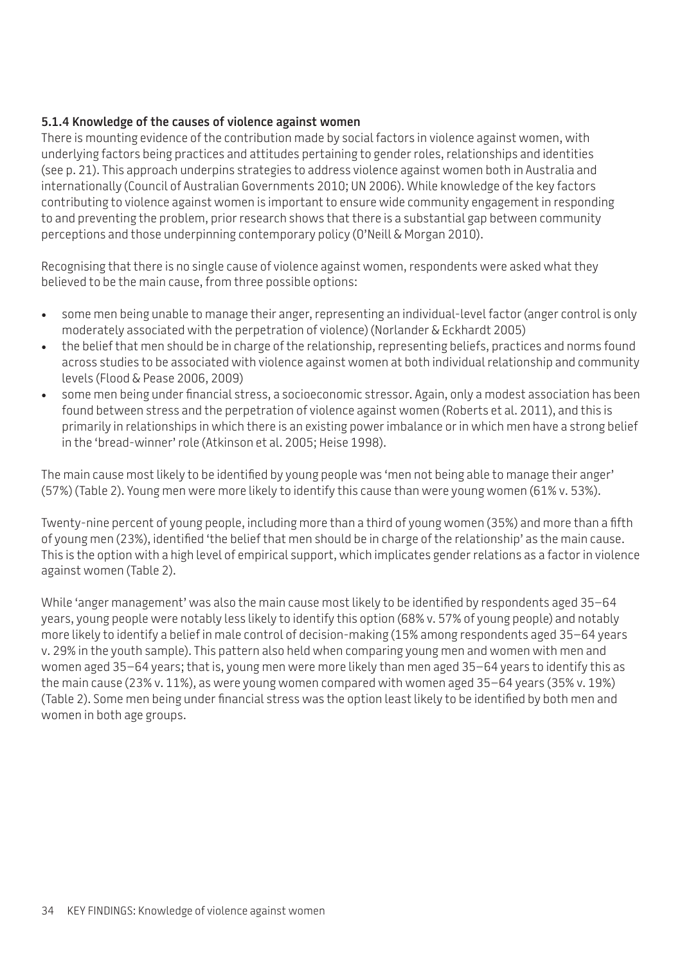#### **5.1.4 Knowledge of the causes of violence against women**

There is mounting evidence of the contribution made by social factors in violence against women, with underlying factors being practices and attitudes pertaining to gender roles, relationships and identities (see p. 21). This approach underpins strategies to address violence against women both in Australia and internationally (Council of Australian Governments 2010; UN 2006). While knowledge of the key factors contributing to violence against women is important to ensure wide community engagement in responding to and preventing the problem, prior research shows that there is a substantial gap between community perceptions and those underpinning contemporary policy (O'Neill & Morgan 2010).

Recognising that there is no single cause of violence against women, respondents were asked what they believed to be the main cause, from three possible options:

- • some men being unable to manage their anger, representing an individual-level factor (anger control is only moderately associated with the perpetration of violence) (Norlander & Eckhardt 2005)
- the belief that men should be in charge of the relationship, representing beliefs, practices and norms found across studies to be associated with violence against women at both individual relationship and community levels (Flood & Pease 2006, 2009)
- some men being under financial stress, a socioeconomic stressor. Again, only a modest association has been found between stress and the perpetration of violence against women (Roberts et al. 2011), and this is primarily in relationships in which there is an existing power imbalance or in which men have a strong belief in the 'bread-winner' role (Atkinson et al. 2005; Heise 1998).

The main cause most likely to be identified by young people was 'men not being able to manage their anger' (57%) (Table 2). Young men were more likely to identify this cause than were young women (61% v. 53%).

Twenty-nine percent of young people, including more than a third of young women (35%) and more than a fifth of young men (23%), identified 'the belief that men should be in charge of the relationship' as the main cause. This is the option with a high level of empirical support, which implicates gender relations as a factor in violence against women (Table 2).

While 'anger management' was also the main cause most likely to be identified by respondents aged 35–64 years, young people were notably less likely to identify this option (68% v. 57% of young people) and notably more likely to identify a belief in male control of decision-making (15% among respondents aged 35–64 years v. 29% in the youth sample). This pattern also held when comparing young men and women with men and women aged 35–64 years; that is, young men were more likely than men aged 35–64 years to identify this as the main cause (23% v. 11%), as were young women compared with women aged 35–64 years (35% v. 19%) (Table 2). Some men being under financial stress was the option least likely to be identified by both men and women in both age groups.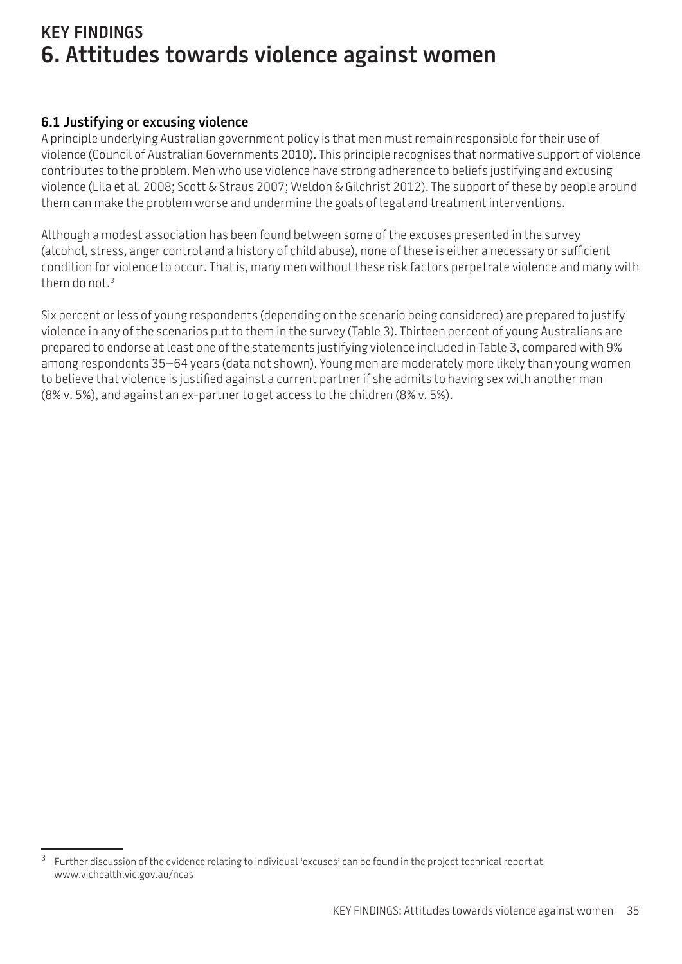# **6. Attitudes towards violence against women KEY FINDINGS**

# **6.1 Justifying or excusing violence**

A principle underlying Australian government policy is that men must remain responsible for their use of violence (Council of Australian Governments 2010). This principle recognises that normative support of violence contributes to the problem. Men who use violence have strong adherence to beliefs justifying and excusing violence (Lila et al. 2008; Scott & Straus 2007; Weldon & Gilchrist 2012). The support of these by people around them can make the problem worse and undermine the goals of legal and treatment interventions.

Although a modest association has been found between some of the excuses presented in the survey (alcohol, stress, anger control and a history of child abuse), none of these is either a necessary or sufficient condition for violence to occur. That is, many men without these risk factors perpetrate violence and many with them do not.<sup>3</sup>

Six percent or less of young respondents (depending on the scenario being considered) are prepared to justify violence in any of the scenarios put to them in the survey (Table 3). Thirteen percent of young Australians are prepared to endorse at least one of the statements justifying violence included in Table 3, compared with 9% among respondents 35–64 years (data not shown). Young men are moderately more likely than young women to believe that violence is justified against a current partner if she admits to having sex with another man (8% v. 5%), and against an ex-partner to get access to the children (8% v. 5%).

<sup>3</sup> Further discussion of the evidence relating to individual 'excuses' can be found in the project technical report at www.vichealth.vic.gov.au/ncas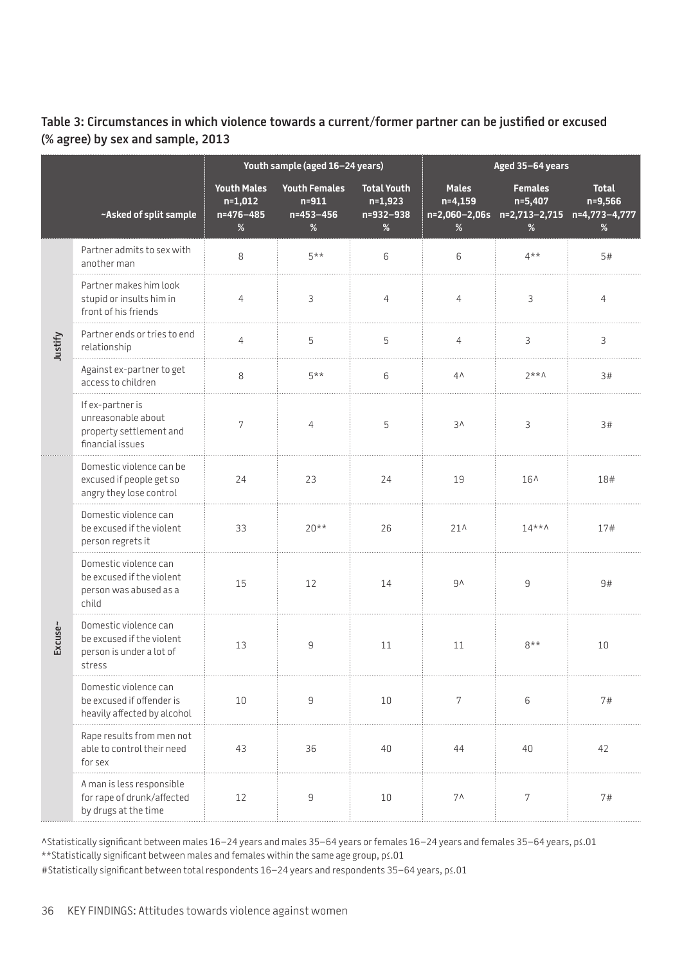**Table 3: Circumstances in which violence towards a current/former partner can be justified or excused (% agree) by sex and sample, 2013**

|         |                                                                                          | Youth sample (aged 16-24 years)                   |                                                           |                                                   | Aged 35-64 years               |                                                                               |                              |
|---------|------------------------------------------------------------------------------------------|---------------------------------------------------|-----------------------------------------------------------|---------------------------------------------------|--------------------------------|-------------------------------------------------------------------------------|------------------------------|
|         | ~Asked of split sample                                                                   | <b>Youth Males</b><br>$n=1,012$<br>n=476-485<br>% | <b>Youth Females</b><br>$n = 911$<br>$n = 453 - 456$<br>% | <b>Total Youth</b><br>$n=1,923$<br>n=932-938<br>% | <b>Males</b><br>$n=4,159$<br>% | <b>Females</b><br>$n=5,407$<br>n=2,060-2,06s n=2,713-2,715 n=4,773-4,777<br>% | <b>Total</b><br>n=9,566<br>% |
|         | Partner admits to sex with<br>another man                                                | 8                                                 | 5**                                                       | 6                                                 | 6                              | $4**$                                                                         | 5#                           |
|         | Partner makes him look<br>stupid or insults him in<br>front of his friends               | $\overline{4}$                                    | 3                                                         | $\overline{4}$                                    | 4                              | 3                                                                             | $\overline{4}$               |
| Justify | Partner ends or tries to end<br>relationship                                             | 4                                                 | 5                                                         | 5                                                 | $\overline{4}$                 | 3                                                                             | 3                            |
|         | Against ex-partner to get<br>access to children                                          | 8                                                 | $5***$                                                    | 6                                                 | $4\Lambda$                     | $2***$ $\wedge$                                                               | 3#                           |
|         | If ex-partner is<br>unreasonable about<br>property settlement and<br>financial issues    | 7                                                 | $\overline{4}$                                            | 5                                                 | 3 <sub>0</sub>                 | 3                                                                             | 3#                           |
|         | Domestic violence can be<br>excused if people get so<br>angry they lose control          | 24                                                | 23                                                        | 24                                                | 19                             | 16^                                                                           | 18#                          |
|         | Domestic violence can<br>be excused if the violent<br>person regrets it                  | 33                                                | $20**$                                                    | 26                                                | $21^{\wedge}$                  | $14***$ $\wedge$                                                              | 17#                          |
|         | Domestic violence can<br>be excused if the violent<br>person was abused as a<br>child    | 15                                                | 12                                                        | 14                                                | 9 <sub>0</sub>                 | 9                                                                             | 9#                           |
| Excuse~ | Domestic violence can<br>be excused if the violent<br>person is under a lot of<br>stress | 13                                                | 9                                                         | 11                                                | 11                             | $8***$                                                                        | 10                           |
|         | Domestic violence can<br>be excused if offender is<br>heavily affected by alcohol        | $10\,$                                            | 9                                                         | 10                                                | 7                              | 6                                                                             | 7#                           |
|         | Rape results from men not<br>able to control their need<br>for sex                       | 43                                                | 36                                                        | 40                                                | 44                             | 40                                                                            | 42                           |
|         | A man is less responsible<br>for rape of drunk/affected<br>by drugs at the time          | 12                                                | $\mathsf g$                                               | 10                                                | 7۸                             | 7                                                                             | 7#                           |

^Statistically significant between males 16–24 years and males 35–64 years or females 16–24 years and females 35–64 years, p≤.01 \*\*Statistically significant between males and females within the same age group, p≤.01

#Statistically significant between total respondents 16–24 years and respondents 35–64 years, p≤.01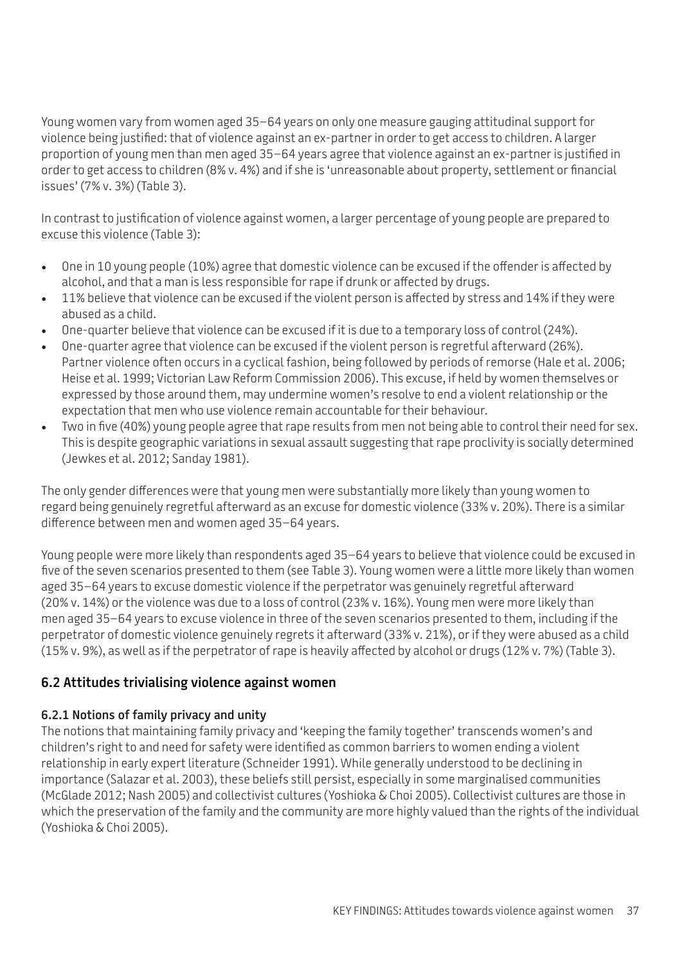Young women vary from women aged 35–64 years on only one measure gauging attitudinal support for violence being justified: that of violence against an ex-partner in order to get access to children. A larger proportion of young men than men aged 35–64 years agree that violence against an ex-partner is justified in order to get access to children (8% v. 4%) and if she is 'unreasonable about property, settlement or financial issues' (7% v. 3%) (Table 3).

In contrast to justification of violence against women, a larger percentage of young people are prepared to excuse this violence (Table 3):

- One in 10 young people (10%) agree that domestic violence can be excused if the offender is affected by alcohol, and that a man is less responsible for rape if drunk or affected by drugs.
- 11% believe that violence can be excused if the violent person is affected by stress and 14% if they were abused as a child.
- One-quarter believe that violence can be excused if it is due to a temporary loss of control (24%).
- One-quarter agree that violence can be excused if the violent person is regretful afterward (26%). Partner violence often occurs in a cyclical fashion, being followed by periods of remorse (Hale et al. 2006; Heise et al. 1999; Victorian Law Reform Commission 2006). This excuse, if held by women themselves or expressed by those around them, may undermine women's resolve to end a violent relationship or the expectation that men who use violence remain accountable for their behaviour.
- Two in five (40%) young people agree that rape results from men not being able to control their need for sex. This is despite geographic variations in sexual assault suggesting that rape proclivity is socially determined (Jewkes et al. 2012; Sanday 1981).

The only gender differences were that young men were substantially more likely than young women to regard being genuinely regretful afterward as an excuse for domestic violence (33% v. 20%). There is a similar difference between men and women aged 35–64 years.

Young people were more likely than respondents aged 35–64 years to believe that violence could be excused in five of the seven scenarios presented to them (see Table 3). Young women were a little more likely than women aged 35–64 years to excuse domestic violence if the perpetrator was genuinely regretful afterward (20% v. 14%) or the violence was due to a loss of control (23% v. 16%). Young men were more likely than men aged 35–64 years to excuse violence in three of the seven scenarios presented to them, including if the perpetrator of domestic violence genuinely regrets it afterward (33% v. 21%), or if they were abused as a child (15% v. 9%), as well as if the perpetrator of rape is heavily affected by alcohol or drugs (12% v. 7%) (Table 3).

# **6.2 Attitudes trivialising violence against women**

# **6.2.1 Notions of family privacy and unity**

The notions that maintaining family privacy and 'keeping the family together' transcends women's and children's right to and need for safety were identified as common barriers to women ending a violent relationship in early expert literature (Schneider 1991). While generally understood to be declining in importance (Salazar et al. 2003), these beliefs still persist, especially in some marginalised communities (McGlade 2012; Nash 2005) and collectivist cultures (Yoshioka & Choi 2005). Collectivist cultures are those in which the preservation of the family and the community are more highly valued than the rights of the individual (Yoshioka & Choi 2005).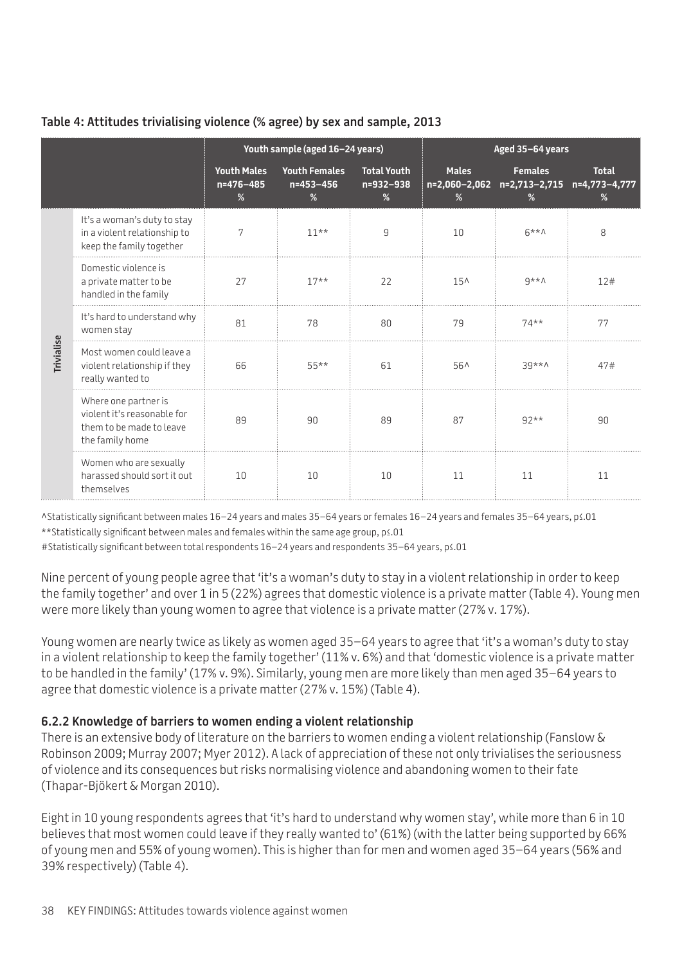|                   |                                                                                                    | Youth sample (aged 16-24 years)      |                                              |                                      | Aged 35-64 years  |                                                                  |                   |  |
|-------------------|----------------------------------------------------------------------------------------------------|--------------------------------------|----------------------------------------------|--------------------------------------|-------------------|------------------------------------------------------------------|-------------------|--|
|                   |                                                                                                    | <b>Youth Males</b><br>n=476-485<br>% | <b>Youth Females</b><br>$n = 453 - 456$<br>% | <b>Total Youth</b><br>n=932-938<br>% | <b>Males</b><br>% | <b>Females</b><br>n=2,060-2,062 n=2,713-2,715 n=4,773-4,777<br>% | <b>Total</b><br>% |  |
| <b>Trivialise</b> | It's a woman's duty to stay<br>in a violent relationship to<br>keep the family together            | 7                                    | $11**$                                       | 9                                    | 10                | $6***$                                                           | 8                 |  |
|                   | Domestic violence is<br>a private matter to be<br>handled in the family                            | 27                                   | $17**$                                       | 22                                   | 15 <sub>0</sub>   | $9***$                                                           | 12#               |  |
|                   | It's hard to understand why<br>women stay                                                          | 81                                   | 78                                           | 80                                   | 79                | $74**$                                                           | 77                |  |
|                   | Most women could leave a<br>violent relationship if they<br>really wanted to                       | 66                                   | $55***$                                      | 61                                   | 56^               | $39***$ $\wedge$                                                 | 47#               |  |
|                   | Where one partner is<br>violent it's reasonable for<br>them to be made to leave<br>the family home | 89                                   | 90                                           | 89                                   | 87                | $92**$                                                           | 90                |  |
|                   | Women who are sexually<br>harassed should sort it out<br>themselves                                | 10                                   | 10                                           | 10                                   | 11                | 11                                                               | 11                |  |

#### **Table 4: Attitudes trivialising violence (% agree) by sex and sample, 2013**

^Statistically significant between males 16–24 years and males 35–64 years or females 16–24 years and females 35–64 years, p≤.01

\*\*Statistically significant between males and females within the same age group, p≤.01

#Statistically significant between total respondents 16–24 years and respondents 35–64 years, p≤.01

Nine percent of young people agree that 'it's a woman's duty to stay in a violent relationship in order to keep the family together' and over 1 in 5 (22%) agrees that domestic violence is a private matter (Table 4). Young men were more likely than young women to agree that violence is a private matter (27% v. 17%).

Young women are nearly twice as likely as women aged 35–64 years to agree that 'it's a woman's duty to stay in a violent relationship to keep the family together' (11% v. 6%) and that 'domestic violence is a private matter to be handled in the family' (17% v. 9%). Similarly, young men are more likely than men aged 35–64 years to agree that domestic violence is a private matter (27% v. 15%) (Table 4).

# **6.2.2 Knowledge of barriers to women ending a violent relationship**

There is an extensive body of literature on the barriers to women ending a violent relationship (Fanslow & Robinson 2009; Murray 2007; Myer 2012). A lack of appreciation of these not only trivialises the seriousness of violence and its consequences but risks normalising violence and abandoning women to their fate (Thapar-Bjökert & Morgan 2010).

Eight in 10 young respondents agrees that 'it's hard to understand why women stay', while more than 6 in 10 believes that most women could leave if they really wanted to' (61%) (with the latter being supported by 66% of young men and 55% of young women). This is higher than for men and women aged 35–64 years (56% and 39% respectively) (Table 4).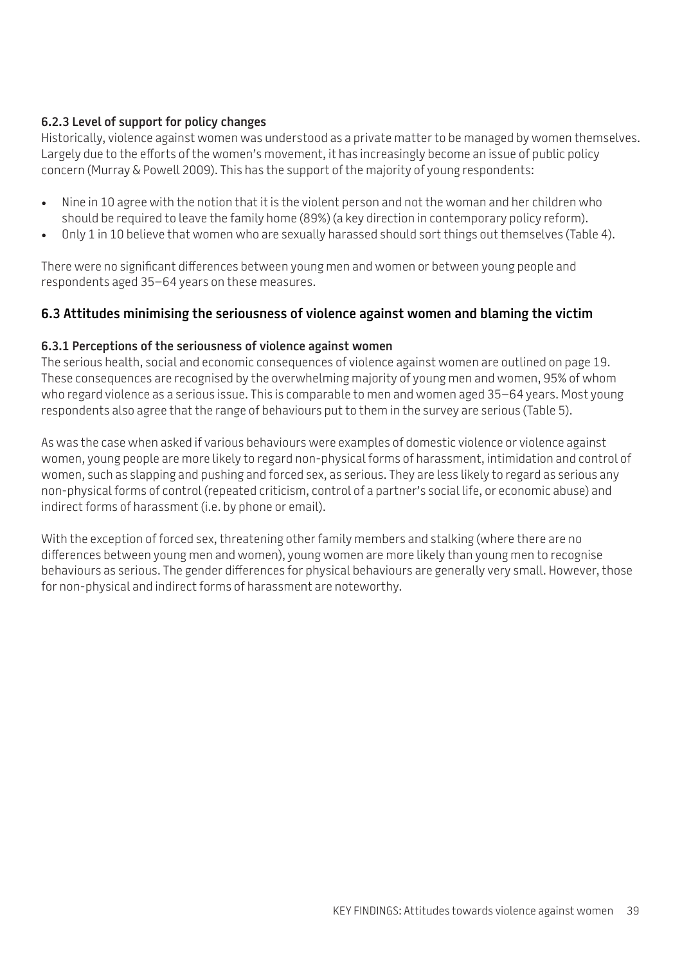#### **6.2.3 Level of support for policy changes**

Historically, violence against women was understood as a private matter to be managed by women themselves. Largely due to the efforts of the women's movement, it has increasingly become an issue of public policy concern (Murray & Powell 2009). This has the support of the majority of young respondents:

- • Nine in 10 agree with the notion that it is the violent person and not the woman and her children who should be required to leave the family home (89%) (a key direction in contemporary policy reform).
- Only 1 in 10 believe that women who are sexually harassed should sort things out themselves (Table 4).

There were no significant differences between young men and women or between young people and respondents aged 35–64 years on these measures.

# **6.3 Attitudes minimising the seriousness of violence against women and blaming the victim**

#### **6.3.1 Perceptions of the seriousness of violence against women**

The serious health, social and economic consequences of violence against women are outlined on page 19. These consequences are recognised by the overwhelming majority of young men and women, 95% of whom who regard violence as a serious issue. This is comparable to men and women aged 35–64 years. Most young respondents also agree that the range of behaviours put to them in the survey are serious (Table 5).

As was the case when asked if various behaviours were examples of domestic violence or violence against women, young people are more likely to regard non-physical forms of harassment, intimidation and control of women, such as slapping and pushing and forced sex, as serious. They are less likely to regard as serious any non-physical forms of control (repeated criticism, control of a partner's social life, or economic abuse) and indirect forms of harassment (i.e. by phone or email).

With the exception of forced sex, threatening other family members and stalking (where there are no differences between young men and women), young women are more likely than young men to recognise behaviours as serious. The gender differences for physical behaviours are generally very small. However, those for non-physical and indirect forms of harassment are noteworthy.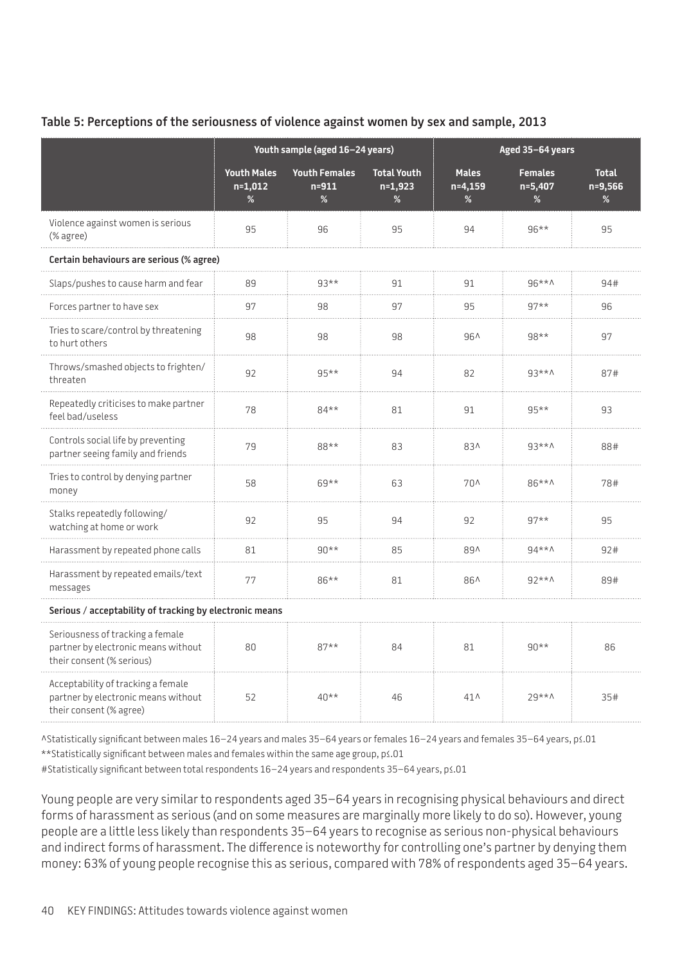# **Table 5: Perceptions of the seriousness of violence against women by sex and sample, 2013**

|                                                                                                      | Youth sample (aged 16-24 years)      |                                        |                                      | Aged 35-64 years               |                                  |                                  |  |
|------------------------------------------------------------------------------------------------------|--------------------------------------|----------------------------------------|--------------------------------------|--------------------------------|----------------------------------|----------------------------------|--|
|                                                                                                      | <b>Youth Males</b><br>$n=1,012$<br>% | <b>Youth Females</b><br>$n = 911$<br>% | <b>Total Youth</b><br>$n=1,923$<br>% | <b>Males</b><br>$n=4,159$<br>% | <b>Females</b><br>$n=5,407$<br>% | <b>Total</b><br>$n = 9,566$<br>% |  |
| Violence against women is serious<br>(% agree)                                                       | 95                                   | 96                                     | 95                                   | 94                             | $96***$                          | 95                               |  |
| Certain behaviours are serious (% agree)                                                             |                                      |                                        |                                      |                                |                                  |                                  |  |
| Slaps/pushes to cause harm and fear                                                                  | 89                                   | $93**$                                 | 91                                   | 91                             | $96***$                          | 94#                              |  |
| Forces partner to have sex                                                                           | 97                                   | 98                                     | 97                                   | 95                             | $97**$                           | 96                               |  |
| Tries to scare/control by threatening<br>to hurt others                                              | 98                                   | 98                                     | 98                                   | 96^                            | 98**                             | 97                               |  |
| Throws/smashed objects to frighten/<br>threaten                                                      | 92                                   | $95**$                                 | 94                                   | 82                             | $93***$ $\wedge$                 | 87#                              |  |
| Repeatedly criticises to make partner<br>feel bad/useless                                            | 78                                   | $84**$                                 | 81                                   | 91                             | $95**$                           | 93                               |  |
| Controls social life by preventing<br>partner seeing family and friends                              | 79                                   | 88**                                   | 83                                   | 83^                            | $93***$ $\wedge$                 | 88#                              |  |
| Tries to control by denying partner<br>money                                                         | 58                                   | 69**                                   | 63                                   | 70^                            | $86***$ $^*$                     | 78#                              |  |
| Stalks repeatedly following/<br>watching at home or work                                             | 92                                   | 95                                     | 94                                   | 92                             | $97**$                           | 95                               |  |
| Harassment by repeated phone calls                                                                   | 81                                   | $90**$                                 | 85                                   | 89^                            | $94***$ $\wedge$                 | 92#                              |  |
| Harassment by repeated emails/text<br>messages                                                       | 77                                   | $86***$                                | 81                                   | 86^                            | $92***$ $\wedge$                 | 89#                              |  |
| Serious / acceptability of tracking by electronic means                                              |                                      |                                        |                                      |                                |                                  |                                  |  |
| Seriousness of tracking a female<br>partner by electronic means without<br>their consent (% serious) | 80                                   | $87**$                                 | 84                                   | 81                             | $90**$                           | 86                               |  |
| Acceptability of tracking a female<br>partner by electronic means without<br>their consent (% agree) | 52                                   | $40**$                                 | 46                                   | 41 <sub>0</sub>                | $79***$                          | 35#                              |  |

^Statistically significant between males 16–24 years and males 35–64 years or females 16–24 years and females 35–64 years, p≤.01 \*\*Statistically significant between males and females within the same age group, p≤.01

#Statistically significant between total respondents 16–24 years and respondents 35–64 years, p≤.01

Young people are very similar to respondents aged 35–64 years in recognising physical behaviours and direct forms of harassment as serious (and on some measures are marginally more likely to do so). However, young people are a little less likely than respondents 35–64 years to recognise as serious non-physical behaviours and indirect forms of harassment. The difference is noteworthy for controlling one's partner by denying them money: 63% of young people recognise this as serious, compared with 78% of respondents aged 35–64 years.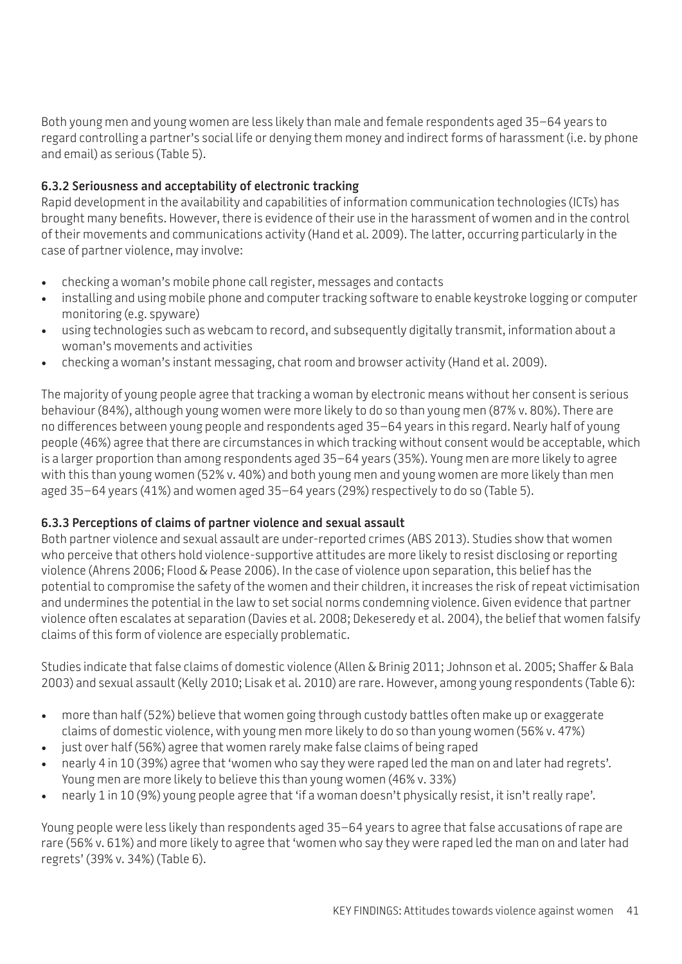Both young men and young women are less likely than male and female respondents aged 35–64 years to regard controlling a partner's social life or denying them money and indirect forms of harassment (i.e. by phone and email) as serious (Table 5).

# **6.3.2 Seriousness and acceptability of electronic tracking**

Rapid development in the availability and capabilities of information communication technologies (ICTs) has brought many benefits. However, there is evidence of their use in the harassment of women and in the control of their movements and communications activity (Hand et al. 2009). The latter, occurring particularly in the case of partner violence, may involve:

- checking a woman's mobile phone call register, messages and contacts
- installing and using mobile phone and computer tracking software to enable keystroke logging or computer monitoring (e.g. spyware)
- using technologies such as webcam to record, and subsequently digitally transmit, information about a woman's movements and activities
- checking a woman's instant messaging, chat room and browser activity (Hand et al. 2009).

The majority of young people agree that tracking a woman by electronic means without her consent is serious behaviour (84%), although young women were more likely to do so than young men (87% v. 80%). There are no differences between young people and respondents aged 35–64 years in this regard. Nearly half of young people (46%) agree that there are circumstances in which tracking without consent would be acceptable, which is a larger proportion than among respondents aged 35–64 years (35%). Young men are more likely to agree with this than young women (52% v. 40%) and both young men and young women are more likely than men aged 35–64 years (41%) and women aged 35–64 years (29%) respectively to do so (Table 5).

#### **6.3.3 Perceptions of claims of partner violence and sexual assault**

Both partner violence and sexual assault are under-reported crimes (ABS 2013). Studies show that women who perceive that others hold violence-supportive attitudes are more likely to resist disclosing or reporting violence (Ahrens 2006; Flood & Pease 2006). In the case of violence upon separation, this belief has the potential to compromise the safety of the women and their children, it increases the risk of repeat victimisation and undermines the potential in the law to set social norms condemning violence. Given evidence that partner violence often escalates at separation (Davies et al. 2008; Dekeseredy et al. 2004), the belief that women falsify claims of this form of violence are especially problematic.

Studies indicate that false claims of domestic violence (Allen & Brinig 2011; Johnson et al. 2005; Shaffer & Bala 2003) and sexual assault (Kelly 2010; Lisak et al. 2010) are rare. However, among young respondents (Table 6):

- more than half (52%) believe that women going through custody battles often make up or exaggerate claims of domestic violence, with young men more likely to do so than young women (56% v. 47%)
- just over half (56%) agree that women rarely make false claims of being raped
- nearly 4 in 10 (39%) agree that 'women who say they were raped led the man on and later had regrets'. Young men are more likely to believe this than young women (46% v. 33%)
- nearly 1 in 10 (9%) young people agree that 'if a woman doesn't physically resist, it isn't really rape'.

Young people were less likely than respondents aged 35–64 years to agree that false accusations of rape are rare (56% v. 61%) and more likely to agree that 'women who say they were raped led the man on and later had regrets' (39% v. 34%) (Table 6).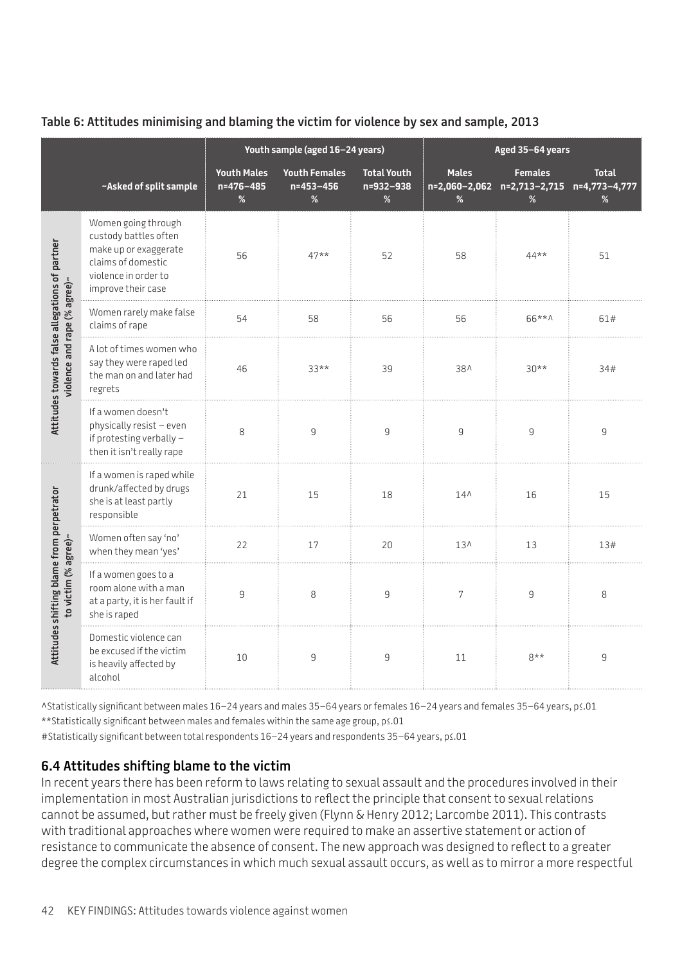|                                                                                |                                                                                                                                           | Youth sample (aged 16-24 years)      |                                        |                                      | Aged 35-64 years  |                                                                  |                   |  |
|--------------------------------------------------------------------------------|-------------------------------------------------------------------------------------------------------------------------------------------|--------------------------------------|----------------------------------------|--------------------------------------|-------------------|------------------------------------------------------------------|-------------------|--|
|                                                                                | ~Asked of split sample                                                                                                                    | <b>Youth Males</b><br>n=476-485<br>% | <b>Youth Females</b><br>n=453-456<br>% | <b>Total Youth</b><br>n=932-938<br>% | <b>Males</b><br>% | <b>Females</b><br>n=2,060-2,062 n=2,713-2,715 n=4,773-4,777<br>% | <b>Total</b><br>% |  |
|                                                                                | Women going through<br>custody battles often<br>make up or exaggerate<br>claims of domestic<br>violence in order to<br>improve their case | 56                                   | $47**$                                 | 52                                   | 58                | 44**                                                             | 51                |  |
|                                                                                | Women rarely make false<br>claims of rape                                                                                                 | 54                                   | 58                                     | 56                                   | 56                | 66**^                                                            | 61#               |  |
| Attitudes towards false allegations of partner<br>violence and rape (% agree)~ | A lot of times women who<br>say they were raped led<br>the man on and later had<br>regrets                                                | 46                                   | $33**$                                 | 39                                   | 38^               | $30**$                                                           | 34#               |  |
|                                                                                | If a women doesn't<br>physically resist - even<br>if protesting verbally -<br>then it isn't really rape                                   | 8                                    | 9                                      | 9                                    | 9                 | 9                                                                | 9                 |  |
|                                                                                | If a women is raped while<br>drunk/affected by drugs<br>she is at least partly<br>responsible                                             | 21                                   | 15                                     | 18                                   | 14 <sub>0</sub>   | 16                                                               | 15                |  |
|                                                                                | Women often say 'no'<br>when they mean 'yes'                                                                                              | 22                                   | 17                                     | 20                                   | 13 <sub>0</sub>   | 13                                                               | 13#               |  |
| Attitudes shifting blame from perpetrator<br>to victim (% agree)~              | If a women goes to a<br>room alone with a man<br>at a party, it is her fault if<br>she is raped                                           | 9                                    | 8                                      | 9                                    | 7                 | 9                                                                | 8                 |  |
|                                                                                | Domestic violence can<br>be excused if the victim<br>is heavily affected by<br>alcohol                                                    | 10                                   | 9                                      | 9                                    | 11                | $8**$                                                            | 9                 |  |

# **Table 6: Attitudes minimising and blaming the victim for violence by sex and sample, 2013**

^Statistically significant between males 16–24 years and males 35–64 years or females 16–24 years and females 35–64 years, p≤.01 \*\*Statistically significant between males and females within the same age group, p≤.01

#Statistically significant between total respondents 16–24 years and respondents 35–64 years, p≤.01

# **6.4 Attitudes shifting blame to the victim**

In recent years there has been reform to laws relating to sexual assault and the procedures involved in their implementation in most Australian jurisdictions to reflect the principle that consent to sexual relations cannot be assumed, but rather must be freely given (Flynn & Henry 2012; Larcombe 2011). This contrasts with traditional approaches where women were required to make an assertive statement or action of resistance to communicate the absence of consent. The new approach was designed to reflect to a greater degree the complex circumstances in which much sexual assault occurs, as well as to mirror a more respectful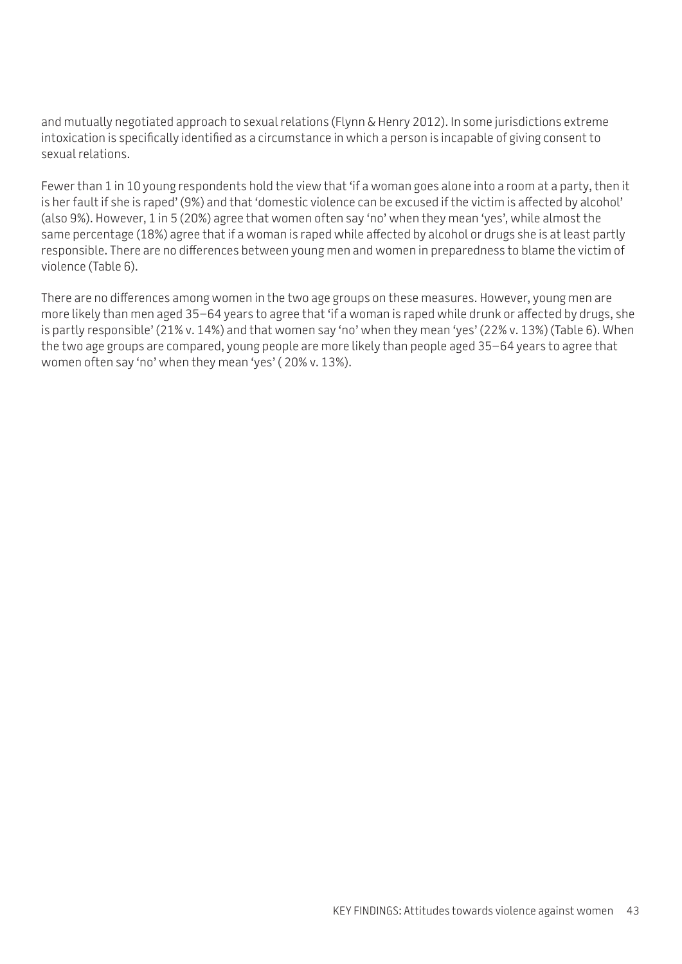and mutually negotiated approach to sexual relations (Flynn & Henry 2012). In some jurisdictions extreme intoxication is specifically identified as a circumstance in which a person is incapable of giving consent to sexual relations.

Fewer than 1 in 10 young respondents hold the view that 'if a woman goes alone into a room at a party, then it is her fault if she is raped' (9%) and that 'domestic violence can be excused if the victim is affected by alcohol' (also 9%). However, 1 in 5 (20%) agree that women often say 'no' when they mean 'yes', while almost the same percentage (18%) agree that if a woman is raped while affected by alcohol or drugs she is at least partly responsible. There are no differences between young men and women in preparedness to blame the victim of violence (Table 6).

There are no differences among women in the two age groups on these measures. However, young men are more likely than men aged 35–64 years to agree that 'if a woman is raped while drunk or affected by drugs, she is partly responsible' (21% v. 14%) and that women say 'no' when they mean 'yes' (22% v. 13%) (Table 6). When the two age groups are compared, young people are more likely than people aged 35–64 years to agree that women often say 'no' when they mean 'yes' ( 20% v. 13%).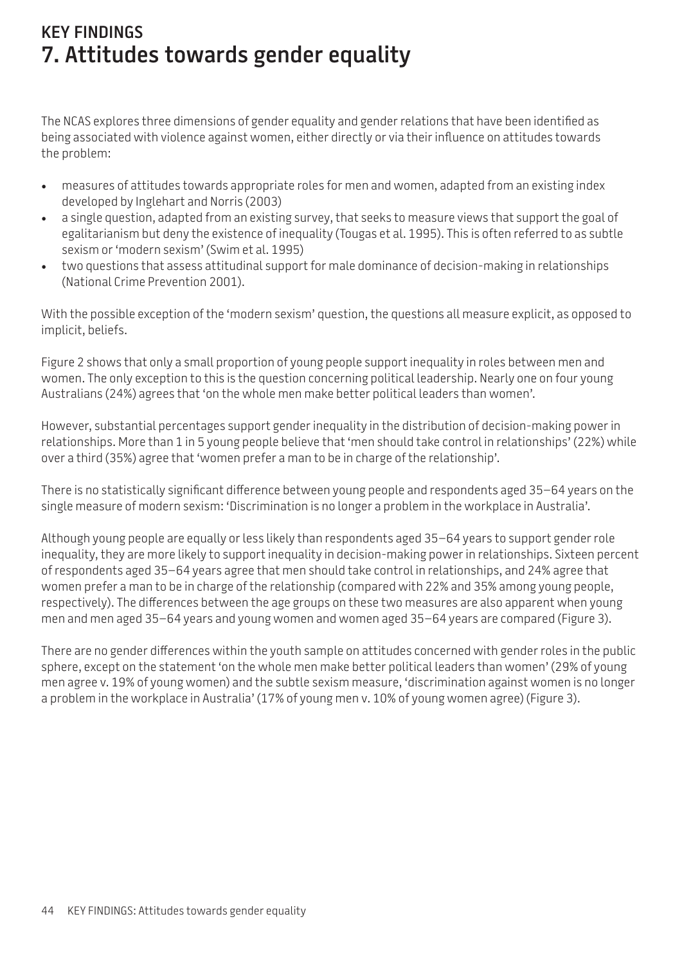# **7. Attitudes towards gender equality KEY FINDINGS**

The NCAS explores three dimensions of gender equality and gender relations that have been identified as being associated with violence against women, either directly or via their influence on attitudes towards the problem:

- measures of attitudes towards appropriate roles for men and women, adapted from an existing index developed by Inglehart and Norris (2003)
- a single question, adapted from an existing survey, that seeks to measure views that support the goal of egalitarianism but deny the existence of inequality (Tougas et al. 1995). This is often referred to as subtle sexism or 'modern sexism' (Swim et al. 1995)
- two questions that assess attitudinal support for male dominance of decision-making in relationships (National Crime Prevention 2001).

With the possible exception of the 'modern sexism' question, the questions all measure explicit, as opposed to implicit, beliefs.

Figure 2 shows that only a small proportion of young people support inequality in roles between men and women. The only exception to this is the question concerning political leadership. Nearly one on four young Australians (24%) agrees that 'on the whole men make better political leaders than women'.

However, substantial percentages support gender inequality in the distribution of decision-making power in relationships. More than 1 in 5 young people believe that 'men should take control in relationships' (22%) while over a third (35%) agree that 'women prefer a man to be in charge of the relationship'.

There is no statistically significant difference between young people and respondents aged 35–64 years on the single measure of modern sexism: 'Discrimination is no longer a problem in the workplace in Australia'.

Although young people are equally or less likely than respondents aged 35–64 years to support gender role inequality, they are more likely to support inequality in decision-making power in relationships. Sixteen percent of respondents aged 35–64 years agree that men should take control in relationships, and 24% agree that women prefer a man to be in charge of the relationship (compared with 22% and 35% among young people, respectively). The differences between the age groups on these two measures are also apparent when young men and men aged 35–64 years and young women and women aged 35–64 years are compared (Figure 3).

There are no gender differences within the youth sample on attitudes concerned with gender roles in the public sphere, except on the statement 'on the whole men make better political leaders than women' (29% of young men agree v. 19% of young women) and the subtle sexism measure, 'discrimination against women is no longer a problem in the workplace in Australia' (17% of young men v. 10% of young women agree) (Figure 3).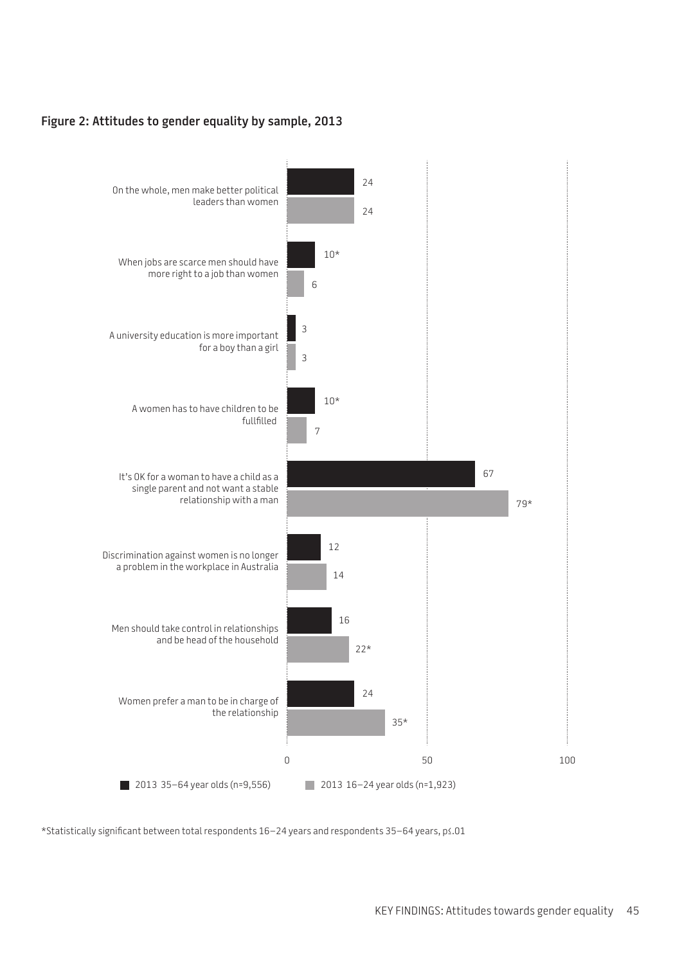#### **Figure 2: Attitudes to gender equality by sample, 2013**



\*Statistically significant between total respondents 16–24 years and respondents 35–64 years, p≤.01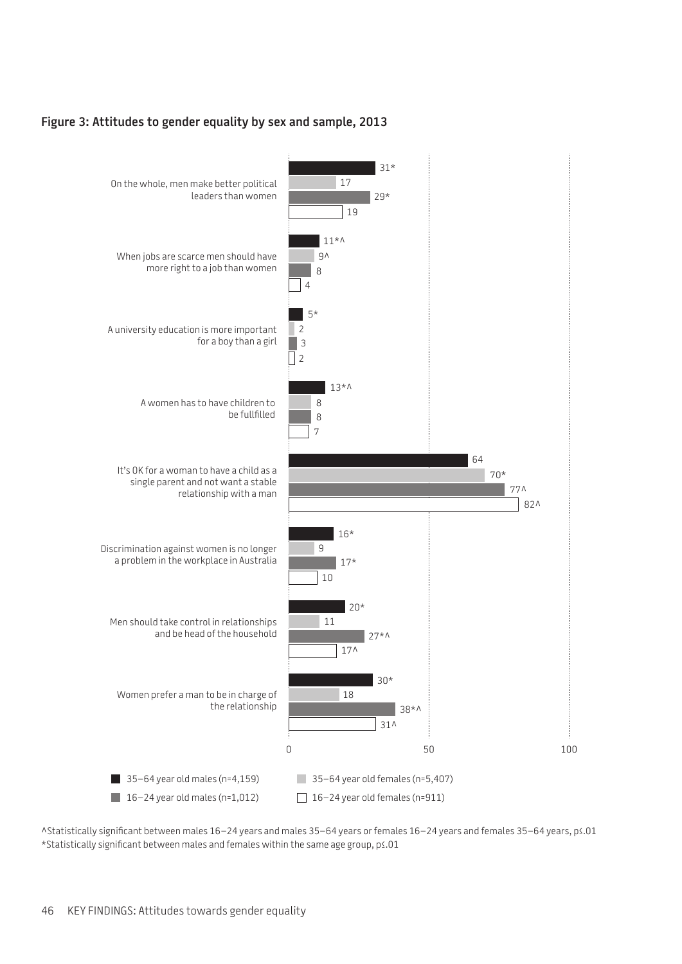### **Figure 3: Attitudes to gender equality by sex and sample, 2013**



^Statistically significant between males 16–24 years and males 35–64 years or females 16–24 years and females 35–64 years, p≤.01 \*Statistically significant between males and females within the same age group, p≤.01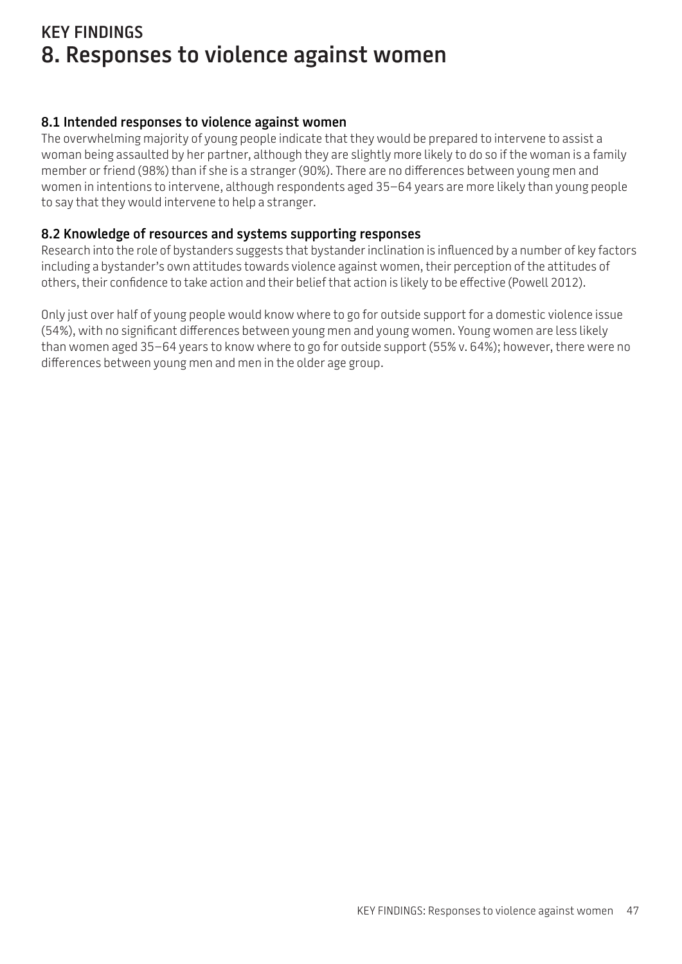# **8. Responses to violence against women KEY FINDINGS**

#### **8.1 Intended responses to violence against women**

The overwhelming majority of young people indicate that they would be prepared to intervene to assist a woman being assaulted by her partner, although they are slightly more likely to do so if the woman is a family member or friend (98%) than if she is a stranger (90%). There are no differences between young men and women in intentions to intervene, although respondents aged 35–64 years are more likely than young people to say that they would intervene to help a stranger.

#### **8.2 Knowledge of resources and systems supporting responses**

Research into the role of bystanders suggests that bystander inclination is influenced by a number of key factors including a bystander's own attitudes towards violence against women, their perception of the attitudes of others, their confidence to take action and their belief that action is likely to be effective (Powell 2012).

Only just over half of young people would know where to go for outside support for a domestic violence issue (54%), with no significant differences between young men and young women. Young women are less likely than women aged 35–64 years to know where to go for outside support (55% v. 64%); however, there were no differences between young men and men in the older age group.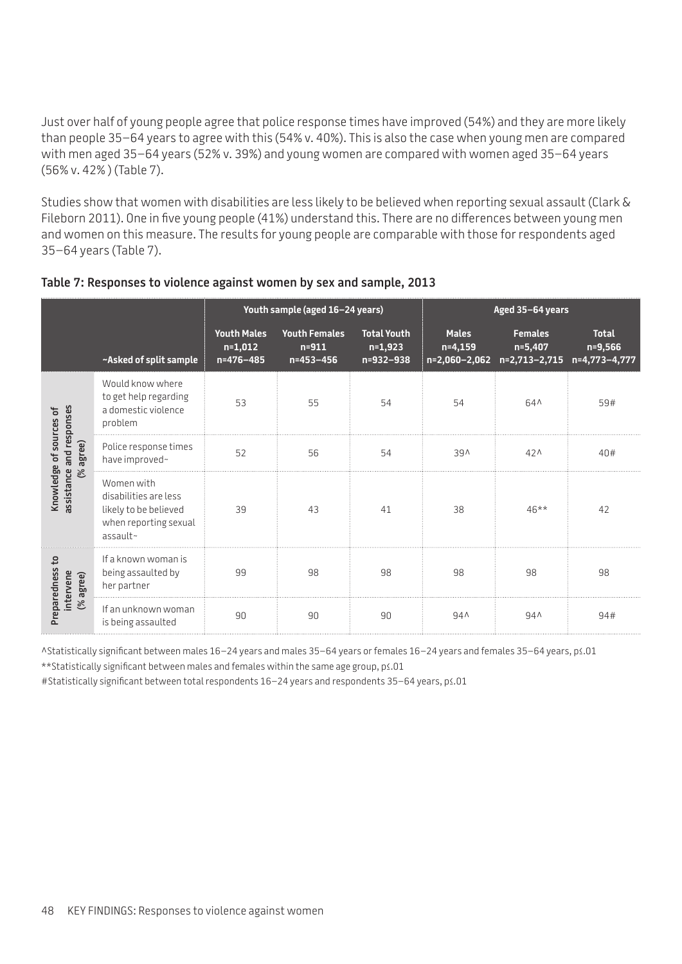Just over half of young people agree that police response times have improved (54%) and they are more likely than people 35–64 years to agree with this (54% v. 40%). This is also the case when young men are compared with men aged 35–64 years (52% v. 39%) and young women are compared with women aged 35–64 years (56% v. 42% ) (Table 7).

Studies show that women with disabilities are less likely to be believed when reporting sexual assault (Clark & Fileborn 2011). One in five young people (41%) understand this. There are no differences between young men and women on this measure. The results for young people are comparable with those for respondents aged 35–64 years (Table 7).

|                                                    |                                                                                                  | Youth sample (aged 16-24 years)              |                                                      |                                              | Aged 35-64 years          |                                                                            |                             |  |
|----------------------------------------------------|--------------------------------------------------------------------------------------------------|----------------------------------------------|------------------------------------------------------|----------------------------------------------|---------------------------|----------------------------------------------------------------------------|-----------------------------|--|
|                                                    | ~Asked of split sample                                                                           | <b>Youth Males</b><br>$n=1,012$<br>n=476-485 | <b>Youth Females</b><br>$n = 911$<br>$n = 453 - 456$ | <b>Total Youth</b><br>$n=1,923$<br>n=932-938 | <b>Males</b><br>$n=4,159$ | <b>Females</b><br>$n = 5,407$<br>n=2,060-2,062 n=2,713-2,715 n=4,773-4,777 | <b>Total</b><br>$n = 9,566$ |  |
|                                                    | Would know where<br>to get help regarding<br>a domestic violence<br>problem                      | 53                                           | 55                                                   | 54                                           | 54                        | 64 <sub>0</sub>                                                            | 59#                         |  |
| and responses<br>agree)                            | Police response times<br>have improved~                                                          | 52                                           | 56                                                   | 54                                           | 39^                       | 42 <sub>0</sub>                                                            | 40#                         |  |
| Knowledge of sources of<br>assistance<br>్ర        | Women with<br>disabilities are less<br>likely to be believed<br>when reporting sexual<br>assault | 39                                           | 43                                                   | 41                                           | 38                        | $46***$                                                                    | 42                          |  |
| Preparedness to<br>intervene<br>agree)<br>$\infty$ | If a known woman is<br>being assaulted by<br>her partner                                         | 99                                           | 98                                                   | 98                                           | 98                        | 98                                                                         | 98                          |  |
|                                                    | If an unknown woman<br>is being assaulted                                                        | 90                                           | 90                                                   | 90                                           | 94 <sub>0</sub>           | 94 <sub>0</sub>                                                            | 94#                         |  |

| Table 7: Responses to violence against women by sex and sample, 2013 |  |  |
|----------------------------------------------------------------------|--|--|
|----------------------------------------------------------------------|--|--|

^Statistically significant between males 16–24 years and males 35–64 years or females 16–24 years and females 35–64 years, p≤.01

\*\*Statistically significant between males and females within the same age group, p≤.01

#Statistically significant between total respondents 16–24 years and respondents 35–64 years, p≤.01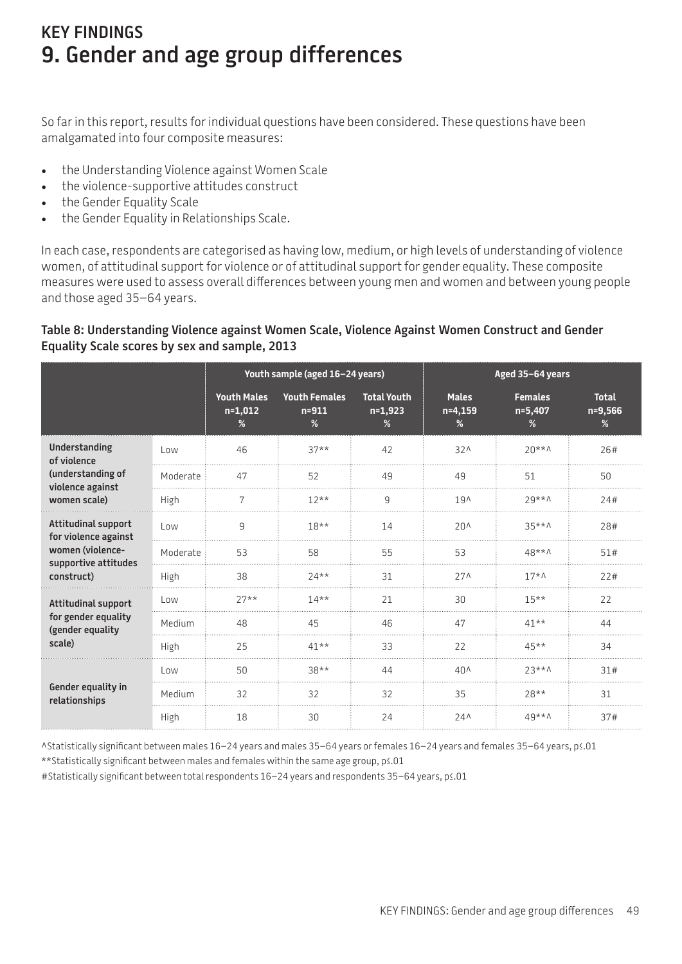# **9. Gender and age group differences KEY FINDINGS**

So far in this report, results for individual questions have been considered. These questions have been amalgamated into four composite measures:

- the Understanding Violence against Women Scale
- the violence-supportive attitudes construct
- the Gender Equality Scale
- the Gender Equality in Relationships Scale.

In each case, respondents are categorised as having low, medium, or high levels of understanding of violence women, of attitudinal support for violence or of attitudinal support for gender equality. These composite measures were used to assess overall differences between young men and women and between young people and those aged 35–64 years.

#### **Table 8: Understanding Violence against Women Scale, Violence Against Women Construct and Gender Equality Scale scores by sex and sample, 2013**

|                                                    |          | Youth sample (aged 16-24 years)      |                                        |                                      | Aged 35-64 years               |                                  |                              |
|----------------------------------------------------|----------|--------------------------------------|----------------------------------------|--------------------------------------|--------------------------------|----------------------------------|------------------------------|
|                                                    |          | <b>Youth Males</b><br>$n=1,012$<br>% | <b>Youth Females</b><br>$n = 911$<br>% | <b>Total Youth</b><br>$n=1,923$<br>% | <b>Males</b><br>$n=4,159$<br>% | <b>Females</b><br>$n=5,407$<br>% | <b>Total</b><br>n=9,566<br>% |
| Understanding<br>of violence                       | Low      | 46                                   | $37**$                                 | 42                                   | 32 <sub>0</sub>                | $20***$                          | 26#                          |
| (understanding of<br>violence against              | Moderate | 47                                   | 52                                     | 49                                   | 49                             | 51                               | 50                           |
| women scale)                                       | High     | 7                                    | $12**$                                 | 9                                    | 19 <sub>0</sub>                | $29***$ $\wedge$                 | 24#                          |
| <b>Attitudinal support</b><br>for violence against | Low      | $\mathbf{q}$                         | $18**$                                 | 14                                   | 20 <sub>0</sub>                | $35***$ $\wedge$                 | 28#                          |
| women (violence-<br>supportive attitudes           | Moderate | 53                                   | 58                                     | 55                                   | 53                             | $48**$ $\wedge$                  | 51#                          |
| construct)                                         | High     | 38                                   | $24**$                                 | 31                                   | 27 <sub>0</sub>                | $17*A$                           | 22#                          |
| <b>Attitudinal support</b>                         | Low      | $77**$                               | $14**$                                 | 21                                   | 30                             | $15***$                          | 22                           |
| for gender equality<br>(gender equality            | Medium   | 48                                   | 45                                     | 46                                   | 47                             | $41**$                           | 44                           |
| scale)                                             | High     | 25                                   | $41**$                                 | 33                                   | 22                             | $45**$                           | 34                           |
|                                                    | Low      | 50                                   | $38**$                                 | 44                                   | 40 <sub>0</sub>                | $73***$ $\wedge$                 | 31#                          |
| Gender equality in<br>relationships                | Medium   | 32                                   | 32                                     | 32                                   | 35                             | $78**$                           | 31                           |
|                                                    | High     | 18                                   | 30                                     | 24                                   | 24 <sub>0</sub>                | $49**$ $\wedge$                  | 37#                          |

^Statistically significant between males 16–24 years and males 35–64 years or females 16–24 years and females 35–64 years, p≤.01

\*\*Statistically significant between males and females within the same age group, p≤.01

#Statistically significant between total respondents 16–24 years and respondents 35–64 years, p≤.01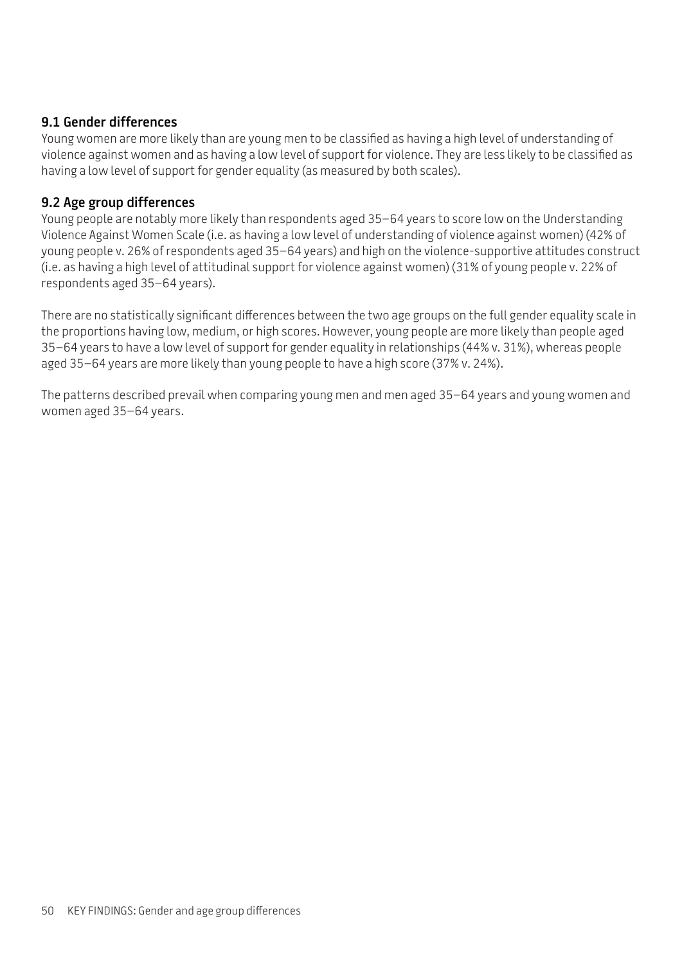### **9.1 Gender differences**

Young women are more likely than are young men to be classified as having a high level of understanding of violence against women and as having a low level of support for violence. They are less likely to be classified as having a low level of support for gender equality (as measured by both scales).

#### **9.2 Age group differences**

Young people are notably more likely than respondents aged 35–64 years to score low on the Understanding Violence Against Women Scale (i.e. as having a low level of understanding of violence against women) (42% of young people v. 26% of respondents aged 35–64 years) and high on the violence-supportive attitudes construct (i.e. as having a high level of attitudinal support for violence against women) (31% of young people v. 22% of respondents aged 35–64 years).

There are no statistically significant differences between the two age groups on the full gender equality scale in the proportions having low, medium, or high scores. However, young people are more likely than people aged 35–64 years to have a low level of support for gender equality in relationships (44% v. 31%), whereas people aged 35–64 years are more likely than young people to have a high score (37% v. 24%).

The patterns described prevail when comparing young men and men aged 35–64 years and young women and women aged 35–64 years.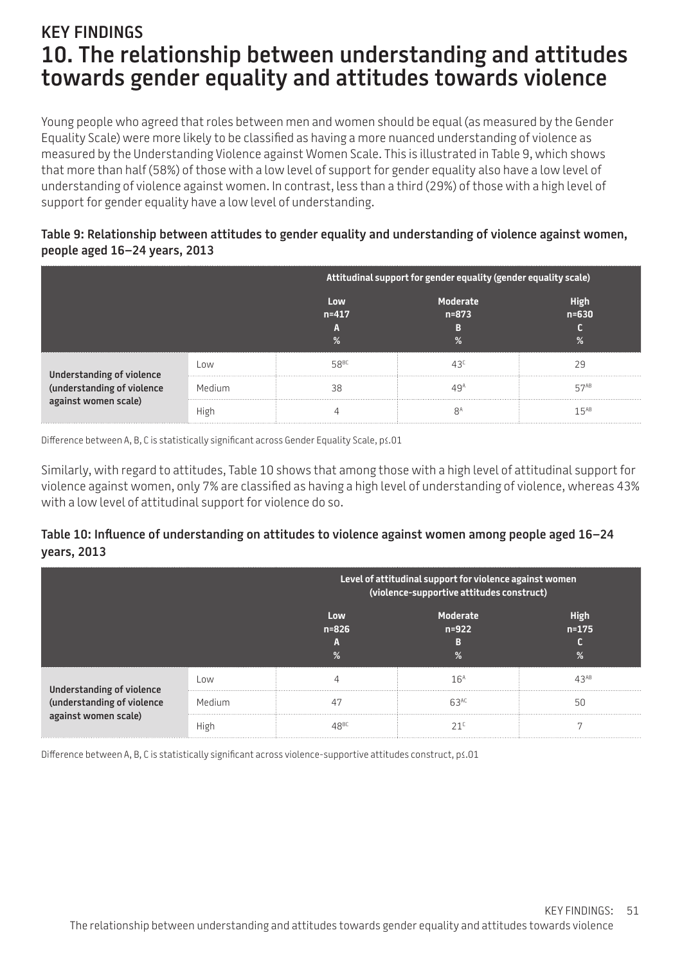# **10. The relationship between understanding and attitudes towards gender equality and attitudes towards violence KEY FINDINGS**

Young people who agreed that roles between men and women should be equal (as measured by the Gender Equality Scale) were more likely to be classified as having a more nuanced understanding of violence as measured by the Understanding Violence against Women Scale. This is illustrated in Table 9, which shows that more than half (58%) of those with a low level of support for gender equality also have a low level of understanding of violence against women. In contrast, less than a third (29%) of those with a high level of support for gender equality have a low level of understanding.

#### **Table 9: Relationship between attitudes to gender equality and understanding of violence against women, people aged 16–24 years, 2013**

|                            |        |                       | Attitudinal support for gender equality (gender equality scale) |                          |  |  |
|----------------------------|--------|-----------------------|-----------------------------------------------------------------|--------------------------|--|--|
|                            |        | Low<br>$n = 417$<br>℅ | <b>Moderate</b><br>$n = 873$                                    | <b>High</b><br>$n = 630$ |  |  |
| Understanding of violence  | Low    | 58 <sup>BC</sup>      |                                                                 | 29                       |  |  |
| (understanding of violence | Medium | 38                    |                                                                 |                          |  |  |
| against women scale)       | High   |                       |                                                                 |                          |  |  |

Difference between A, B, C is statistically significant across Gender Equality Scale, p≤.01

Similarly, with regard to attitudes, Table 10 shows that among those with a high level of attitudinal support for violence against women, only 7% are classified as having a high level of understanding of violence, whereas 43% with a low level of attitudinal support for violence do so.

# **Table 10: Influence of understanding on attitudes to violence against women among people aged 16–24 years, 2013**

|                            |        |                       | Level of attitudinal support for violence against women<br>(violence-supportive attitudes construct) |                                |  |  |  |
|----------------------------|--------|-----------------------|------------------------------------------------------------------------------------------------------|--------------------------------|--|--|--|
|                            |        | Low<br>$n = 826$<br>% | Moderate<br>$n = 922$<br>7ο                                                                          | <b>High</b><br>$n = 175$<br>7ο |  |  |  |
| Understanding of violence  | Low    |                       | 16 <sup>A</sup>                                                                                      | 43AB                           |  |  |  |
| (understanding of violence | Medium | 47                    | <b>63AC</b>                                                                                          | 50                             |  |  |  |
| against women scale)       | High   |                       |                                                                                                      |                                |  |  |  |

Difference between A, B, C is statistically significant across violence-supportive attitudes construct, p≤.01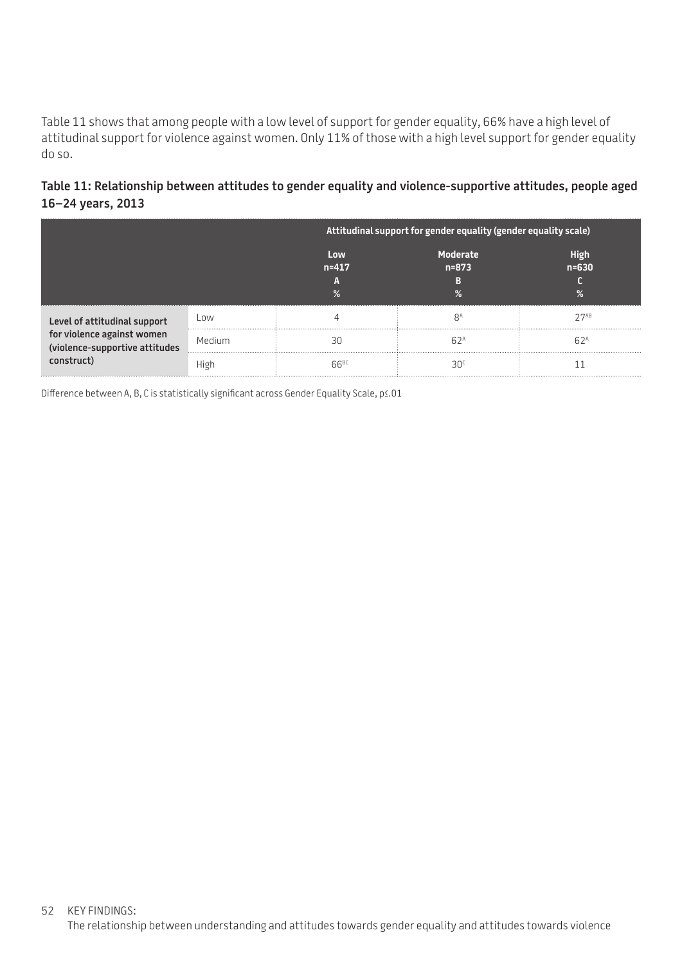Table 11 shows that among people with a low level of support for gender equality, 66% have a high level of attitudinal support for violence against women. Only 11% of those with a high level support for gender equality do so.

### **Table 11: Relationship between attitudes to gender equality and violence-supportive attitudes, people aged 16–24 years, 2013**

|                                                              |        |                  | Attitudinal support for gender equality (gender equality scale) |                          |  |  |  |
|--------------------------------------------------------------|--------|------------------|-----------------------------------------------------------------|--------------------------|--|--|--|
|                                                              |        | Low<br>$n = 417$ | <b>Moderate</b><br>$n = 873$                                    | <b>High</b><br>$n = 630$ |  |  |  |
| Level of attitudinal support                                 | Low    |                  |                                                                 |                          |  |  |  |
| for violence against women<br>(violence-supportive attitudes | Medium |                  | 62 <sup>k</sup>                                                 |                          |  |  |  |
| construct)                                                   | Hıgi   |                  |                                                                 |                          |  |  |  |

Difference between A, B, C is statistically significant across Gender Equality Scale, p≤.01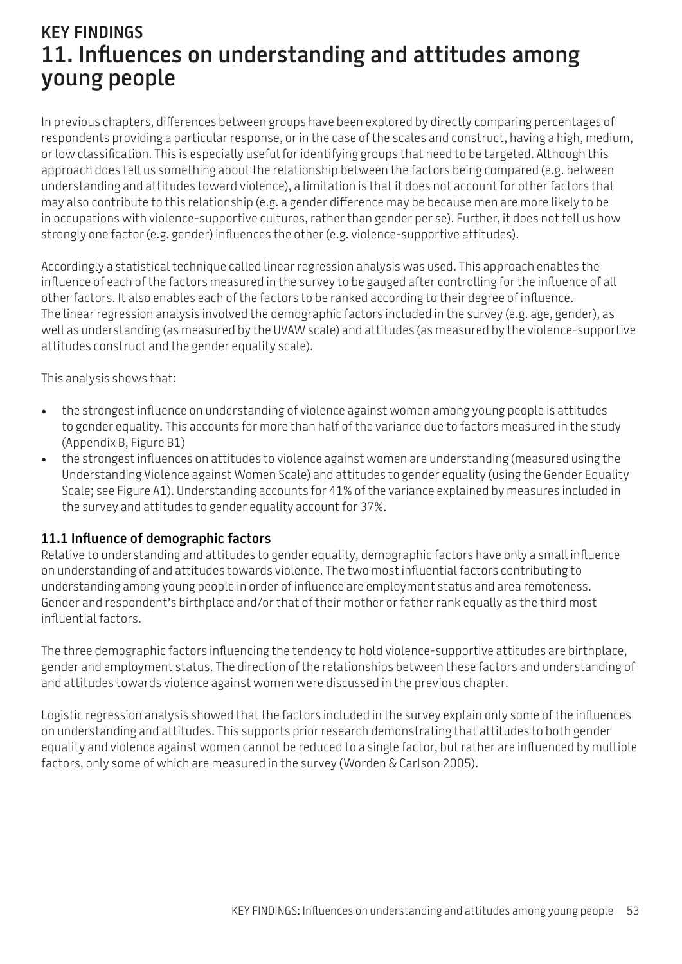# **11. Influences on understanding and attitudes among young people KEY FINDINGS**

In previous chapters, differences between groups have been explored by directly comparing percentages of respondents providing a particular response, or in the case of the scales and construct, having a high, medium, or low classification. This is especially useful for identifying groups that need to be targeted. Although this approach does tell us something about the relationship between the factors being compared (e.g. between understanding and attitudes toward violence), a limitation is that it does not account for other factors that may also contribute to this relationship (e.g. a gender difference may be because men are more likely to be in occupations with violence-supportive cultures, rather than gender per se). Further, it does not tell us how strongly one factor (e.g. gender) influences the other (e.g. violence-supportive attitudes).

Accordingly a statistical technique called linear regression analysis was used. This approach enables the influence of each of the factors measured in the survey to be gauged after controlling for the influence of all other factors. It also enables each of the factors to be ranked according to their degree of influence. The linear regression analysis involved the demographic factors included in the survey (e.g. age, gender), as well as understanding (as measured by the UVAW scale) and attitudes (as measured by the violence-supportive attitudes construct and the gender equality scale).

This analysis shows that:

- the strongest influence on understanding of violence against women among young people is attitudes to gender equality. This accounts for more than half of the variance due to factors measured in the study (Appendix B, Figure B1)
- the strongest influences on attitudes to violence against women are understanding (measured using the Understanding Violence against Women Scale) and attitudes to gender equality (using the Gender Equality Scale; see Figure A1). Understanding accounts for 41% of the variance explained by measures included in the survey and attitudes to gender equality account for 37%.

# **11.1 Influence of demographic factors**

Relative to understanding and attitudes to gender equality, demographic factors have only a small influence on understanding of and attitudes towards violence. The two most influential factors contributing to understanding among young people in order of influence are employment status and area remoteness. Gender and respondent's birthplace and/or that of their mother or father rank equally as the third most influential factors.

The three demographic factors influencing the tendency to hold violence-supportive attitudes are birthplace, gender and employment status. The direction of the relationships between these factors and understanding of and attitudes towards violence against women were discussed in the previous chapter.

Logistic regression analysis showed that the factors included in the survey explain only some of the influences on understanding and attitudes. This supports prior research demonstrating that attitudes to both gender equality and violence against women cannot be reduced to a single factor, but rather are influenced by multiple factors, only some of which are measured in the survey (Worden & Carlson 2005).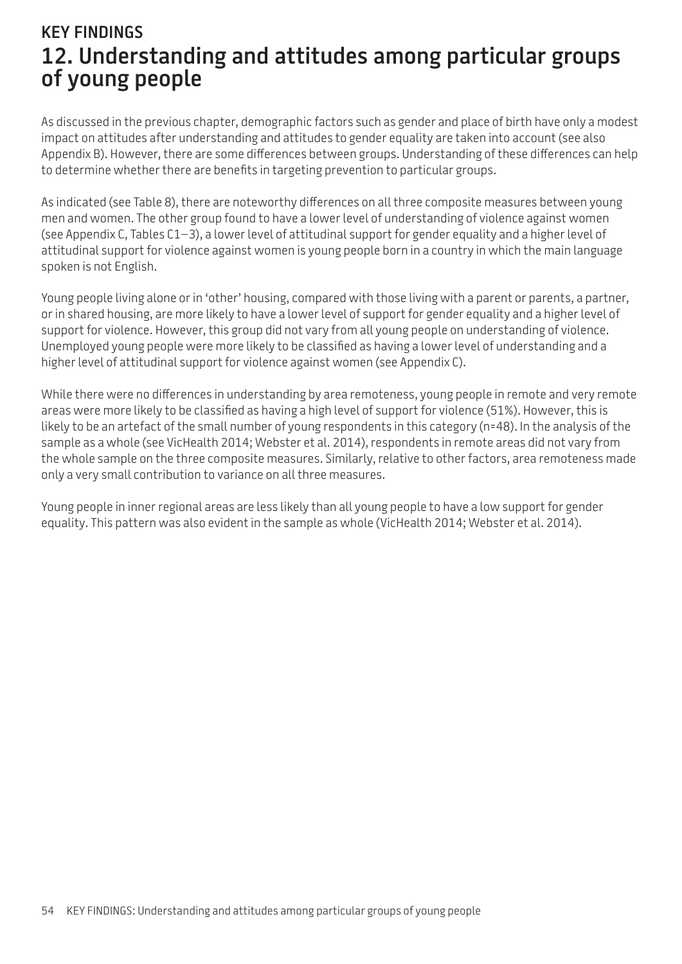# **12. Understanding and attitudes among particular groups of young people KEY FINDINGS**

As discussed in the previous chapter, demographic factors such as gender and place of birth have only a modest impact on attitudes after understanding and attitudes to gender equality are taken into account (see also Appendix B). However, there are some differences between groups. Understanding of these differences can help to determine whether there are benefits in targeting prevention to particular groups.

As indicated (see Table 8), there are noteworthy differences on all three composite measures between young men and women. The other group found to have a lower level of understanding of violence against women (see Appendix C, Tables C1–3), a lower level of attitudinal support for gender equality and a higher level of attitudinal support for violence against women is young people born in a country in which the main language spoken is not English.

Young people living alone or in 'other' housing, compared with those living with a parent or parents, a partner, or in shared housing, are more likely to have a lower level of support for gender equality and a higher level of support for violence. However, this group did not vary from all young people on understanding of violence. Unemployed young people were more likely to be classified as having a lower level of understanding and a higher level of attitudinal support for violence against women (see Appendix C).

While there were no differences in understanding by area remoteness, young people in remote and very remote areas were more likely to be classified as having a high level of support for violence (51%). However, this is likely to be an artefact of the small number of young respondents in this category (n=48). In the analysis of the sample as a whole (see VicHealth 2014; Webster et al. 2014), respondents in remote areas did not vary from the whole sample on the three composite measures. Similarly, relative to other factors, area remoteness made only a very small contribution to variance on all three measures.

Young people in inner regional areas are less likely than all young people to have a low support for gender equality. This pattern was also evident in the sample as whole (VicHealth 2014; Webster et al. 2014).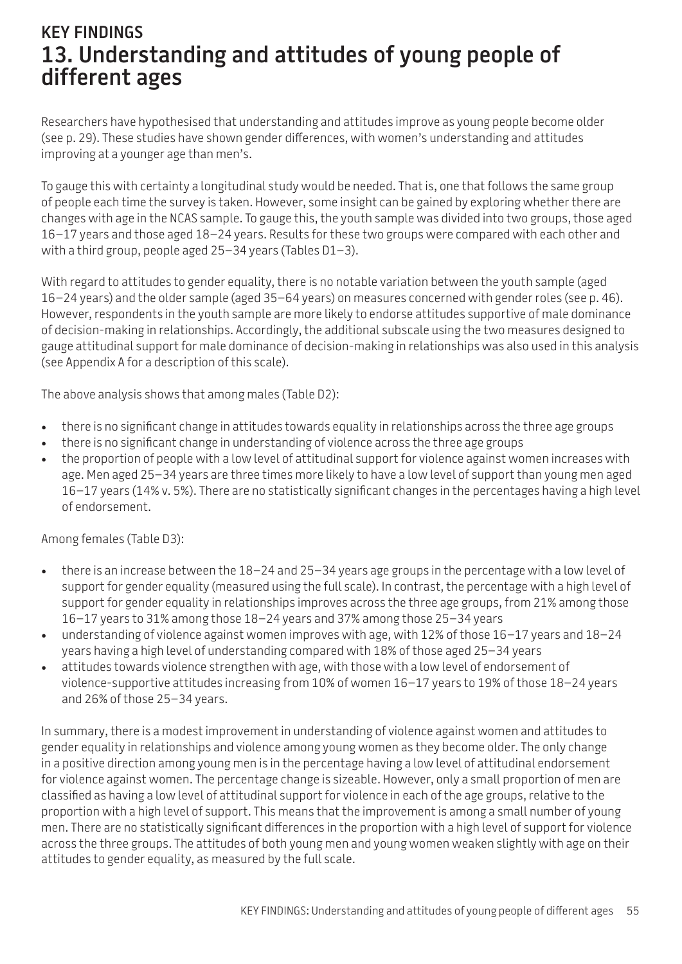# **13. Understanding and attitudes of young people of different ages KEY FINDINGS**

Researchers have hypothesised that understanding and attitudes improve as young people become older (see p. 29). These studies have shown gender differences, with women's understanding and attitudes improving at a younger age than men's.

To gauge this with certainty a longitudinal study would be needed. That is, one that follows the same group of people each time the survey is taken. However, some insight can be gained by exploring whether there are changes with age in the NCAS sample. To gauge this, the youth sample was divided into two groups, those aged 16–17 years and those aged 18–24 years. Results for these two groups were compared with each other and with a third group, people aged 25–34 years (Tables D1–3).

With regard to attitudes to gender equality, there is no notable variation between the youth sample (aged 16–24 years) and the older sample (aged 35–64 years) on measures concerned with gender roles (see p. 46). However, respondents in the youth sample are more likely to endorse attitudes supportive of male dominance of decision-making in relationships. Accordingly, the additional subscale using the two measures designed to gauge attitudinal support for male dominance of decision-making in relationships was also used in this analysis (see Appendix A for a description of this scale).

The above analysis shows that among males (Table D2):

- there is no significant change in attitudes towards equality in relationships across the three age groups
- there is no significant change in understanding of violence across the three age groups
- the proportion of people with a low level of attitudinal support for violence against women increases with age. Men aged 25–34 years are three times more likely to have a low level of support than young men aged 16–17 years (14% v. 5%). There are no statistically significant changes in the percentages having a high level of endorsement.

Among females (Table D3):

- there is an increase between the  $18-24$  and  $25-34$  years age groups in the percentage with a low level of support for gender equality (measured using the full scale). In contrast, the percentage with a high level of support for gender equality in relationships improves across the three age groups, from 21% among those 16–17 years to 31% among those 18–24 years and 37% among those 25–34 years
- understanding of violence against women improves with age, with 12% of those  $16-17$  years and  $18-24$ years having a high level of understanding compared with 18% of those aged 25–34 years
- attitudes towards violence strengthen with age, with those with a low level of endorsement of violence-supportive attitudes increasing from 10% of women 16–17 years to 19% of those 18–24 years and 26% of those 25–34 years.

In summary, there is a modest improvement in understanding of violence against women and attitudes to gender equality in relationships and violence among young women as they become older. The only change in a positive direction among young men is in the percentage having a low level of attitudinal endorsement for violence against women. The percentage change is sizeable. However, only a small proportion of men are classified as having a low level of attitudinal support for violence in each of the age groups, relative to the proportion with a high level of support. This means that the improvement is among a small number of young men. There are no statistically significant differences in the proportion with a high level of support for violence across the three groups. The attitudes of both young men and young women weaken slightly with age on their attitudes to gender equality, as measured by the full scale.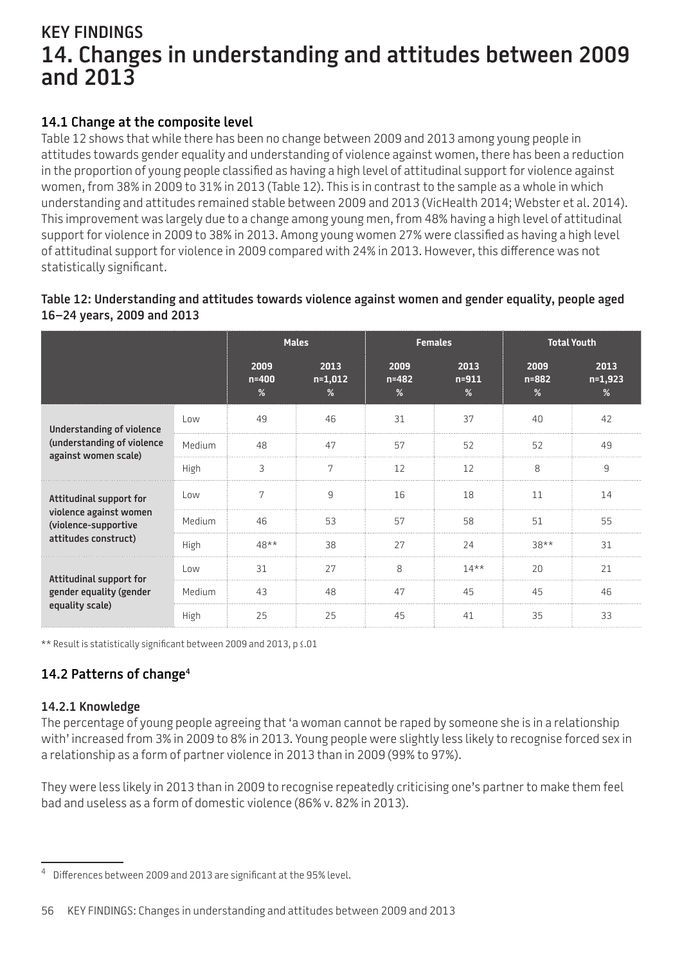# **14. Changes in understanding and attitudes between 2009 and 2013 KEY FINDINGS**

# **14.1 Change at the composite level**

Table 12 shows that while there has been no change between 2009 and 2013 among young people in attitudes towards gender equality and understanding of violence against women, there has been a reduction in the proportion of young people classified as having a high level of attitudinal support for violence against women, from 38% in 2009 to 31% in 2013 (Table 12). This is in contrast to the sample as a whole in which understanding and attitudes remained stable between 2009 and 2013 (VicHealth 2014; Webster et al. 2014). This improvement was largely due to a change among young men, from 48% having a high level of attitudinal support for violence in 2009 to 38% in 2013. Among young women 27% were classified as having a high level of attitudinal support for violence in 2009 compared with 24% in 2013. However, this difference was not statistically significant.

#### **Table 12: Understanding and attitudes towards violence against women and gender equality, people aged 16–24 years, 2009 and 2013**

|                                                    |        | <b>Males</b>           |                        | <b>Females</b>         |                        | <b>Total Youth</b>     |                        |
|----------------------------------------------------|--------|------------------------|------------------------|------------------------|------------------------|------------------------|------------------------|
|                                                    |        | 2009<br>$n = 400$<br>% | 2013<br>$n=1,012$<br>% | 2009<br>$n = 482$<br>% | 2013<br>$n = 911$<br>% | 2009<br>$n = 882$<br>% | 2013<br>$n=1,923$<br>% |
| <b>Understanding of violence</b>                   | Low    | 49                     | 46                     | 31                     | 37                     | 40                     | 42                     |
| (understanding of violence<br>against women scale) | Medium | 48                     | 47                     | 57                     | 52                     | 52                     | 49                     |
|                                                    | High   | 3                      | 7                      | 12                     | 12                     | 8                      | 9                      |
| Attitudinal support for                            | Low    | 7                      | 9                      | 16                     | 18                     | 11                     | 14                     |
| violence against women<br>(violence-supportive     | Medium | 46                     | 53                     | 57                     | 58                     | 51                     | 55                     |
| attitudes construct)                               | High   | $48**$                 | 38                     | 27                     | 24                     | $38**$                 | 31                     |
| Attitudinal support for                            | Low    | 31                     | 27                     | 8                      | $14**$                 | 20                     | 21                     |
| gender equality (gender                            | Medium | 43                     | 48                     | 47                     | 45                     | 45                     | 46                     |
| equality scale)                                    | High   | 25                     | 25                     | 45                     | 41                     | 35                     | 33                     |

\*\* Result is statistically significant between 2009 and 2013, p ≤.01

# 14.2 Patterns of change<sup>4</sup>

#### **14.2.1 Knowledge**

The percentage of young people agreeing that 'a woman cannot be raped by someone she is in a relationship with' increased from 3% in 2009 to 8% in 2013. Young people were slightly less likely to recognise forced sex in a relationship as a form of partner violence in 2013 than in 2009 (99% to 97%).

They were less likely in 2013 than in 2009 to recognise repeatedly criticising one's partner to make them feel bad and useless as a form of domestic violence (86% v. 82% in 2013).

<sup>4</sup> Differences between 2009 and 2013 are significant at the 95% level.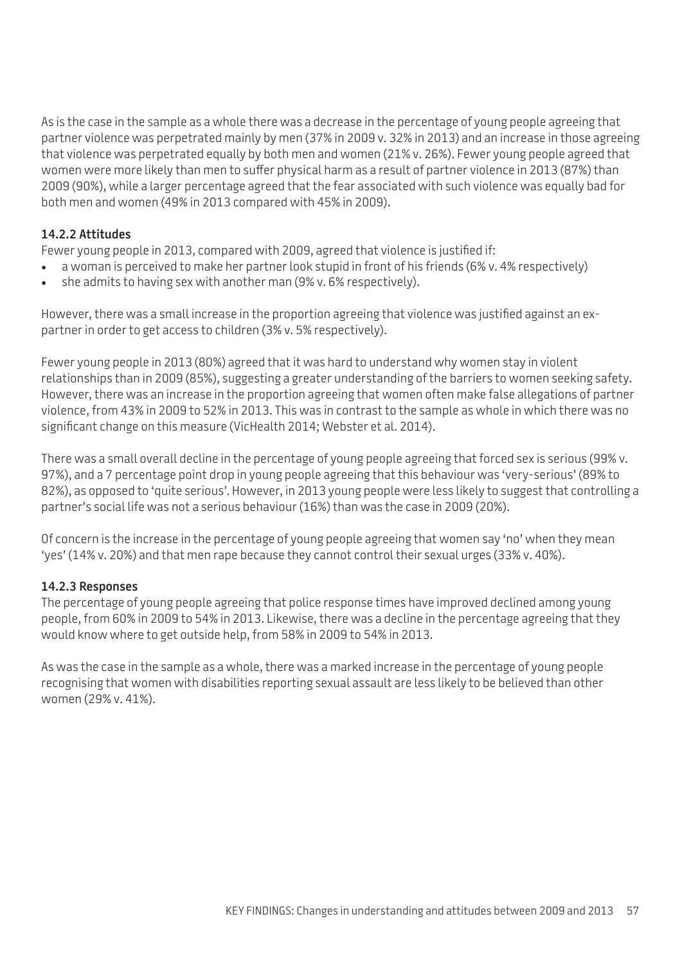As is the case in the sample as a whole there was a decrease in the percentage of young people agreeing that partner violence was perpetrated mainly by men (37% in 2009 v. 32% in 2013) and an increase in those agreeing that violence was perpetrated equally by both men and women (21% v. 26%). Fewer young people agreed that women were more likely than men to suffer physical harm as a result of partner violence in 2013 (87%) than 2009 (90%), while a larger percentage agreed that the fear associated with such violence was equally bad for both men and women (49% in 2013 compared with 45% in 2009).

#### **14.2.2 Attitudes**

Fewer young people in 2013, compared with 2009, agreed that violence is justified if:

- a woman is perceived to make her partner look stupid in front of his friends (6% v. 4% respectively)
- she admits to having sex with another man (9% v. 6% respectively).

However, there was a small increase in the proportion agreeing that violence was justified against an expartner in order to get access to children (3% v. 5% respectively).

Fewer young people in 2013 (80%) agreed that it was hard to understand why women stay in violent relationships than in 2009 (85%), suggesting a greater understanding of the barriers to women seeking safety. However, there was an increase in the proportion agreeing that women often make false allegations of partner violence, from 43% in 2009 to 52% in 2013. This was in contrast to the sample as whole in which there was no significant change on this measure (VicHealth 2014; Webster et al. 2014).

There was a small overall decline in the percentage of young people agreeing that forced sex is serious (99% v. 97%), and a 7 percentage point drop in young people agreeing that this behaviour was 'very-serious' (89% to 82%), as opposed to 'quite serious'. However, in 2013 young people were less likely to suggest that controlling a partner's social life was not a serious behaviour (16%) than was the case in 2009 (20%).

Of concern is the increase in the percentage of young people agreeing that women say 'no' when they mean 'yes' (14% v. 20%) and that men rape because they cannot control their sexual urges (33% v. 40%).

#### **14.2.3 Responses**

The percentage of young people agreeing that police response times have improved declined among young people, from 60% in 2009 to 54% in 2013. Likewise, there was a decline in the percentage agreeing that they would know where to get outside help, from 58% in 2009 to 54% in 2013.

As was the case in the sample as a whole, there was a marked increase in the percentage of young people recognising that women with disabilities reporting sexual assault are less likely to be believed than other women (29% v. 41%).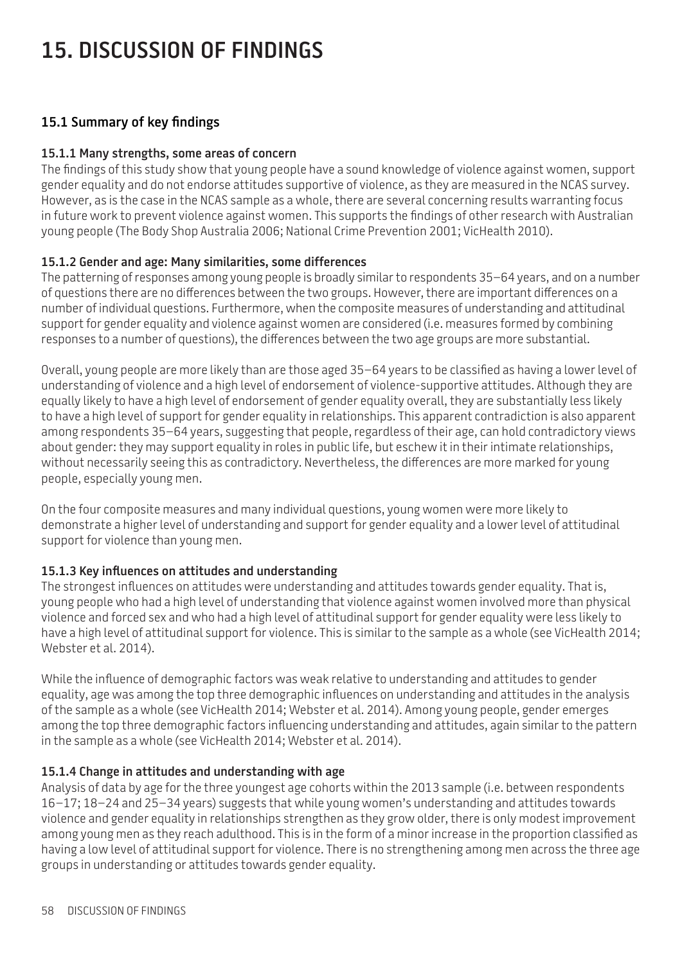# **15. DISCUSSION OF FINDINGS**

# **15.1 Summary of key findings**

#### **15.1.1 Many strengths, some areas of concern**

The findings of this study show that young people have a sound knowledge of violence against women, support gender equality and do not endorse attitudes supportive of violence, as they are measured in the NCAS survey. However, as is the case in the NCAS sample as a whole, there are several concerning results warranting focus in future work to prevent violence against women. This supports the findings of other research with Australian young people (The Body Shop Australia 2006; National Crime Prevention 2001; VicHealth 2010).

#### **15.1.2 Gender and age: Many similarities, some differences**

The patterning of responses among young people is broadly similar to respondents 35–64 years, and on a number of questions there are no differences between the two groups. However, there are important differences on a number of individual questions. Furthermore, when the composite measures of understanding and attitudinal support for gender equality and violence against women are considered (i.e. measures formed by combining responses to a number of questions), the differences between the two age groups are more substantial.

Overall, young people are more likely than are those aged 35–64 years to be classified as having a lower level of understanding of violence and a high level of endorsement of violence-supportive attitudes. Although they are equally likely to have a high level of endorsement of gender equality overall, they are substantially less likely to have a high level of support for gender equality in relationships. This apparent contradiction is also apparent among respondents 35–64 years, suggesting that people, regardless of their age, can hold contradictory views about gender: they may support equality in roles in public life, but eschew it in their intimate relationships, without necessarily seeing this as contradictory. Nevertheless, the differences are more marked for young people, especially young men.

On the four composite measures and many individual questions, young women were more likely to demonstrate a higher level of understanding and support for gender equality and a lower level of attitudinal support for violence than young men.

#### **15.1.3 Key influences on attitudes and understanding**

The strongest influences on attitudes were understanding and attitudes towards gender equality. That is, young people who had a high level of understanding that violence against women involved more than physical violence and forced sex and who had a high level of attitudinal support for gender equality were less likely to have a high level of attitudinal support for violence. This is similar to the sample as a whole (see VicHealth 2014; Webster et al. 2014).

While the influence of demographic factors was weak relative to understanding and attitudes to gender equality, age was among the top three demographic influences on understanding and attitudes in the analysis of the sample as a whole (see VicHealth 2014; Webster et al. 2014). Among young people, gender emerges among the top three demographic factors influencing understanding and attitudes, again similar to the pattern in the sample as a whole (see VicHealth 2014; Webster et al. 2014).

#### **15.1.4 Change in attitudes and understanding with age**

Analysis of data by age for the three youngest age cohorts within the 2013 sample (i.e. between respondents 16–17; 18–24 and 25–34 years) suggests that while young women's understanding and attitudes towards violence and gender equality in relationships strengthen as they grow older, there is only modest improvement among young men as they reach adulthood. This is in the form of a minor increase in the proportion classified as having a low level of attitudinal support for violence. There is no strengthening among men across the three age groups in understanding or attitudes towards gender equality.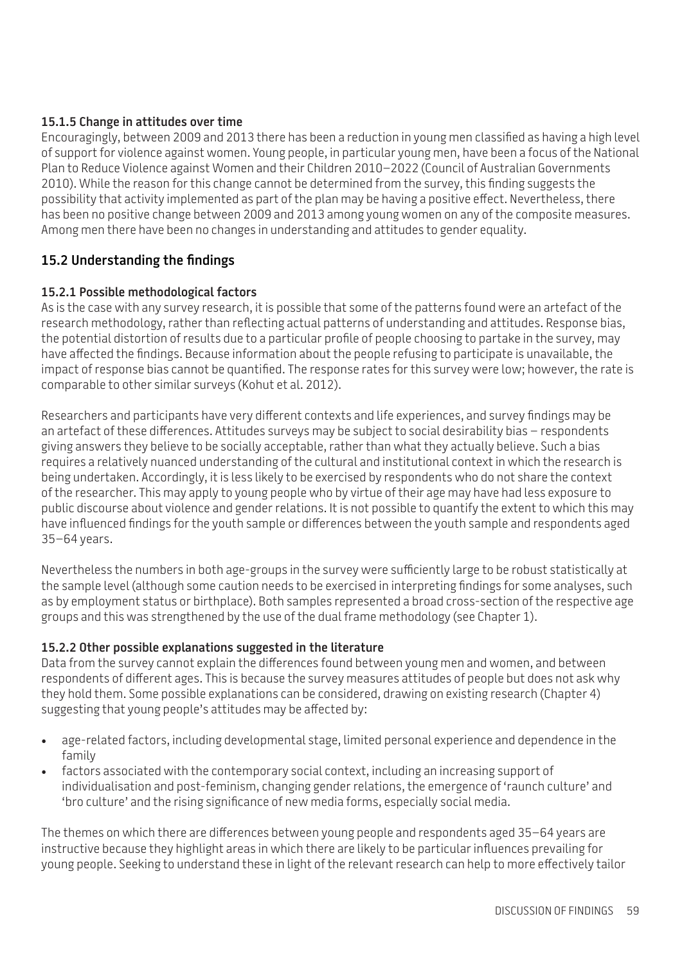### **15.1.5 Change in attitudes over time**

Encouragingly, between 2009 and 2013 there has been a reduction in young men classified as having a high level of support for violence against women. Young people, in particular young men, have been a focus of the National Plan to Reduce Violence against Women and their Children 2010–2022 (Council of Australian Governments 2010). While the reason for this change cannot be determined from the survey, this finding suggests the possibility that activity implemented as part of the plan may be having a positive effect. Nevertheless, there has been no positive change between 2009 and 2013 among young women on any of the composite measures. Among men there have been no changes in understanding and attitudes to gender equality.

# **15.2 Understanding the findings**

#### **15.2.1 Possible methodological factors**

As is the case with any survey research, it is possible that some of the patterns found were an artefact of the research methodology, rather than reflecting actual patterns of understanding and attitudes. Response bias, the potential distortion of results due to a particular profile of people choosing to partake in the survey, may have affected the findings. Because information about the people refusing to participate is unavailable, the impact of response bias cannot be quantified. The response rates for this survey were low; however, the rate is comparable to other similar surveys (Kohut et al. 2012).

Researchers and participants have very different contexts and life experiences, and survey findings may be an artefact of these differences. Attitudes surveys may be subject to social desirability bias – respondents giving answers they believe to be socially acceptable, rather than what they actually believe. Such a bias requires a relatively nuanced understanding of the cultural and institutional context in which the research is being undertaken. Accordingly, it is less likely to be exercised by respondents who do not share the context of the researcher. This may apply to young people who by virtue of their age may have had less exposure to public discourse about violence and gender relations. It is not possible to quantify the extent to which this may have influenced findings for the youth sample or differences between the youth sample and respondents aged 35–64 years.

Nevertheless the numbers in both age-groups in the survey were sufficiently large to be robust statistically at the sample level (although some caution needs to be exercised in interpreting findings for some analyses, such as by employment status or birthplace). Both samples represented a broad cross-section of the respective age groups and this was strengthened by the use of the dual frame methodology (see Chapter 1).

#### **15.2.2 Other possible explanations suggested in the literature**

Data from the survey cannot explain the differences found between young men and women, and between respondents of different ages. This is because the survey measures attitudes of people but does not ask why they hold them. Some possible explanations can be considered, drawing on existing research (Chapter 4) suggesting that young people's attitudes may be affected by:

- • age-related factors, including developmental stage, limited personal experience and dependence in the family
- factors associated with the contemporary social context, including an increasing support of individualisation and post-feminism, changing gender relations, the emergence of 'raunch culture' and 'bro culture' and the rising significance of new media forms, especially social media.

The themes on which there are differences between young people and respondents aged 35–64 years are instructive because they highlight areas in which there are likely to be particular influences prevailing for young people. Seeking to understand these in light of the relevant research can help to more effectively tailor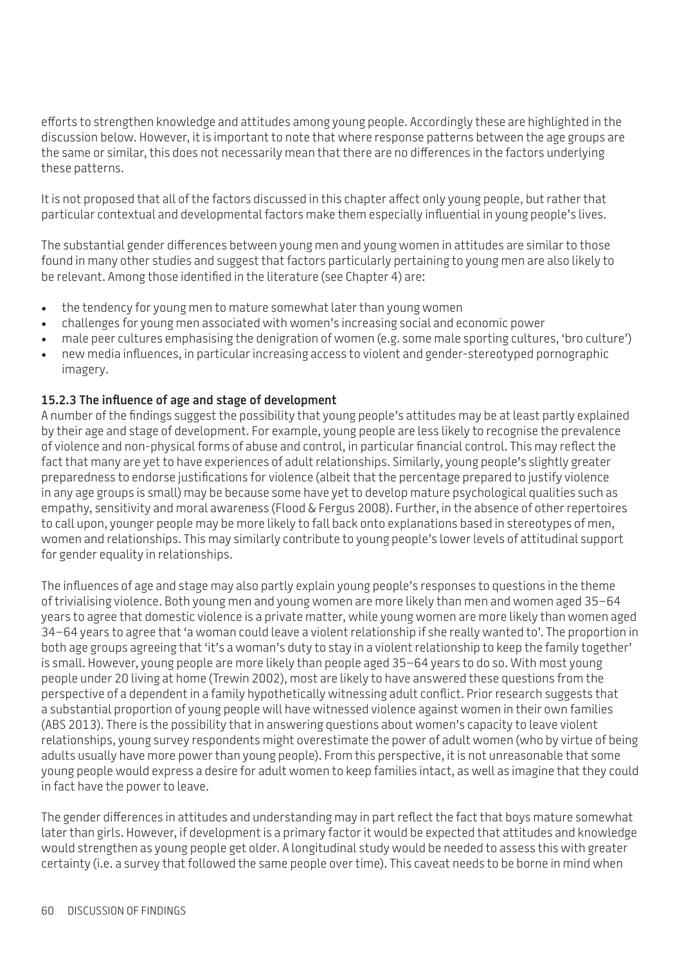efforts to strengthen knowledge and attitudes among young people. Accordingly these are highlighted in the discussion below. However, it is important to note that where response patterns between the age groups are the same or similar, this does not necessarily mean that there are no differences in the factors underlying these patterns.

It is not proposed that all of the factors discussed in this chapter affect only young people, but rather that particular contextual and developmental factors make them especially influential in young people's lives.

The substantial gender differences between young men and young women in attitudes are similar to those found in many other studies and suggest that factors particularly pertaining to young men are also likely to be relevant. Among those identified in the literature (see Chapter 4) are:

- the tendency for young men to mature somewhat later than young women
- challenges for young men associated with women's increasing social and economic power
- male peer cultures emphasising the denigration of women (e.g. some male sporting cultures, 'bro culture')
- new media influences, in particular increasing access to violent and gender-stereotyped pornographic imagery.

#### **15.2.3 The influence of age and stage of development**

A number of the findings suggest the possibility that young people's attitudes may be at least partly explained by their age and stage of development. For example, young people are less likely to recognise the prevalence of violence and non-physical forms of abuse and control, in particular financial control. This may reflect the fact that many are yet to have experiences of adult relationships. Similarly, young people's slightly greater preparedness to endorse justifications for violence (albeit that the percentage prepared to justify violence in any age groups is small) may be because some have yet to develop mature psychological qualities such as empathy, sensitivity and moral awareness (Flood & Fergus 2008). Further, in the absence of other repertoires to call upon, younger people may be more likely to fall back onto explanations based in stereotypes of men, women and relationships. This may similarly contribute to young people's lower levels of attitudinal support for gender equality in relationships.

The influences of age and stage may also partly explain young people's responses to questions in the theme of trivialising violence. Both young men and young women are more likely than men and women aged 35–64 years to agree that domestic violence is a private matter, while young women are more likely than women aged 34–64 years to agree that 'a woman could leave a violent relationship if she really wanted to'. The proportion in both age groups agreeing that 'it's a woman's duty to stay in a violent relationship to keep the family together' is small. However, young people are more likely than people aged 35–64 years to do so. With most young people under 20 living at home (Trewin 2002), most are likely to have answered these questions from the perspective of a dependent in a family hypothetically witnessing adult conflict. Prior research suggests that a substantial proportion of young people will have witnessed violence against women in their own families (ABS 2013). There is the possibility that in answering questions about women's capacity to leave violent relationships, young survey respondents might overestimate the power of adult women (who by virtue of being adults usually have more power than young people). From this perspective, it is not unreasonable that some young people would express a desire for adult women to keep families intact, as well as imagine that they could in fact have the power to leave.

The gender differences in attitudes and understanding may in part reflect the fact that boys mature somewhat later than girls. However, if development is a primary factor it would be expected that attitudes and knowledge would strengthen as young people get older. A longitudinal study would be needed to assess this with greater certainty (i.e. a survey that followed the same people over time). This caveat needs to be borne in mind when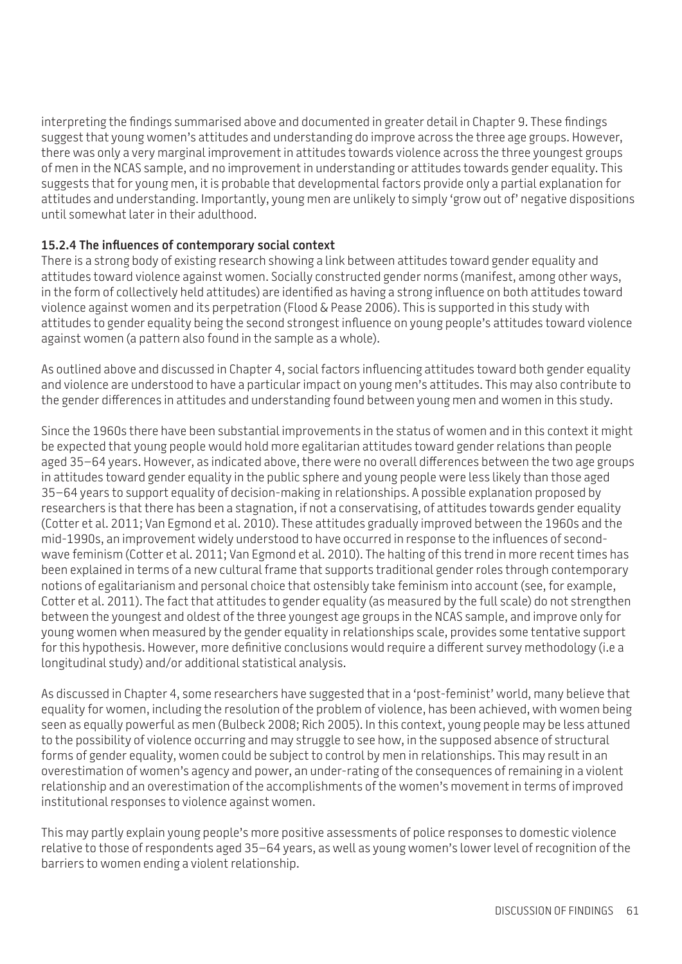interpreting the findings summarised above and documented in greater detail in Chapter 9. These findings suggest that young women's attitudes and understanding do improve across the three age groups. However, there was only a very marginal improvement in attitudes towards violence across the three youngest groups of men in the NCAS sample, and no improvement in understanding or attitudes towards gender equality. This suggests that for young men, it is probable that developmental factors provide only a partial explanation for attitudes and understanding. Importantly, young men are unlikely to simply 'grow out of' negative dispositions until somewhat later in their adulthood.

#### **15.2.4 The influences of contemporary social context**

There is a strong body of existing research showing a link between attitudes toward gender equality and attitudes toward violence against women. Socially constructed gender norms (manifest, among other ways, in the form of collectively held attitudes) are identified as having a strong influence on both attitudes toward violence against women and its perpetration (Flood & Pease 2006). This is supported in this study with attitudes to gender equality being the second strongest influence on young people's attitudes toward violence against women (a pattern also found in the sample as a whole).

As outlined above and discussed in Chapter 4, social factors influencing attitudes toward both gender equality and violence are understood to have a particular impact on young men's attitudes. This may also contribute to the gender differences in attitudes and understanding found between young men and women in this study.

Since the 1960s there have been substantial improvements in the status of women and in this context it might be expected that young people would hold more egalitarian attitudes toward gender relations than people aged 35–64 years. However, as indicated above, there were no overall differences between the two age groups in attitudes toward gender equality in the public sphere and young people were less likely than those aged 35–64 years to support equality of decision-making in relationships. A possible explanation proposed by researchers is that there has been a stagnation, if not a conservatising, of attitudes towards gender equality (Cotter et al. 2011; Van Egmond et al. 2010). These attitudes gradually improved between the 1960s and the mid-1990s, an improvement widely understood to have occurred in response to the influences of secondwave feminism (Cotter et al. 2011; Van Egmond et al. 2010). The halting of this trend in more recent times has been explained in terms of a new cultural frame that supports traditional gender roles through contemporary notions of egalitarianism and personal choice that ostensibly take feminism into account (see, for example, Cotter et al. 2011). The fact that attitudes to gender equality (as measured by the full scale) do not strengthen between the youngest and oldest of the three youngest age groups in the NCAS sample, and improve only for young women when measured by the gender equality in relationships scale, provides some tentative support for this hypothesis. However, more definitive conclusions would require a different survey methodology (i.e a longitudinal study) and/or additional statistical analysis.

As discussed in Chapter 4, some researchers have suggested that in a 'post-feminist' world, many believe that equality for women, including the resolution of the problem of violence, has been achieved, with women being seen as equally powerful as men (Bulbeck 2008; Rich 2005). In this context, young people may be less attuned to the possibility of violence occurring and may struggle to see how, in the supposed absence of structural forms of gender equality, women could be subject to control by men in relationships. This may result in an overestimation of women's agency and power, an under-rating of the consequences of remaining in a violent relationship and an overestimation of the accomplishments of the women's movement in terms of improved institutional responses to violence against women.

This may partly explain young people's more positive assessments of police responses to domestic violence relative to those of respondents aged 35–64 years, as well as young women's lower level of recognition of the barriers to women ending a violent relationship.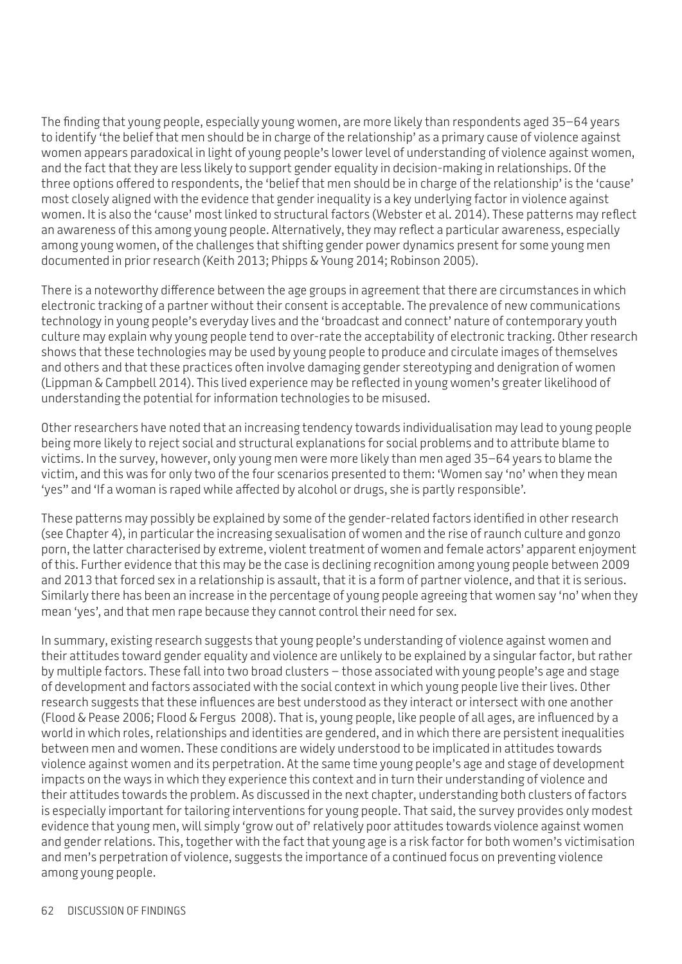The finding that young people, especially young women, are more likely than respondents aged 35–64 years to identify 'the belief that men should be in charge of the relationship' as a primary cause of violence against women appears paradoxical in light of young people's lower level of understanding of violence against women, and the fact that they are less likely to support gender equality in decision-making in relationships. Of the three options offered to respondents, the 'belief that men should be in charge of the relationship' is the 'cause' most closely aligned with the evidence that gender inequality is a key underlying factor in violence against women. It is also the 'cause' most linked to structural factors (Webster et al. 2014). These patterns may reflect an awareness of this among young people. Alternatively, they may reflect a particular awareness, especially among young women, of the challenges that shifting gender power dynamics present for some young men documented in prior research (Keith 2013; Phipps & Young 2014; Robinson 2005).

There is a noteworthy difference between the age groups in agreement that there are circumstances in which electronic tracking of a partner without their consent is acceptable. The prevalence of new communications technology in young people's everyday lives and the 'broadcast and connect' nature of contemporary youth culture may explain why young people tend to over-rate the acceptability of electronic tracking. Other research shows that these technologies may be used by young people to produce and circulate images of themselves and others and that these practices often involve damaging gender stereotyping and denigration of women (Lippman & Campbell 2014). This lived experience may be reflected in young women's greater likelihood of understanding the potential for information technologies to be misused.

Other researchers have noted that an increasing tendency towards individualisation may lead to young people being more likely to reject social and structural explanations for social problems and to attribute blame to victims. In the survey, however, only young men were more likely than men aged 35–64 years to blame the victim, and this was for only two of the four scenarios presented to them: 'Women say 'no' when they mean 'yes'' and 'If a woman is raped while affected by alcohol or drugs, she is partly responsible'.

These patterns may possibly be explained by some of the gender-related factors identified in other research (see Chapter 4), in particular the increasing sexualisation of women and the rise of raunch culture and gonzo porn, the latter characterised by extreme, violent treatment of women and female actors' apparent enjoyment of this. Further evidence that this may be the case is declining recognition among young people between 2009 and 2013 that forced sex in a relationship is assault, that it is a form of partner violence, and that it is serious. Similarly there has been an increase in the percentage of young people agreeing that women say 'no' when they mean 'yes', and that men rape because they cannot control their need for sex.

In summary, existing research suggests that young people's understanding of violence against women and their attitudes toward gender equality and violence are unlikely to be explained by a singular factor, but rather by multiple factors. These fall into two broad clusters – those associated with young people's age and stage of development and factors associated with the social context in which young people live their lives. Other research suggests that these influences are best understood as they interact or intersect with one another (Flood & Pease 2006; Flood & Fergus 2008). That is, young people, like people of all ages, are influenced by a world in which roles, relationships and identities are gendered, and in which there are persistent inequalities between men and women. These conditions are widely understood to be implicated in attitudes towards violence against women and its perpetration. At the same time young people's age and stage of development impacts on the ways in which they experience this context and in turn their understanding of violence and their attitudes towards the problem. As discussed in the next chapter, understanding both clusters of factors is especially important for tailoring interventions for young people. That said, the survey provides only modest evidence that young men, will simply 'grow out of' relatively poor attitudes towards violence against women and gender relations. This, together with the fact that young age is a risk factor for both women's victimisation and men's perpetration of violence, suggests the importance of a continued focus on preventing violence among young people.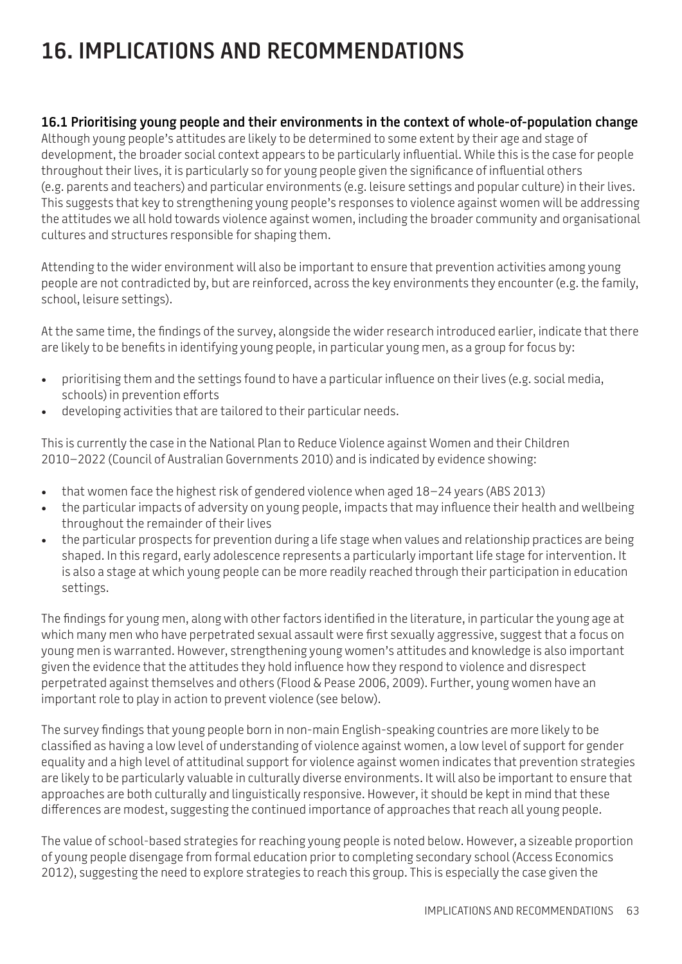# **16. IMPLICATIONS AND RECOMMENDATIONS**

#### **16.1 Prioritising young people and their environments in the context of whole-of-population change**

Although young people's attitudes are likely to be determined to some extent by their age and stage of development, the broader social context appears to be particularly influential. While this is the case for people throughout their lives, it is particularly so for young people given the significance of influential others (e.g. parents and teachers) and particular environments (e.g. leisure settings and popular culture) in their lives. This suggests that key to strengthening young people's responses to violence against women will be addressing the attitudes we all hold towards violence against women, including the broader community and organisational cultures and structures responsible for shaping them.

Attending to the wider environment will also be important to ensure that prevention activities among young people are not contradicted by, but are reinforced, across the key environments they encounter (e.g. the family, school, leisure settings).

At the same time, the findings of the survey, alongside the wider research introduced earlier, indicate that there are likely to be benefits in identifying young people, in particular young men, as a group for focus by:

- • prioritising them and the settings found to have a particular influence on their lives (e.g. social media, schools) in prevention efforts
- developing activities that are tailored to their particular needs.

This is currently the case in the National Plan to Reduce Violence against Women and their Children 2010–2022 (Council of Australian Governments 2010) and is indicated by evidence showing:

- that women face the highest risk of gendered violence when aged 18–24 years (ABS 2013)
- the particular impacts of adversity on young people, impacts that may influence their health and wellbeing throughout the remainder of their lives
- the particular prospects for prevention during a life stage when values and relationship practices are being shaped. In this regard, early adolescence represents a particularly important life stage for intervention. It is also a stage at which young people can be more readily reached through their participation in education settings.

The findings for young men, along with other factors identified in the literature, in particular the young age at which many men who have perpetrated sexual assault were first sexually aggressive, suggest that a focus on young men is warranted. However, strengthening young women's attitudes and knowledge is also important given the evidence that the attitudes they hold influence how they respond to violence and disrespect perpetrated against themselves and others (Flood & Pease 2006, 2009). Further, young women have an important role to play in action to prevent violence (see below).

The survey findings that young people born in non-main English-speaking countries are more likely to be classified as having a low level of understanding of violence against women, a low level of support for gender equality and a high level of attitudinal support for violence against women indicates that prevention strategies are likely to be particularly valuable in culturally diverse environments. It will also be important to ensure that approaches are both culturally and linguistically responsive. However, it should be kept in mind that these differences are modest, suggesting the continued importance of approaches that reach all young people.

The value of school-based strategies for reaching young people is noted below. However, a sizeable proportion of young people disengage from formal education prior to completing secondary school (Access Economics 2012), suggesting the need to explore strategies to reach this group. This is especially the case given the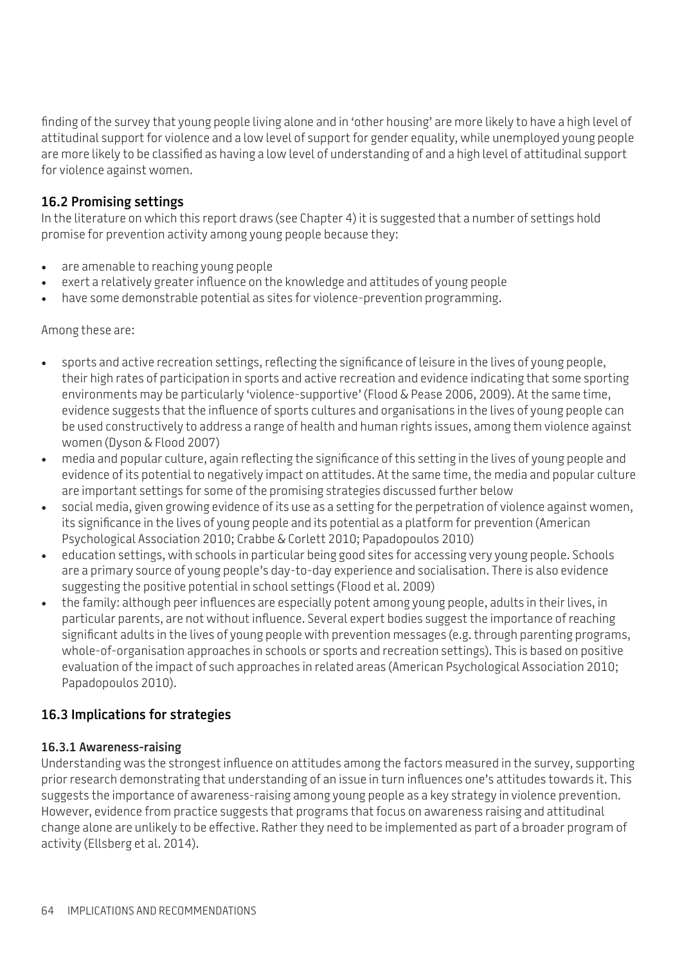finding of the survey that young people living alone and in 'other housing' are more likely to have a high level of attitudinal support for violence and a low level of support for gender equality, while unemployed young people are more likely to be classified as having a low level of understanding of and a high level of attitudinal support for violence against women.

### **16.2 Promising settings**

In the literature on which this report draws (see Chapter 4) it is suggested that a number of settings hold promise for prevention activity among young people because they:

- are amenable to reaching young people
- exert a relatively greater influence on the knowledge and attitudes of young people
- have some demonstrable potential as sites for violence-prevention programming.

Among these are:

- sports and active recreation settings, reflecting the significance of leisure in the lives of young people, their high rates of participation in sports and active recreation and evidence indicating that some sporting environments may be particularly 'violence-supportive' (Flood & Pease 2006, 2009). At the same time, evidence suggests that the influence of sports cultures and organisations in the lives of young people can be used constructively to address a range of health and human rights issues, among them violence against women (Dyson & Flood 2007)
- media and popular culture, again reflecting the significance of this setting in the lives of young people and evidence of its potential to negatively impact on attitudes. At the same time, the media and popular culture are important settings for some of the promising strategies discussed further below
- social media, given growing evidence of its use as a setting for the perpetration of violence against women, its significance in the lives of young people and its potential as a platform for prevention (American Psychological Association 2010; Crabbe & Corlett 2010; Papadopoulos 2010)
- education settings, with schools in particular being good sites for accessing very young people. Schools are a primary source of young people's day-to-day experience and socialisation. There is also evidence suggesting the positive potential in school settings (Flood et al. 2009)
- the family: although peer influences are especially potent among young people, adults in their lives, in particular parents, are not without influence. Several expert bodies suggest the importance of reaching significant adults in the lives of young people with prevention messages (e.g. through parenting programs, whole-of-organisation approaches in schools or sports and recreation settings). This is based on positive evaluation of the impact of such approaches in related areas (American Psychological Association 2010; Papadopoulos 2010).

# **16.3 Implications for strategies**

#### **16.3.1 Awareness-raising**

Understanding was the strongest influence on attitudes among the factors measured in the survey, supporting prior research demonstrating that understanding of an issue in turn influences one's attitudes towards it. This suggests the importance of awareness-raising among young people as a key strategy in violence prevention. However, evidence from practice suggests that programs that focus on awareness raising and attitudinal change alone are unlikely to be effective. Rather they need to be implemented as part of a broader program of activity (Ellsberg et al. 2014).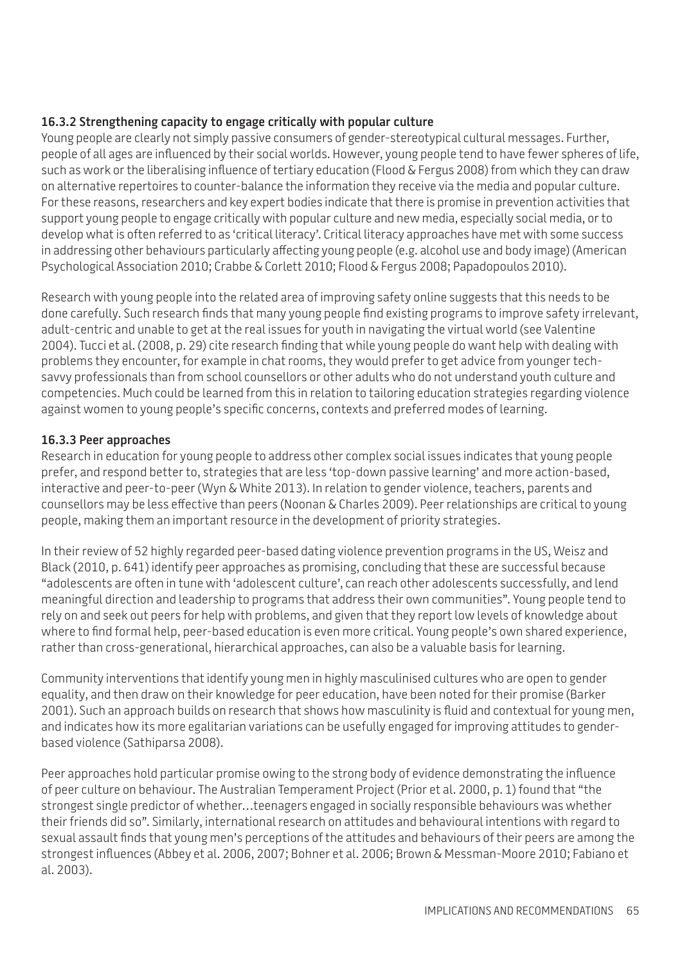# **16.3.2 Strengthening capacity to engage critically with popular culture**

Young people are clearly not simply passive consumers of gender-stereotypical cultural messages. Further, people of all ages are influenced by their social worlds. However, young people tend to have fewer spheres of life, such as work or the liberalising influence of tertiary education (Flood & Fergus 2008) from which they can draw on alternative repertoires to counter-balance the information they receive via the media and popular culture. For these reasons, researchers and key expert bodies indicate that there is promise in prevention activities that support young people to engage critically with popular culture and new media, especially social media, or to develop what is often referred to as 'critical literacy'. Critical literacy approaches have met with some success in addressing other behaviours particularly affecting young people (e.g. alcohol use and body image) (American Psychological Association 2010; Crabbe & Corlett 2010; Flood & Fergus 2008; Papadopoulos 2010).

Research with young people into the related area of improving safety online suggests that this needs to be done carefully. Such research finds that many young people find existing programs to improve safety irrelevant, adult-centric and unable to get at the real issues for youth in navigating the virtual world (see Valentine 2004). Tucci et al. (2008, p. 29) cite research finding that while young people do want help with dealing with problems they encounter, for example in chat rooms, they would prefer to get advice from younger techsavvy professionals than from school counsellors or other adults who do not understand youth culture and competencies. Much could be learned from this in relation to tailoring education strategies regarding violence against women to young people's specific concerns, contexts and preferred modes of learning.

# **16.3.3 Peer approaches**

Research in education for young people to address other complex social issues indicates that young people prefer, and respond better to, strategies that are less 'top-down passive learning' and more action-based, interactive and peer-to-peer (Wyn & White 2013). In relation to gender violence, teachers, parents and counsellors may be less effective than peers (Noonan & Charles 2009). Peer relationships are critical to young people, making them an important resource in the development of priority strategies.

In their review of 52 highly regarded peer-based dating violence prevention programs in the US, Weisz and Black (2010, p. 641) identify peer approaches as promising, concluding that these are successful because "adolescents are often in tune with 'adolescent culture', can reach other adolescents successfully, and lend meaningful direction and leadership to programs that address their own communities". Young people tend to rely on and seek out peers for help with problems, and given that they report low levels of knowledge about where to find formal help, peer-based education is even more critical. Young people's own shared experience, rather than cross-generational, hierarchical approaches, can also be a valuable basis for learning.

Community interventions that identify young men in highly masculinised cultures who are open to gender equality, and then draw on their knowledge for peer education, have been noted for their promise (Barker 2001). Such an approach builds on research that shows how masculinity is fluid and contextual for young men, and indicates how its more egalitarian variations can be usefully engaged for improving attitudes to genderbased violence (Sathiparsa 2008).

Peer approaches hold particular promise owing to the strong body of evidence demonstrating the influence of peer culture on behaviour. The Australian Temperament Project (Prior et al. 2000, p. 1) found that "the strongest single predictor of whether…teenagers engaged in socially responsible behaviours was whether their friends did so". Similarly, international research on attitudes and behavioural intentions with regard to sexual assault finds that young men's perceptions of the attitudes and behaviours of their peers are among the strongest influences (Abbey et al. 2006, 2007; Bohner et al. 2006; Brown & Messman-Moore 2010; Fabiano et al. 2003).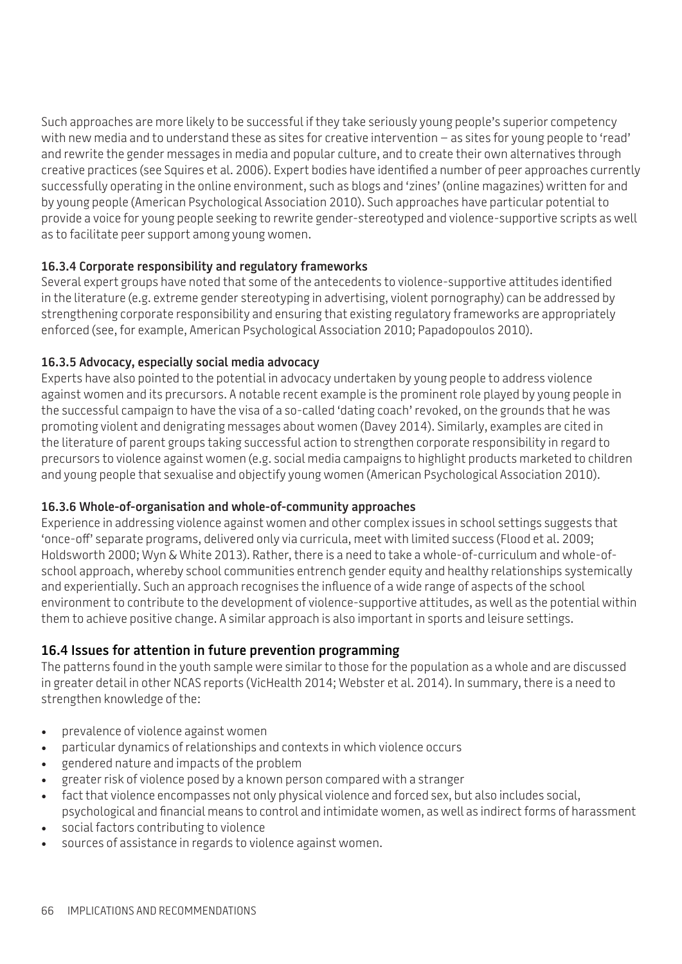Such approaches are more likely to be successful if they take seriously young people's superior competency with new media and to understand these as sites for creative intervention – as sites for young people to 'read' and rewrite the gender messages in media and popular culture, and to create their own alternatives through creative practices (see Squires et al. 2006). Expert bodies have identified a number of peer approaches currently successfully operating in the online environment, such as blogs and 'zines' (online magazines) written for and by young people (American Psychological Association 2010). Such approaches have particular potential to provide a voice for young people seeking to rewrite gender-stereotyped and violence-supportive scripts as well as to facilitate peer support among young women.

# **16.3.4 Corporate responsibility and regulatory frameworks**

Several expert groups have noted that some of the antecedents to violence-supportive attitudes identified in the literature (e.g. extreme gender stereotyping in advertising, violent pornography) can be addressed by strengthening corporate responsibility and ensuring that existing regulatory frameworks are appropriately enforced (see, for example, American Psychological Association 2010; Papadopoulos 2010).

# **16.3.5 Advocacy, especially social media advocacy**

Experts have also pointed to the potential in advocacy undertaken by young people to address violence against women and its precursors. A notable recent example is the prominent role played by young people in the successful campaign to have the visa of a so-called 'dating coach' revoked, on the grounds that he was promoting violent and denigrating messages about women (Davey 2014). Similarly, examples are cited in the literature of parent groups taking successful action to strengthen corporate responsibility in regard to precursors to violence against women (e.g. social media campaigns to highlight products marketed to children and young people that sexualise and objectify young women (American Psychological Association 2010).

# **16.3.6 Whole-of-organisation and whole-of-community approaches**

Experience in addressing violence against women and other complex issues in school settings suggests that 'once-off' separate programs, delivered only via curricula, meet with limited success (Flood et al. 2009; Holdsworth 2000; Wyn & White 2013). Rather, there is a need to take a whole-of-curriculum and whole-ofschool approach, whereby school communities entrench gender equity and healthy relationships systemically and experientially. Such an approach recognises the influence of a wide range of aspects of the school environment to contribute to the development of violence-supportive attitudes, as well as the potential within them to achieve positive change. A similar approach is also important in sports and leisure settings.

# **16.4 Issues for attention in future prevention programming**

The patterns found in the youth sample were similar to those for the population as a whole and are discussed in greater detail in other NCAS reports (VicHealth 2014; Webster et al. 2014). In summary, there is a need to strengthen knowledge of the:

- prevalence of violence against women
- particular dynamics of relationships and contexts in which violence occurs
- gendered nature and impacts of the problem
- greater risk of violence posed by a known person compared with a stranger
- fact that violence encompasses not only physical violence and forced sex, but also includes social, psychological and financial means to control and intimidate women, as well as indirect forms of harassment
- social factors contributing to violence
- sources of assistance in regards to violence against women.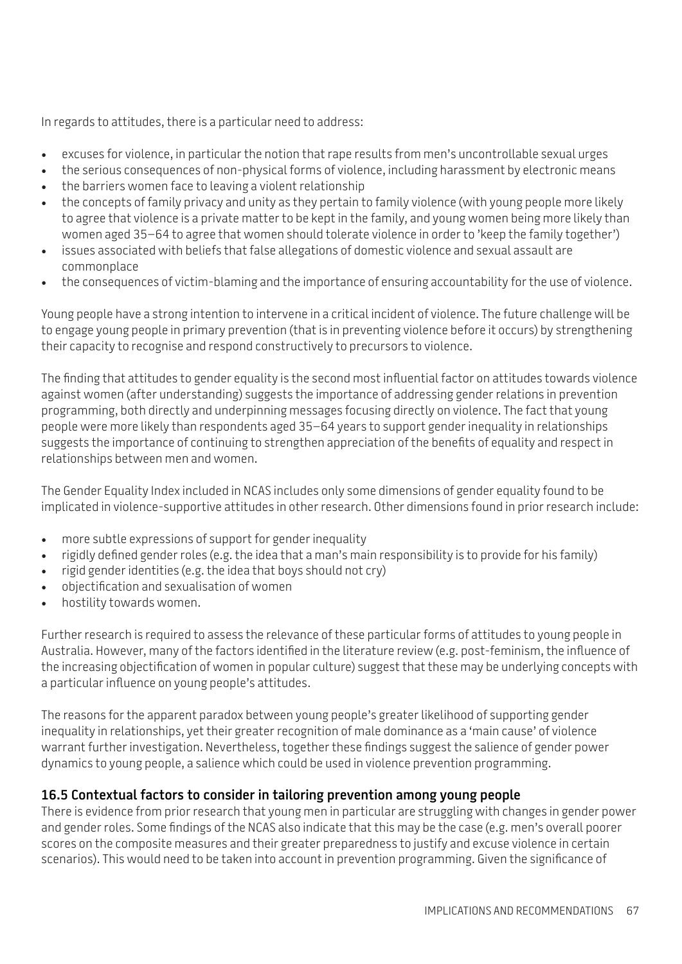In regards to attitudes, there is a particular need to address:

- excuses for violence, in particular the notion that rape results from men's uncontrollable sexual urges
- the serious consequences of non-physical forms of violence, including harassment by electronic means
- the barriers women face to leaving a violent relationship
- the concepts of family privacy and unity as they pertain to family violence (with young people more likely to agree that violence is a private matter to be kept in the family, and young women being more likely than women aged 35–64 to agree that women should tolerate violence in order to 'keep the family together')
- issues associated with beliefs that false allegations of domestic violence and sexual assault are commonplace
- the consequences of victim-blaming and the importance of ensuring accountability for the use of violence.

Young people have a strong intention to intervene in a critical incident of violence. The future challenge will be to engage young people in primary prevention (that is in preventing violence before it occurs) by strengthening their capacity to recognise and respond constructively to precursors to violence.

The finding that attitudes to gender equality is the second most influential factor on attitudes towards violence against women (after understanding) suggests the importance of addressing gender relations in prevention programming, both directly and underpinning messages focusing directly on violence. The fact that young people were more likely than respondents aged 35–64 years to support gender inequality in relationships suggests the importance of continuing to strengthen appreciation of the benefits of equality and respect in relationships between men and women.

The Gender Equality Index included in NCAS includes only some dimensions of gender equality found to be implicated in violence-supportive attitudes in other research. Other dimensions found in prior research include:

- more subtle expressions of support for gender inequality
- rigidly defined gender roles (e.g. the idea that a man's main responsibility is to provide for his family)
- rigid gender identities (e.g. the idea that boys should not cry)
- objectification and sexualisation of women
- hostility towards women.

Further research is required to assess the relevance of these particular forms of attitudes to young people in Australia. However, many of the factors identified in the literature review (e.g. post-feminism, the influence of the increasing objectification of women in popular culture) suggest that these may be underlying concepts with a particular influence on young people's attitudes.

The reasons for the apparent paradox between young people's greater likelihood of supporting gender inequality in relationships, yet their greater recognition of male dominance as a 'main cause' of violence warrant further investigation. Nevertheless, together these findings suggest the salience of gender power dynamics to young people, a salience which could be used in violence prevention programming.

# **16.5 Contextual factors to consider in tailoring prevention among young people**

There is evidence from prior research that young men in particular are struggling with changes in gender power and gender roles. Some findings of the NCAS also indicate that this may be the case (e.g. men's overall poorer scores on the composite measures and their greater preparedness to justify and excuse violence in certain scenarios). This would need to be taken into account in prevention programming. Given the significance of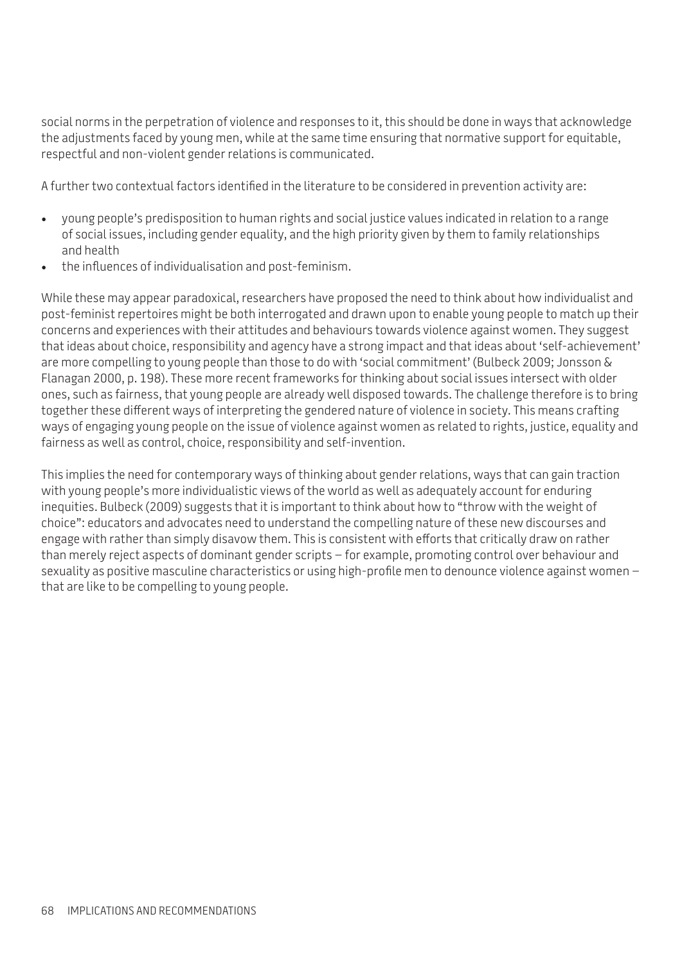social norms in the perpetration of violence and responses to it, this should be done in ways that acknowledge the adjustments faced by young men, while at the same time ensuring that normative support for equitable, respectful and non-violent gender relations is communicated.

A further two contextual factors identified in the literature to be considered in prevention activity are:

- • young people's predisposition to human rights and social justice values indicated in relation to a range of social issues, including gender equality, and the high priority given by them to family relationships and health
- the influences of individualisation and post-feminism.

While these may appear paradoxical, researchers have proposed the need to think about how individualist and post-feminist repertoires might be both interrogated and drawn upon to enable young people to match up their concerns and experiences with their attitudes and behaviours towards violence against women. They suggest that ideas about choice, responsibility and agency have a strong impact and that ideas about 'self-achievement' are more compelling to young people than those to do with 'social commitment' (Bulbeck 2009; Jonsson & Flanagan 2000, p. 198). These more recent frameworks for thinking about social issues intersect with older ones, such as fairness, that young people are already well disposed towards. The challenge therefore is to bring together these different ways of interpreting the gendered nature of violence in society. This means crafting ways of engaging young people on the issue of violence against women as related to rights, justice, equality and fairness as well as control, choice, responsibility and self-invention.

This implies the need for contemporary ways of thinking about gender relations, ways that can gain traction with young people's more individualistic views of the world as well as adequately account for enduring inequities. Bulbeck (2009) suggests that it is important to think about how to "throw with the weight of choice": educators and advocates need to understand the compelling nature of these new discourses and engage with rather than simply disavow them. This is consistent with efforts that critically draw on rather than merely reject aspects of dominant gender scripts – for example, promoting control over behaviour and sexuality as positive masculine characteristics or using high-profile men to denounce violence against women – that are like to be compelling to young people.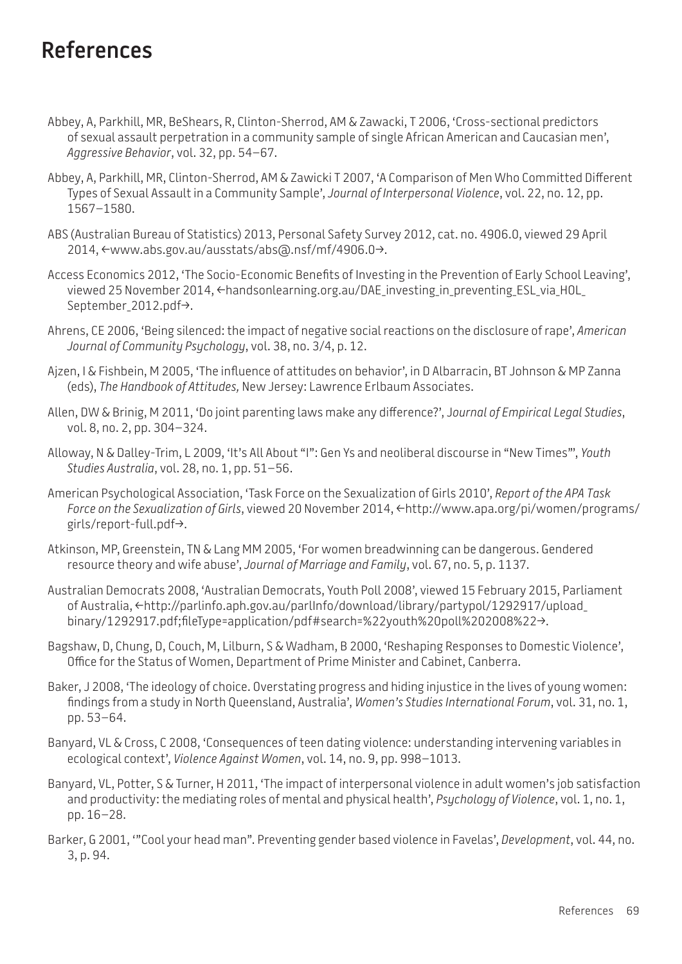# **References**

- Abbey, A, Parkhill, MR, BeShears, R, Clinton-Sherrod, AM & Zawacki, T 2006, 'Cross-sectional predictors of sexual assault perpetration in a community sample of single African American and Caucasian men', *Aggressive Behavior*, vol. 32, pp. 54–67.
- Abbey, A, Parkhill, MR, Clinton-Sherrod, AM & Zawicki T 2007, 'A Comparison of Men Who Committed Different Types of Sexual Assault in a Community Sample', *Journal of Interpersonal Violence*, vol. 22, no. 12, pp. 1567–1580.
- ABS (Australian Bureau of Statistics) 2013, Personal Safety Survey 2012, cat. no. 4906.0, viewed 29 April 2014, <www.abs.gov.au/ausstats/abs@.nsf/mf/4906.0>.
- Access Economics 2012, 'The Socio-Economic Benefits of Investing in the Prevention of Early School Leaving', viewed 25 November 2014, <handsonlearning.org.au/DAE\_investing\_in\_preventing\_ESL\_via\_HOL\_ September\_2012.pdf>.
- Ahrens, CE 2006, 'Being silenced: the impact of negative social reactions on the disclosure of rape', *American Journal of Community Psychology*, vol. 38, no. 3/4, p. 12.
- Ajzen, I & Fishbein, M 2005, 'The influence of attitudes on behavior', in D Albarracin, BT Johnson & MP Zanna (eds), *The Handbook of Attitudes,* New Jersey: Lawrence Erlbaum Associates.
- Allen, DW & Brinig, M 2011, 'Do joint parenting laws make any difference?', J*ournal of Empirical Legal Studies*, vol. 8, no. 2, pp. 304–324.
- Alloway, N & Dalley-Trim, L 2009, 'It's All About "I": Gen Ys and neoliberal discourse in "New Times"', *Youth Studies Australia*, vol. 28, no. 1, pp. 51–56.
- American Psychological Association, 'Task Force on the Sexualization of Girls 2010', *Report of the APA Task Force on the Sexualization of Girls*, viewed 20 November 2014, <http://www.apa.org/pi/women/programs/ girls/report-full.pdf>.
- Atkinson, MP, Greenstein, TN & Lang MM 2005, 'For women breadwinning can be dangerous. Gendered resource theory and wife abuse', *Journal of Marriage and Family*, vol. 67, no. 5, p. 1137.
- Australian Democrats 2008, 'Australian Democrats, Youth Poll 2008', viewed 15 February 2015, Parliament of Australia, <http://parlinfo.aph.gov.au/parlInfo/download/library/partypol/1292917/upload\_ binary/1292917.pdf;fileType=application/pdf#search=%22youth%20poll%202008%22->.
- Bagshaw, D, Chung, D, Couch, M, Lilburn, S & Wadham, B 2000, 'Reshaping Responses to Domestic Violence', Office for the Status of Women, Department of Prime Minister and Cabinet, Canberra.
- Baker, J 2008, 'The ideology of choice. Overstating progress and hiding injustice in the lives of young women: findings from a study in North Queensland, Australia', *Women's Studies International Forum*, vol. 31, no. 1, pp. 53–64.
- Banyard, VL & Cross, C 2008, 'Consequences of teen dating violence: understanding intervening variables in ecological context', *Violence Against Women*, vol. 14, no. 9, pp. 998–1013.
- Banyard, VL, Potter, S & Turner, H 2011, 'The impact of interpersonal violence in adult women's job satisfaction and productivity: the mediating roles of mental and physical health', *Psychology of Violence*, vol. 1, no. 1, pp. 16–28.
- Barker, G 2001, '"Cool your head man". Preventing gender based violence in Favelas', *Development*, vol. 44, no. 3, p. 94.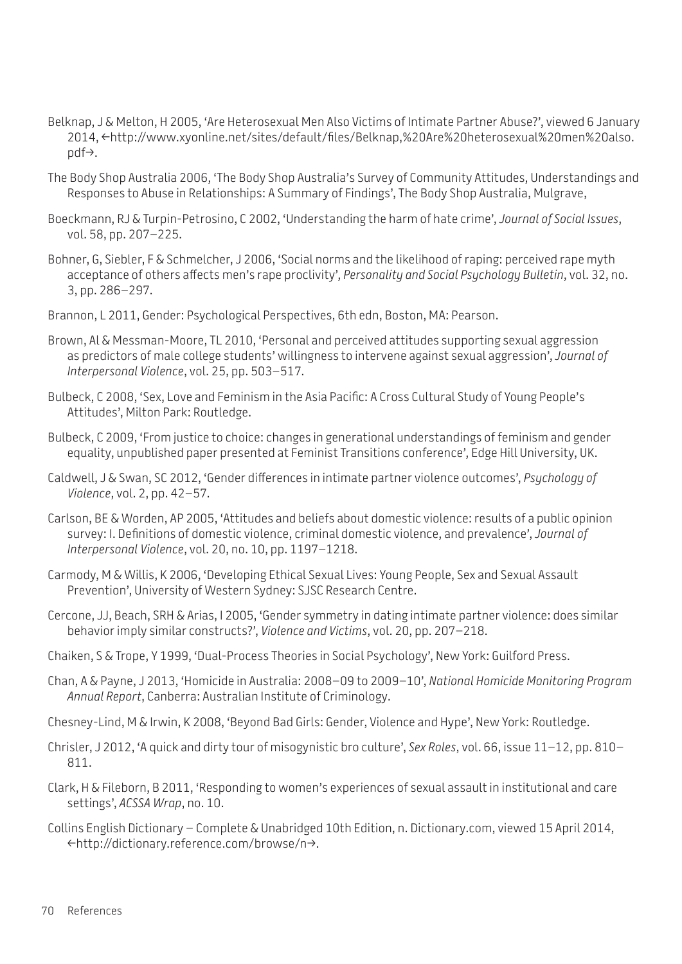- Belknap, J & Melton, H 2005, 'Are Heterosexual Men Also Victims of Intimate Partner Abuse?', viewed 6 January 2014, <http://www.xyonline.net/sites/default/files/Belknap,%20Are%20heterosexual%20men%20also. pdf>.
- The Body Shop Australia 2006, 'The Body Shop Australia's Survey of Community Attitudes, Understandings and Responses to Abuse in Relationships: A Summary of Findings', The Body Shop Australia, Mulgrave,
- Boeckmann, RJ & Turpin-Petrosino, C 2002, 'Understanding the harm of hate crime', *Journal of Social Issues*, vol. 58, pp. 207–225.
- Bohner, G, Siebler, F & Schmelcher, J 2006, 'Social norms and the likelihood of raping: perceived rape myth acceptance of others affects men's rape proclivity', *Personality and Social Psychology Bulletin*, vol. 32, no. 3, pp. 286–297.
- Brannon, L 2011, Gender: Psychological Perspectives, 6th edn, Boston, MA: Pearson.
- Brown, Al & Messman-Moore, TL 2010, 'Personal and perceived attitudes supporting sexual aggression as predictors of male college students' willingness to intervene against sexual aggression', *Journal of Interpersonal Violence*, vol. 25, pp. 503–517.
- Bulbeck, C 2008, 'Sex, Love and Feminism in the Asia Pacific: A Cross Cultural Study of Young People's Attitudes', Milton Park: Routledge.
- Bulbeck, C 2009, 'From justice to choice: changes in generational understandings of feminism and gender equality, unpublished paper presented at Feminist Transitions conference', Edge Hill University, UK.
- Caldwell, J & Swan, SC 2012, 'Gender differences in intimate partner violence outcomes', *Psychology of Violence*, vol. 2, pp. 42–57.
- Carlson, BE & Worden, AP 2005, 'Attitudes and beliefs about domestic violence: results of a public opinion survey: I. Definitions of domestic violence, criminal domestic violence, and prevalence', *Journal of Interpersonal Violence*, vol. 20, no. 10, pp. 1197–1218.
- Carmody, M & Willis, K 2006, 'Developing Ethical Sexual Lives: Young People, Sex and Sexual Assault Prevention', University of Western Sydney: SJSC Research Centre.
- Cercone, JJ, Beach, SRH & Arias, I 2005, 'Gender symmetry in dating intimate partner violence: does similar behavior imply similar constructs?', *Violence and Victims*, vol. 20, pp. 207–218.
- Chaiken, S & Trope, Y 1999, 'Dual-Process Theories in Social Psychology', New York: Guilford Press.
- Chan, A & Payne, J 2013, 'Homicide in Australia: 2008–09 to 2009–10', *National Homicide Monitoring Program Annual Report*, Canberra: Australian Institute of Criminology.
- Chesney-Lind, M & Irwin, K 2008, 'Beyond Bad Girls: Gender, Violence and Hype', New York: Routledge.
- Chrisler, J 2012, 'A quick and dirty tour of misogynistic bro culture', *Sex Roles*, vol. 66, issue 11–12, pp. 810– 811.
- Clark, H & Fileborn, B 2011, 'Responding to women's experiences of sexual assault in institutional and care settings', *ACSSA Wrap*, no. 10.
- Collins English Dictionary Complete & Unabridged 10th Edition, n. Dictionary.com, viewed 15 April 2014, <http://dictionary.reference.com/browse/n>.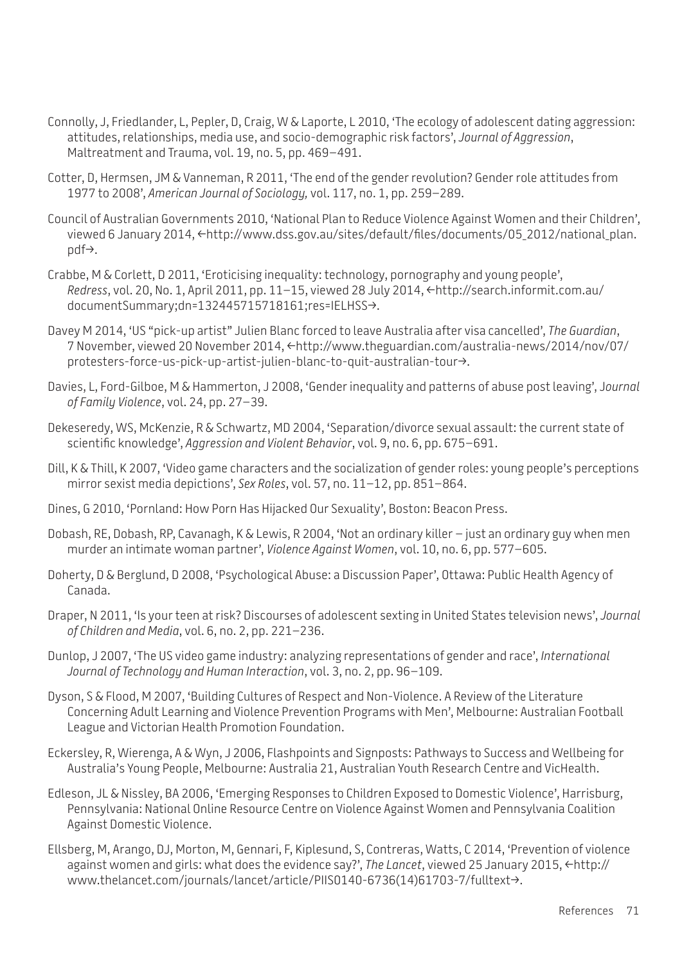- Connolly, J, Friedlander, L, Pepler, D, Craig, W & Laporte, L 2010, 'The ecology of adolescent dating aggression: attitudes, relationships, media use, and socio-demographic risk factors', *Journal of Aggression*, Maltreatment and Trauma, vol. 19, no. 5, pp. 469–491.
- Cotter, D, Hermsen, JM & Vanneman, R 2011, 'The end of the gender revolution? Gender role attitudes from 1977 to 2008', *American Journal of Sociology,* vol. 117, no. 1, pp. 259–289.
- Council of Australian Governments 2010, 'National Plan to Reduce Violence Against Women and their Children', viewed 6 January 2014,  $\leftarrow$ http://www.dss.gov.au/sites/default/files/documents/05 2012/national plan. pdf>.
- Crabbe, M & Corlett, D 2011, 'Eroticising inequality: technology, pornography and young people', *Redress*, vol. 20, No. 1, April 2011, pp. 11–15, viewed 28 July 2014, <http://search.informit.com.au/ documentSummary;dn=132445715718161;res=IELHSS>.
- Davey M 2014, 'US "pick-up artist" Julien Blanc forced to leave Australia after visa cancelled', *The Guardian*, 7 November, viewed 20 November 2014, <http://www.theguardian.com/australia-news/2014/nov/07/ protesters-force-us-pick-up-artist-julien-blanc-to-quit-australian-tour>.
- Davies, L, Ford-Gilboe, M & Hammerton, J 2008, 'Gender inequality and patterns of abuse post leaving', J*ournal of Family Violence*, vol. 24, pp. 27–39.
- Dekeseredy, WS, McKenzie, R & Schwartz, MD 2004, 'Separation/divorce sexual assault: the current state of scientific knowledge', *Aggression and Violent Behavior*, vol. 9, no. 6, pp. 675–691.
- Dill, K & Thill, K 2007, 'Video game characters and the socialization of gender roles: young people's perceptions mirror sexist media depictions', *Sex Roles*, vol. 57, no. 11–12, pp. 851–864.
- Dines, G 2010, 'Pornland: How Porn Has Hijacked Our Sexuality', Boston: Beacon Press.
- Dobash, RE, Dobash, RP, Cavanagh, K & Lewis, R 2004, 'Not an ordinary killer just an ordinary guy when men murder an intimate woman partner', *Violence Against Women*, vol. 10, no. 6, pp. 577–605.
- Doherty, D & Berglund, D 2008, 'Psychological Abuse: a Discussion Paper', Ottawa: Public Health Agency of Canada.
- Draper, N 2011, 'Is your teen at risk? Discourses of adolescent sexting in United States television news', *Journal of Children and Media*, vol. 6, no. 2, pp. 221–236.
- Dunlop, J 2007, 'The US video game industry: analyzing representations of gender and race', *International Journal of Technology and Human Interaction*, vol. 3, no. 2, pp. 96–109.
- Dyson, S & Flood, M 2007, 'Building Cultures of Respect and Non-Violence. A Review of the Literature Concerning Adult Learning and Violence Prevention Programs with Men', Melbourne: Australian Football League and Victorian Health Promotion Foundation.
- Eckersley, R, Wierenga, A & Wyn, J 2006, Flashpoints and Signposts: Pathways to Success and Wellbeing for Australia's Young People, Melbourne: Australia 21, Australian Youth Research Centre and VicHealth.
- Edleson, JL & Nissley, BA 2006, 'Emerging Responses to Children Exposed to Domestic Violence', Harrisburg, Pennsylvania: National Online Resource Centre on Violence Against Women and Pennsylvania Coalition Against Domestic Violence.
- Ellsberg, M, Arango, DJ, Morton, M, Gennari, F, Kiplesund, S, Contreras, Watts, C 2014, 'Prevention of violence against women and girls: what does the evidence say?', *The Lancet*, viewed 25 January 2015, <http:// www.thelancet.com/journals/lancet/article/PIIS0140-6736(14)61703-7/fulltext>.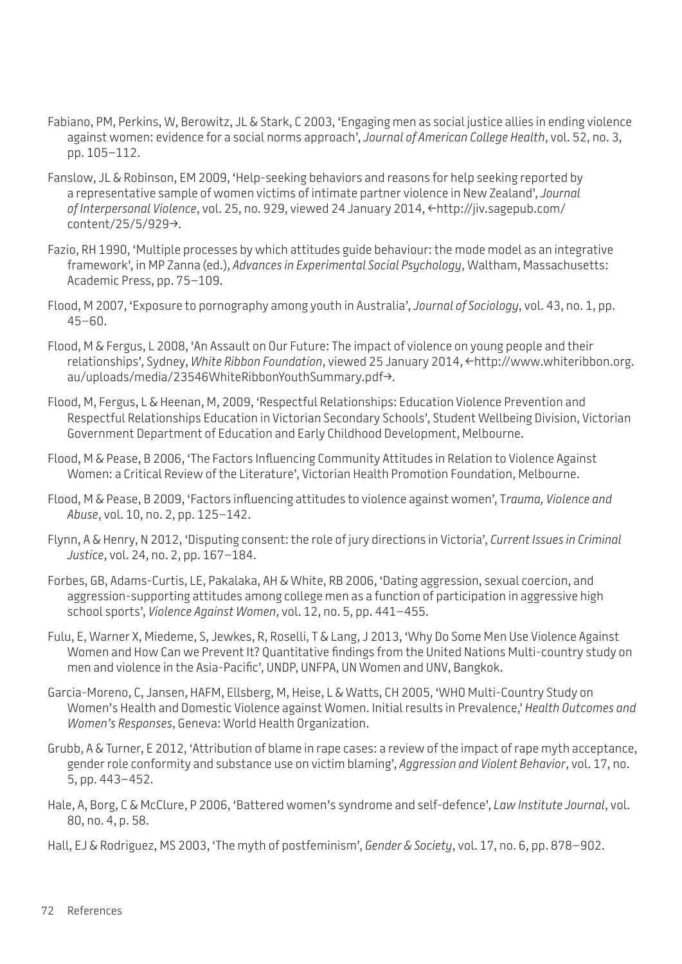- Fabiano, PM, Perkins, W, Berowitz, JL & Stark, C 2003, 'Engaging men as social justice allies in ending violence against women: evidence for a social norms approach', *Journal of American College Health*, vol. 52, no. 3, pp. 105–112.
- Fanslow, JL & Robinson, EM 2009, 'Help-seeking behaviors and reasons for help seeking reported by a representative sample of women victims of intimate partner violence in New Zealand', *Journal of Interpersonal Violence*, vol. 25, no. 929, viewed 24 January 2014, <http://jiv.sagepub.com/ content/25/5/929 $\rightarrow$ .
- Fazio, RH 1990, 'Multiple processes by which attitudes guide behaviour: the mode model as an integrative framework', in MP Zanna (ed.), *Advances in Experimental Social Psychology*, Waltham, Massachusetts: Academic Press, pp. 75–109.
- Flood, M 2007, 'Exposure to pornography among youth in Australia', *Journal of Sociology*, vol. 43, no. 1, pp. 45–60.
- Flood, M & Fergus, L 2008, 'An Assault on Our Future: The impact of violence on young people and their relationships', Sydney, *White Ribbon Foundation*, viewed 25 January 2014, <http://www.whiteribbon.org. au/uploads/media/23546WhiteRibbonYouthSummary.pdf>.
- Flood, M, Fergus, L & Heenan, M, 2009, 'Respectful Relationships: Education Violence Prevention and Respectful Relationships Education in Victorian Secondary Schools', Student Wellbeing Division, Victorian Government Department of Education and Early Childhood Development, Melbourne.
- Flood, M & Pease, B 2006, 'The Factors Influencing Community Attitudes in Relation to Violence Against Women: a Critical Review of the Literature', Victorian Health Promotion Foundation, Melbourne.
- Flood, M & Pease, B 2009, 'Factors influencing attitudes to violence against women', T*rauma, Violence and Abuse*, vol. 10, no. 2, pp. 125–142.
- Flynn, A & Henry, N 2012, 'Disputing consent: the role of jury directions in Victoria', *Current Issues in Criminal Justice*, vol. 24, no. 2, pp. 167–184.
- Forbes, GB, Adams-Curtis, LE, Pakalaka, AH & White, RB 2006, 'Dating aggression, sexual coercion, and aggression-supporting attitudes among college men as a function of participation in aggressive high school sports', *Violence Against Women*, vol. 12, no. 5, pp. 441–455.
- Fulu, E, Warner X, Miedeme, S, Jewkes, R, Roselli, T & Lang, J 2013, 'Why Do Some Men Use Violence Against Women and How Can we Prevent It? Quantitative findings from the United Nations Multi-country study on men and violence in the Asia-Pacific', UNDP, UNFPA, UN Women and UNV, Bangkok.
- Garcia-Moreno, C, Jansen, HAFM, Ellsberg, M, Heise, L & Watts, CH 2005, 'WHO Multi-Country Study on Women's Health and Domestic Violence against Women. Initial results in Prevalence,' *Health Outcomes and Women's Responses*, Geneva: World Health Organization.
- Grubb, A & Turner, E 2012, 'Attribution of blame in rape cases: a review of the impact of rape myth acceptance, gender role conformity and substance use on victim blaming', *Aggression and Violent Behavior*, vol. 17, no. 5, pp. 443–452.
- Hale, A, Borg, C & McClure, P 2006, 'Battered women's syndrome and self-defence', *Law Institute Journal*, vol. 80, no. 4, p. 58.
- Hall, EJ & Rodriguez, MS 2003, 'The myth of postfeminism', *Gender & Society*, vol. 17, no. 6, pp. 878–902.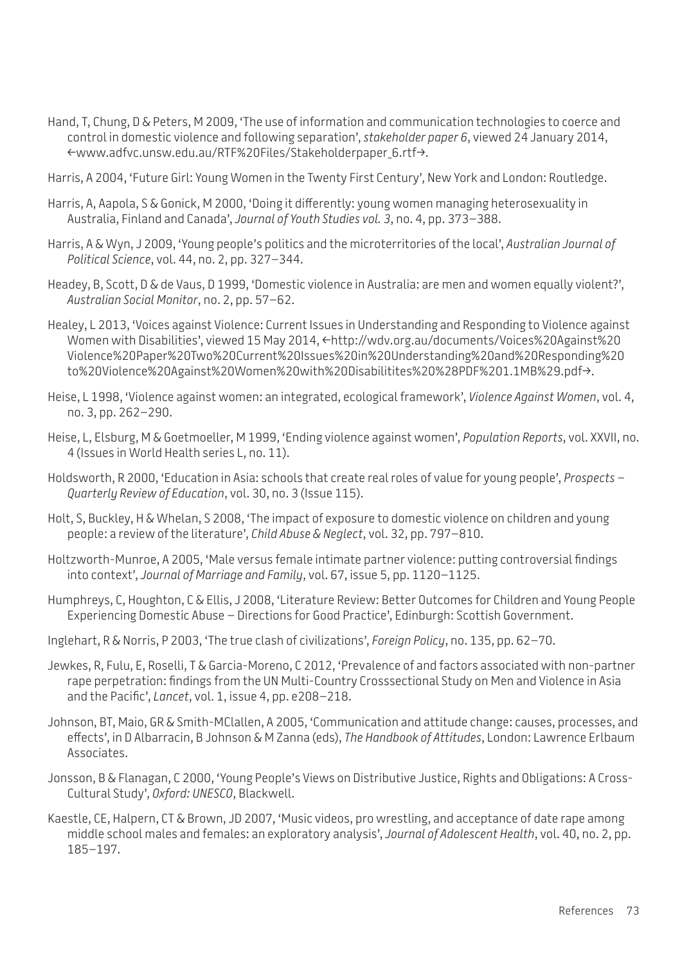- Hand, T, Chung, D & Peters, M 2009, 'The use of information and communication technologies to coerce and control in domestic violence and following separation', *stakeholder paper 6*, viewed 24 January 2014, <www.adfvc.unsw.edu.au/RTF%20Files/Stakeholderpaper\_6.rtf>.
- Harris, A 2004, 'Future Girl: Young Women in the Twenty First Century', New York and London: Routledge.
- Harris, A, Aapola, S & Gonick, M 2000, 'Doing it differently: young women managing heterosexuality in Australia, Finland and Canada', *Journal of Youth Studies vol. 3*, no. 4, pp. 373–388.
- Harris, A & Wyn, J 2009, 'Young people's politics and the microterritories of the local', *Australian Journal of Political Science*, vol. 44, no. 2, pp. 327–344.
- Headey, B, Scott, D & de Vaus, D 1999, 'Domestic violence in Australia: are men and women equally violent?', *Australian Social Monitor*, no. 2, pp. 57–62.
- Healey, L 2013, 'Voices against Violence: Current Issues in Understanding and Responding to Violence against Women with Disabilities', viewed 15 May 2014,  $\leftarrow$ http://wdv.org.au/documents/Voices%20Against%20 Violence%20Paper%20Two%20Current%20Issues%20in%20Understanding%20and%20Responding%20 to%20Violence%20Against%20Women%20with%20Disabilitites%20%28PDF%201.1MB%29.pdf>.
- Heise, L 1998, 'Violence against women: an integrated, ecological framework', *Violence Against Women*, vol. 4, no. 3, pp. 262–290.
- Heise, L, Elsburg, M & Goetmoeller, M 1999, 'Ending violence against women', *Population Reports*, vol. XXVII, no. 4 (Issues in World Health series L, no. 11).
- Holdsworth, R 2000, 'Education in Asia: schools that create real roles of value for young people', *Prospects Quarterly Review of Education*, vol. 30, no. 3 (Issue 115).
- Holt, S, Buckley, H & Whelan, S 2008, 'The impact of exposure to domestic violence on children and young people: a review of the literature', *Child Abuse & Neglect*, vol. 32, pp. 797–810.
- Holtzworth-Munroe, A 2005, 'Male versus female intimate partner violence: putting controversial findings into context', *Journal of Marriage and Family*, vol. 67, issue 5, pp. 1120–1125.
- Humphreys, C, Houghton, C & Ellis, J 2008, 'Literature Review: Better Outcomes for Children and Young People Experiencing Domestic Abuse – Directions for Good Practice', Edinburgh: Scottish Government.
- Inglehart, R & Norris, P 2003, 'The true clash of civilizations', *Foreign Policy*, no. 135, pp. 62–70.
- Jewkes, R, Fulu, E, Roselli, T & Garcia-Moreno, C 2012, 'Prevalence of and factors associated with non-partner rape perpetration: findings from the UN Multi-Country Crosssectional Study on Men and Violence in Asia and the Pacific', *Lancet*, vol. 1, issue 4, pp. e208–218.
- Johnson, BT, Maio, GR & Smith-MClallen, A 2005, 'Communication and attitude change: causes, processes, and effects', in D Albarracin, B Johnson & M Zanna (eds), *The Handbook of Attitudes*, London: Lawrence Erlbaum Associates.
- Jonsson, B & Flanagan, C 2000, 'Young People's Views on Distributive Justice, Rights and Obligations: A Cross-Cultural Study', *Oxford: UNESCO*, Blackwell.
- Kaestle, CE, Halpern, CT & Brown, JD 2007, 'Music videos, pro wrestling, and acceptance of date rape among middle school males and females: an exploratory analysis', *Journal of Adolescent Health*, vol. 40, no. 2, pp. 185–197.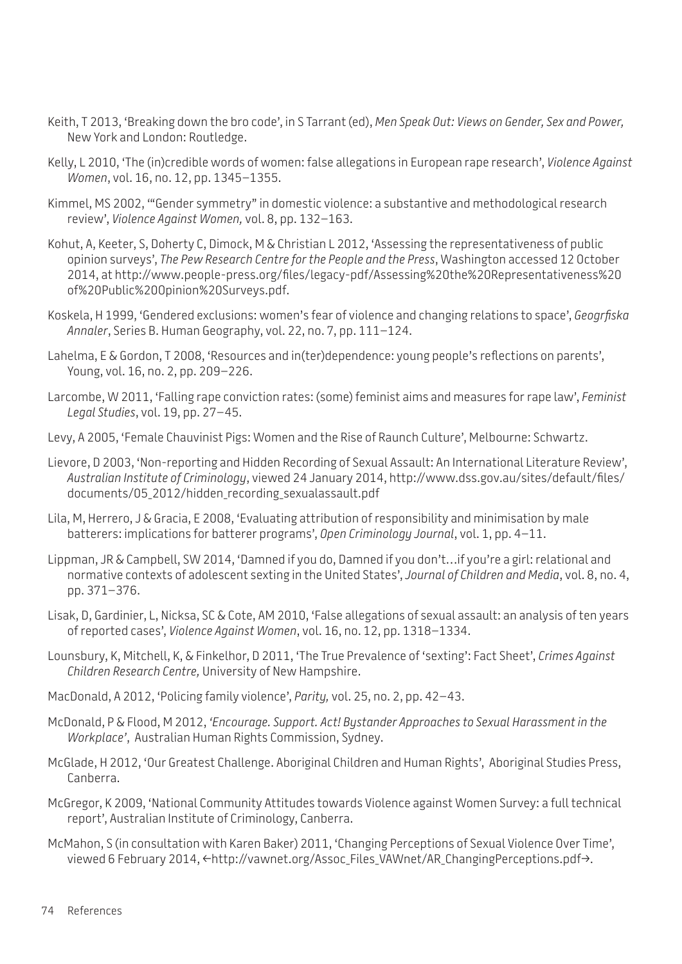- Keith, T 2013, 'Breaking down the bro code', in S Tarrant (ed), *Men Speak Out: Views on Gender, Sex and Power,*  New York and London: Routledge.
- Kelly, L 2010, 'The (in)credible words of women: false allegations in European rape research', *Violence Against Women*, vol. 16, no. 12, pp. 1345–1355.
- Kimmel, MS 2002, '"Gender symmetry" in domestic violence: a substantive and methodological research review', *Violence Against Women,* vol. 8, pp. 132–163.
- Kohut, A, Keeter, S, Doherty C, Dimock, M & Christian L 2012, 'Assessing the representativeness of public opinion surveys', *The Pew Research Centre for the People and the Press*, Washington accessed 12 October 2014, at http://www.people-press.org/files/legacy-pdf/Assessing%20the%20Representativeness%20 of%20Public%20Opinion%20Surveys.pdf.
- Koskela, H 1999, 'Gendered exclusions: women's fear of violence and changing relations to space', *Geogrfiska Annaler*, Series B. Human Geography, vol. 22, no. 7, pp. 111–124.
- Lahelma, E & Gordon, T 2008, 'Resources and in(ter)dependence: young people's reflections on parents', Young, vol. 16, no. 2, pp. 209–226.
- Larcombe, W 2011, 'Falling rape conviction rates: (some) feminist aims and measures for rape law', *Feminist Legal Studies*, vol. 19, pp. 27–45.
- Levy, A 2005, 'Female Chauvinist Pigs: Women and the Rise of Raunch Culture', Melbourne: Schwartz.
- Lievore, D 2003, 'Non-reporting and Hidden Recording of Sexual Assault: An International Literature Review', *Australian Institute of Criminology*, viewed 24 January 2014, http://www.dss.gov.au/sites/default/files/ documents/05\_2012/hidden\_recording\_sexualassault.pdf
- Lila, M, Herrero, J & Gracia, E 2008, 'Evaluating attribution of responsibility and minimisation by male batterers: implications for batterer programs', *Open Criminology Journal*, vol. 1, pp. 4–11.
- Lippman, JR & Campbell, SW 2014, 'Damned if you do, Damned if you don't…if you're a girl: relational and normative contexts of adolescent sexting in the United States', *Journal of Children and Media*, vol. 8, no. 4, pp. 371–376.
- Lisak, D, Gardinier, L, Nicksa, SC & Cote, AM 2010, 'False allegations of sexual assault: an analysis of ten years of reported cases', *Violence Against Women*, vol. 16, no. 12, pp. 1318–1334.
- Lounsbury, K, Mitchell, K, & Finkelhor, D 2011, 'The True Prevalence of 'sexting': Fact Sheet', *Crimes Against Children Research Centre,* University of New Hampshire.
- MacDonald, A 2012, 'Policing family violence', *Parity,* vol. 25, no. 2, pp. 42–43.
- McDonald, P & Flood, M 2012, *'Encourage. Support. Act! Bystander Approaches to Sexual Harassment in the Workplace'*, Australian Human Rights Commission, Sydney.
- McGlade, H 2012, 'Our Greatest Challenge. Aboriginal Children and Human Rights', Aboriginal Studies Press, Canberra.
- McGregor, K 2009, 'National Community Attitudes towards Violence against Women Survey: a full technical report', Australian Institute of Criminology, Canberra.
- McMahon, S (in consultation with Karen Baker) 2011, 'Changing Perceptions of Sexual Violence Over Time', viewed 6 February 2014, ←http://vawnet.org/Assoc\_Files\_VAWnet/AR\_ChangingPerceptions.pdf→.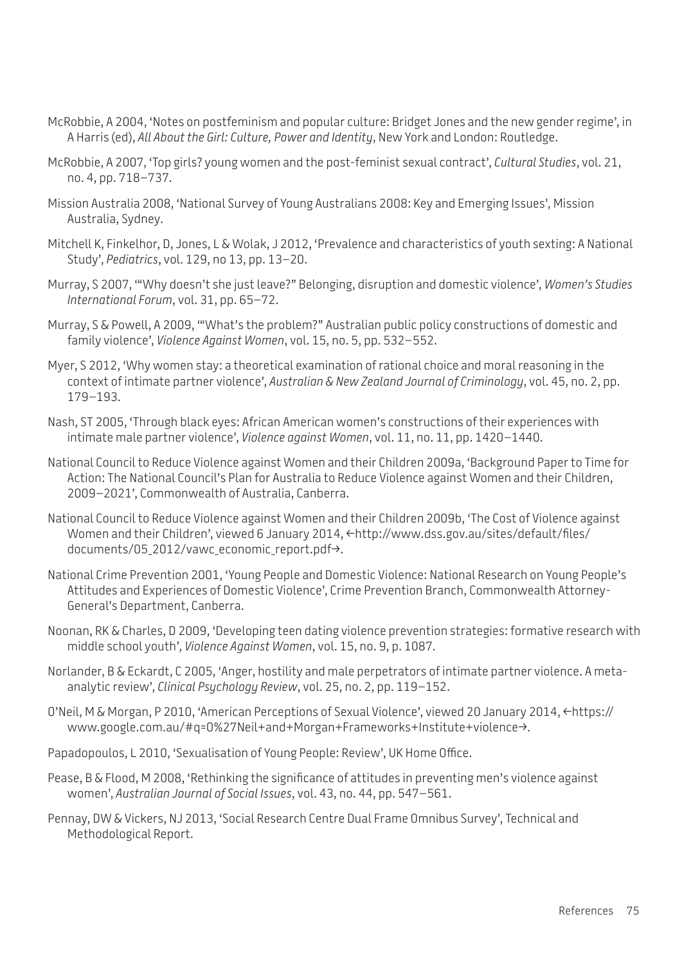- McRobbie, A 2004, 'Notes on postfeminism and popular culture: Bridget Jones and the new gender regime', in A Harris (ed), *All About the Girl: Culture, Power and Identity*, New York and London: Routledge.
- McRobbie, A 2007, 'Top girls? young women and the post-feminist sexual contract', *Cultural Studies*, vol. 21, no. 4, pp. 718–737.
- Mission Australia 2008, 'National Survey of Young Australians 2008: Key and Emerging Issues', Mission Australia, Sydney.
- Mitchell K, Finkelhor, D, Jones, L & Wolak, J 2012, 'Prevalence and characteristics of youth sexting: A National Study', *Pediatrics*, vol. 129, no 13, pp. 13–20.
- Murray, S 2007, '"Why doesn't she just leave?" Belonging, disruption and domestic violence', *Women's Studies International Forum*, vol. 31, pp. 65–72.
- Murray, S & Powell, A 2009, '"What's the problem?" Australian public policy constructions of domestic and family violence', *Violence Against Women*, vol. 15, no. 5, pp. 532–552.
- Myer, S 2012, 'Why women stay: a theoretical examination of rational choice and moral reasoning in the context of intimate partner violence', *Australian & New Zealand Journal of Criminology*, vol. 45, no. 2, pp. 179–193.
- Nash, ST 2005, 'Through black eyes: African American women's constructions of their experiences with intimate male partner violence', *Violence against Women*, vol. 11, no. 11, pp. 1420–1440.
- National Council to Reduce Violence against Women and their Children 2009a, 'Background Paper to Time for Action: The National Council's Plan for Australia to Reduce Violence against Women and their Children, 2009–2021', Commonwealth of Australia, Canberra.
- National Council to Reduce Violence against Women and their Children 2009b, 'The Cost of Violence against Women and their Children', viewed 6 January 2014, ←http://www.dss.gov.au/sites/default/files/ documents/05\_2012/vawc\_economic\_report.pdf→.
- National Crime Prevention 2001, 'Young People and Domestic Violence: National Research on Young People's Attitudes and Experiences of Domestic Violence', Crime Prevention Branch, Commonwealth Attorney-General's Department, Canberra.
- Noonan, RK & Charles, D 2009, 'Developing teen dating violence prevention strategies: formative research with middle school youth', *Violence Against Women*, vol. 15, no. 9, p. 1087.
- Norlander, B & Eckardt, C 2005, 'Anger, hostility and male perpetrators of intimate partner violence. A metaanalytic review', *Clinical Psychology Review*, vol. 25, no. 2, pp. 119–152.
- O'Neil, M & Morgan, P 2010, 'American Perceptions of Sexual Violence', viewed 20 January 2014, <https:// www.google.com.au/#q=O%27Neil+and+Morgan+Frameworks+Institute+violence>.
- Papadopoulos, L 2010, 'Sexualisation of Young People: Review', UK Home Office.
- Pease, B & Flood, M 2008, 'Rethinking the significance of attitudes in preventing men's violence against women', *Australian Journal of Social Issues*, vol. 43, no. 44, pp. 547–561.
- Pennay, DW & Vickers, NJ 2013, 'Social Research Centre Dual Frame Omnibus Survey', Technical and Methodological Report.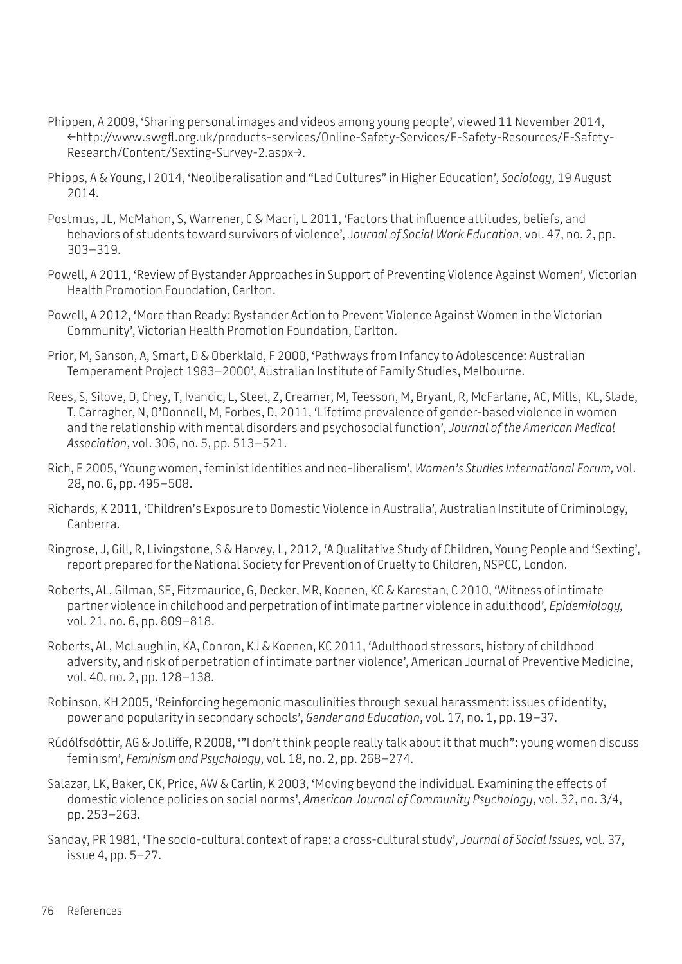- Phippen, A 2009, 'Sharing personal images and videos among young people', viewed 11 November 2014, <http://www.swgfl.org.uk/products-services/Online-Safety-Services/E-Safety-Resources/E-Safety-Research/Content/Sexting-Survey-2.aspx>.
- Phipps, A & Young, I 2014, 'Neoliberalisation and "Lad Cultures" in Higher Education', *Sociology*, 19 August 2014.
- Postmus, JL, McMahon, S, Warrener, C & Macri, L 2011, 'Factors that influence attitudes, beliefs, and behaviors of students toward survivors of violence', J*ournal of Social Work Education*, vol. 47, no. 2, pp. 303–319.
- Powell, A 2011, 'Review of Bystander Approaches in Support of Preventing Violence Against Women', Victorian Health Promotion Foundation, Carlton.
- Powell, A 2012, 'More than Ready: Bystander Action to Prevent Violence Against Women in the Victorian Community', Victorian Health Promotion Foundation, Carlton.
- Prior, M, Sanson, A, Smart, D & Oberklaid, F 2000, 'Pathways from Infancy to Adolescence: Australian Temperament Project 1983–2000', Australian Institute of Family Studies, Melbourne.
- Rees, S, Silove, D, Chey, T, Ivancic, L, Steel, Z, Creamer, M, Teesson, M, Bryant, R, McFarlane, AC, Mills, KL, Slade, T, Carragher, N, O'Donnell, M, Forbes, D, 2011, 'Lifetime prevalence of gender-based violence in women and the relationship with mental disorders and psychosocial function', *Journal of the American Medical Association*, vol. 306, no. 5, pp. 513–521.
- Rich, E 2005, 'Young women, feminist identities and neo-liberalism', *Women's Studies International Forum,* vol. 28, no. 6, pp. 495–508.
- Richards, K 2011, 'Children's Exposure to Domestic Violence in Australia', Australian Institute of Criminology, Canberra.
- Ringrose, J, Gill, R, Livingstone, S & Harvey, L, 2012, 'A Qualitative Study of Children, Young People and 'Sexting', report prepared for the National Society for Prevention of Cruelty to Children, NSPCC, London.
- Roberts, AL, Gilman, SE, Fitzmaurice, G, Decker, MR, Koenen, KC & Karestan, C 2010, 'Witness of intimate partner violence in childhood and perpetration of intimate partner violence in adulthood', *Epidemiology,* vol. 21, no. 6, pp. 809–818.
- Roberts, AL, McLaughlin, KA, Conron, KJ & Koenen, KC 2011, 'Adulthood stressors, history of childhood adversity, and risk of perpetration of intimate partner violence', American Journal of Preventive Medicine, vol. 40, no. 2, pp. 128–138.
- Robinson, KH 2005, 'Reinforcing hegemonic masculinities through sexual harassment: issues of identity, power and popularity in secondary schools', *Gender and Education*, vol. 17, no. 1, pp. 19–37.
- Rúdólfsdóttir, AG & Jolliffe, R 2008, '"I don't think people really talk about it that much": young women discuss feminism', *Feminism and Psychology*, vol. 18, no. 2, pp. 268–274.
- Salazar, LK, Baker, CK, Price, AW & Carlin, K 2003, 'Moving beyond the individual. Examining the effects of domestic violence policies on social norms', *American Journal of Community Psychology*, vol. 32, no. 3/4, pp. 253–263.
- Sanday, PR 1981, 'The socio-cultural context of rape: a cross-cultural study', *Journal of Social Issues,* vol. 37, issue 4, pp. 5–27.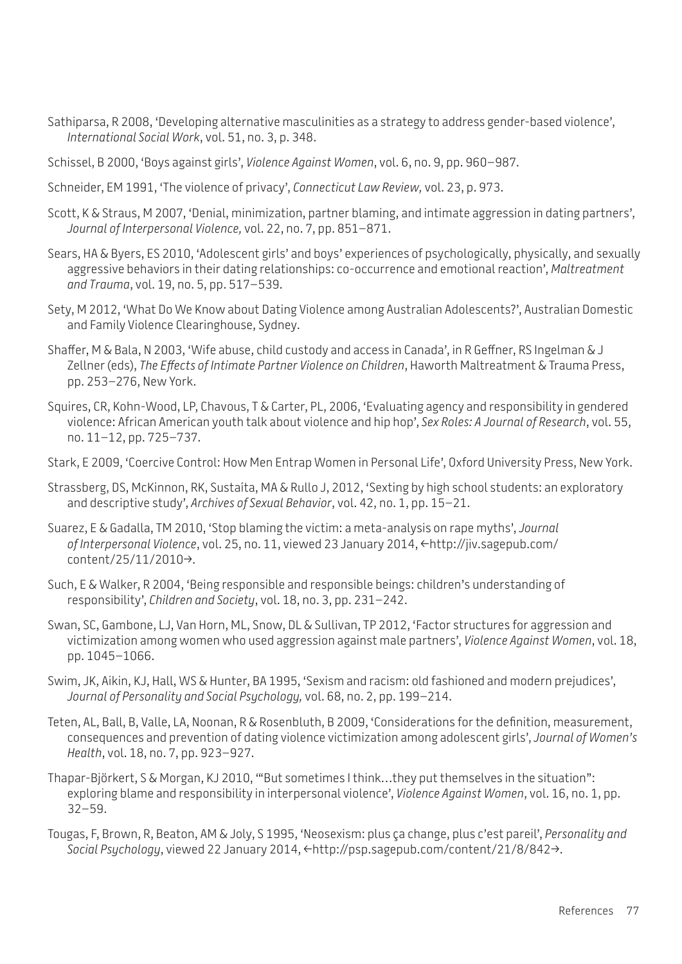- Sathiparsa, R 2008, 'Developing alternative masculinities as a strategy to address gender-based violence', *International Social Work*, vol. 51, no. 3, p. 348.
- Schissel, B 2000, 'Boys against girls', *Violence Against Women*, vol. 6, no. 9, pp. 960–987.
- Schneider, EM 1991, 'The violence of privacy', *Connecticut Law Review,* vol. 23, p. 973.
- Scott, K & Straus, M 2007, 'Denial, minimization, partner blaming, and intimate aggression in dating partners', *Journal of Interpersonal Violence,* vol. 22, no. 7, pp. 851–871.
- Sears, HA & Byers, ES 2010, 'Adolescent girls' and boys' experiences of psychologically, physically, and sexually aggressive behaviors in their dating relationships: co-occurrence and emotional reaction', *Maltreatment and Trauma*, vol. 19, no. 5, pp. 517–539.
- Sety, M 2012, 'What Do We Know about Dating Violence among Australian Adolescents?', Australian Domestic and Family Violence Clearinghouse, Sydney.
- Shaffer, M & Bala, N 2003, 'Wife abuse, child custody and access in Canada', in R Geffner, RS Ingelman & J Zellner (eds), *The Effects of Intimate Partner Violence on Children*, Haworth Maltreatment & Trauma Press, pp. 253–276, New York.
- Squires, CR, Kohn-Wood, LP, Chavous, T & Carter, PL, 2006, 'Evaluating agency and responsibility in gendered violence: African American youth talk about violence and hip hop', *Sex Roles: A Journal of Research*, vol. 55, no. 11–12, pp. 725–737.
- Stark, E 2009, 'Coercive Control: How Men Entrap Women in Personal Life', Oxford University Press, New York.
- Strassberg, DS, McKinnon, RK, Sustaíta, MA & Rullo J, 2012, 'Sexting by high school students: an exploratory and descriptive study', *Archives of Sexual Behavior*, vol. 42, no. 1, pp. 15–21.
- Suarez, E & Gadalla, TM 2010, 'Stop blaming the victim: a meta-analysis on rape myths', *Journal of Interpersonal Violence*, vol. 25, no. 11, viewed 23 January 2014, <http://jiv.sagepub.com/ content/25/11/2010>.
- Such, E & Walker, R 2004, 'Being responsible and responsible beings: children's understanding of responsibility', *Children and Society*, vol. 18, no. 3, pp. 231–242.
- Swan, SC, Gambone, LJ, Van Horn, ML, Snow, DL & Sullivan, TP 2012, 'Factor structures for aggression and victimization among women who used aggression against male partners', *Violence Against Women*, vol. 18, pp. 1045–1066.
- Swim, JK, Aikin, KJ, Hall, WS & Hunter, BA 1995, 'Sexism and racism: old fashioned and modern prejudices', *Journal of Personality and Social Psychology,* vol. 68, no. 2, pp. 199–214.
- Teten, AL, Ball, B, Valle, LA, Noonan, R & Rosenbluth, B 2009, 'Considerations for the definition, measurement, consequences and prevention of dating violence victimization among adolescent girls', *Journal of Women's Health*, vol. 18, no. 7, pp. 923–927.
- Thapar-Björkert, S & Morgan, KJ 2010, '"But sometimes I think…they put themselves in the situation": exploring blame and responsibility in interpersonal violence', *Violence Against Women*, vol. 16, no. 1, pp. 32–59.
- Tougas, F, Brown, R, Beaton, AM & Joly, S 1995, 'Neosexism: plus ça change, plus c'est pareil', *Personality and Social Psychology*, viewed 22 January 2014, <http://psp.sagepub.com/content/21/8/842>.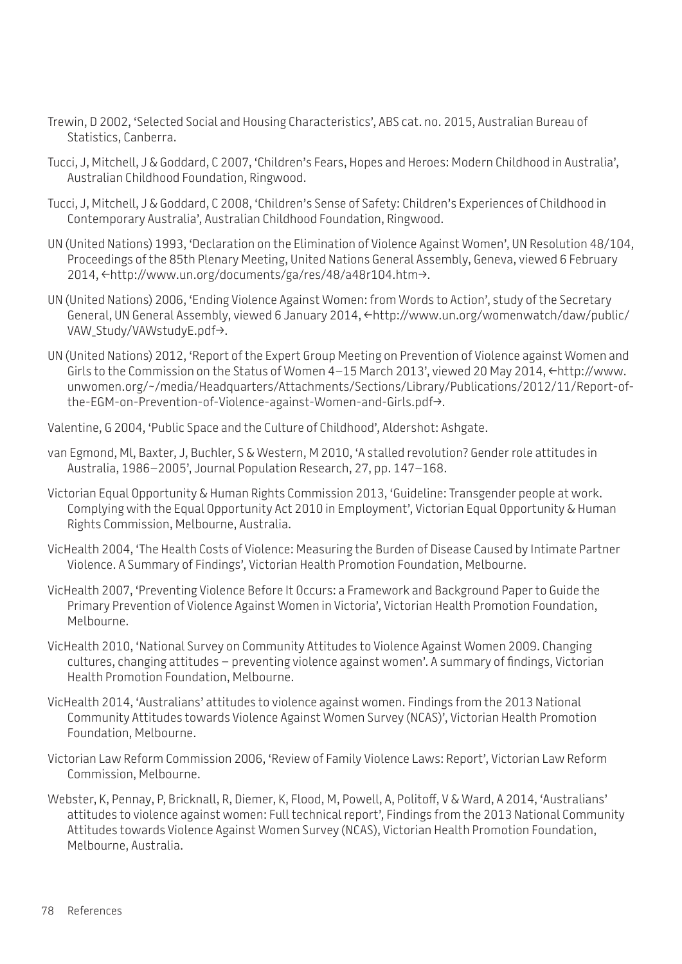- Trewin, D 2002, 'Selected Social and Housing Characteristics', ABS cat. no. 2015, Australian Bureau of Statistics, Canberra.
- Tucci, J, Mitchell, J & Goddard, C 2007, 'Children's Fears, Hopes and Heroes: Modern Childhood in Australia', Australian Childhood Foundation, Ringwood.
- Tucci, J, Mitchell, J & Goddard, C 2008, 'Children's Sense of Safety: Children's Experiences of Childhood in Contemporary Australia', Australian Childhood Foundation, Ringwood.
- UN (United Nations) 1993, 'Declaration on the Elimination of Violence Against Women', UN Resolution 48/104, Proceedings of the 85th Plenary Meeting, United Nations General Assembly, Geneva, viewed 6 February 2014, <http://www.un.org/documents/ga/res/48/a48r104.htm>.
- UN (United Nations) 2006, 'Ending Violence Against Women: from Words to Action', study of the Secretary General, UN General Assembly, viewed 6 January 2014, <http://www.un.org/womenwatch/daw/public/ VAW\_Study/VAWstudyE.pdf→
- UN (United Nations) 2012, 'Report of the Expert Group Meeting on Prevention of Violence against Women and Girls to the Commission on the Status of Women 4–15 March 2013', viewed 20 May 2014, <http://www. unwomen.org/~/media/Headquarters/Attachments/Sections/Library/Publications/2012/11/Report-ofthe-EGM-on-Prevention-of-Violence-against-Women-and-Girls.pdf>.
- Valentine, G 2004, 'Public Space and the Culture of Childhood', Aldershot: Ashgate.
- van Egmond, Ml, Baxter, J, Buchler, S & Western, M 2010, 'A stalled revolution? Gender role attitudes in Australia, 1986–2005', Journal Population Research, 27, pp. 147–168.
- Victorian Equal Opportunity & Human Rights Commission 2013, 'Guideline: Transgender people at work. Complying with the Equal Opportunity Act 2010 in Employment', Victorian Equal Opportunity & Human Rights Commission, Melbourne, Australia.
- VicHealth 2004, 'The Health Costs of Violence: Measuring the Burden of Disease Caused by Intimate Partner Violence. A Summary of Findings', Victorian Health Promotion Foundation, Melbourne.
- VicHealth 2007, 'Preventing Violence Before It Occurs: a Framework and Background Paper to Guide the Primary Prevention of Violence Against Women in Victoria', Victorian Health Promotion Foundation, Melbourne.
- VicHealth 2010, 'National Survey on Community Attitudes to Violence Against Women 2009. Changing cultures, changing attitudes – preventing violence against women'. A summary of findings, Victorian Health Promotion Foundation, Melbourne.
- VicHealth 2014, 'Australians' attitudes to violence against women. Findings from the 2013 National Community Attitudes towards Violence Against Women Survey (NCAS)', Victorian Health Promotion Foundation, Melbourne.
- Victorian Law Reform Commission 2006, 'Review of Family Violence Laws: Report', Victorian Law Reform Commission, Melbourne.
- Webster, K, Pennay, P, Bricknall, R, Diemer, K, Flood, M, Powell, A, Politoff, V & Ward, A 2014, 'Australians' attitudes to violence against women: Full technical report', Findings from the 2013 National Community Attitudes towards Violence Against Women Survey (NCAS), Victorian Health Promotion Foundation, Melbourne, Australia.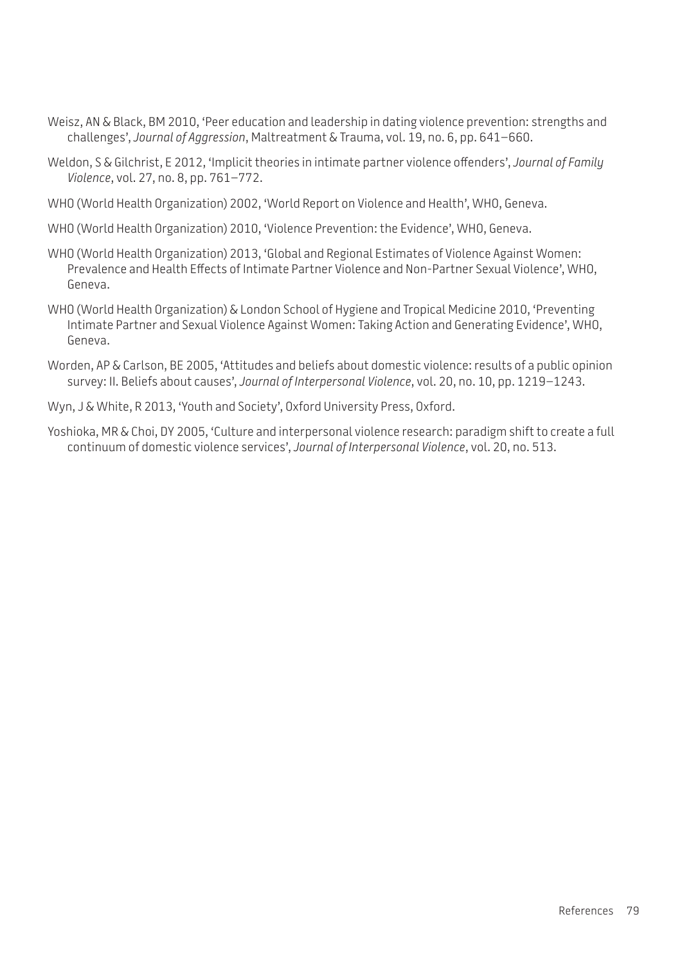- Weisz, AN & Black, BM 2010, 'Peer education and leadership in dating violence prevention: strengths and challenges', *Journal of Aggression*, Maltreatment & Trauma, vol. 19, no. 6, pp. 641–660.
- Weldon, S & Gilchrist, E 2012, 'Implicit theories in intimate partner violence offenders', *Journal of Family Violence*, vol. 27, no. 8, pp. 761–772.
- WHO (World Health Organization) 2002, 'World Report on Violence and Health', WHO, Geneva.
- WHO (World Health Organization) 2010, 'Violence Prevention: the Evidence', WHO, Geneva.
- WHO (World Health Organization) 2013, 'Global and Regional Estimates of Violence Against Women: Prevalence and Health Effects of Intimate Partner Violence and Non-Partner Sexual Violence', WHO, Geneva.
- WHO (World Health Organization) & London School of Hygiene and Tropical Medicine 2010, 'Preventing Intimate Partner and Sexual Violence Against Women: Taking Action and Generating Evidence', WHO, Geneva.
- Worden, AP & Carlson, BE 2005, 'Attitudes and beliefs about domestic violence: results of a public opinion survey: II. Beliefs about causes', *Journal of Interpersonal Violence*, vol. 20, no. 10, pp. 1219–1243.
- Wyn, J & White, R 2013, 'Youth and Society', Oxford University Press, Oxford.
- Yoshioka, MR & Choi, DY 2005, 'Culture and interpersonal violence research: paradigm shift to create a full continuum of domestic violence services', *Journal of Interpersonal Violence*, vol. 20, no. 513.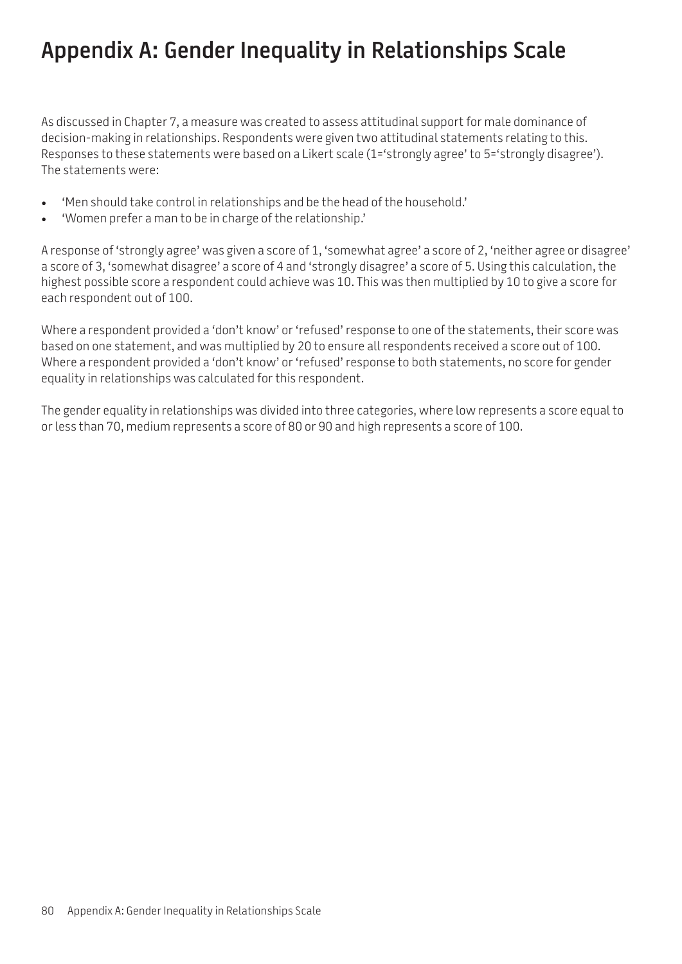# **Appendix A: Gender Inequality in Relationships Scale**

As discussed in Chapter 7, a measure was created to assess attitudinal support for male dominance of decision-making in relationships. Respondents were given two attitudinal statements relating to this. Responses to these statements were based on a Likert scale (1='strongly agree' to 5='strongly disagree'). The statements were:

- • 'Men should take control in relationships and be the head of the household.'
- 'Women prefer a man to be in charge of the relationship.'

A response of 'strongly agree' was given a score of 1, 'somewhat agree' a score of 2, 'neither agree or disagree' a score of 3, 'somewhat disagree' a score of 4 and 'strongly disagree' a score of 5. Using this calculation, the highest possible score a respondent could achieve was 10. This was then multiplied by 10 to give a score for each respondent out of 100.

Where a respondent provided a 'don't know' or 'refused' response to one of the statements, their score was based on one statement, and was multiplied by 20 to ensure all respondents received a score out of 100. Where a respondent provided a 'don't know' or 'refused' response to both statements, no score for gender equality in relationships was calculated for this respondent.

The gender equality in relationships was divided into three categories, where low represents a score equal to or less than 70, medium represents a score of 80 or 90 and high represents a score of 100.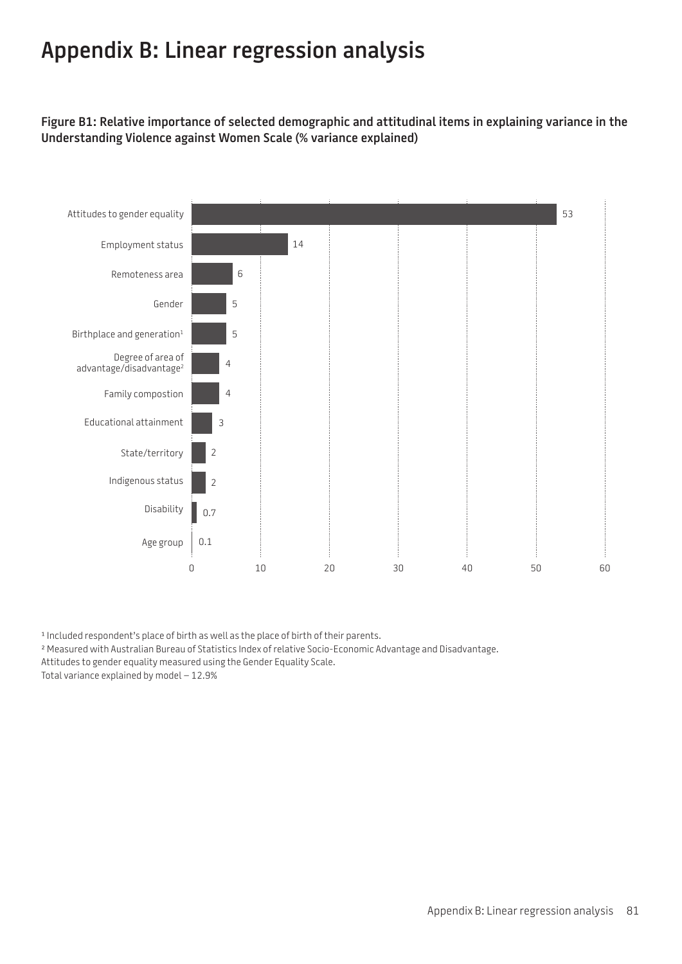#### **Appendix B: Linear regression analysis**

**Figure B1: Relative importance of selected demographic and attitudinal items in explaining variance in the Understanding Violence against Women Scale (% variance explained)**



<sup>1</sup> Included respondent's place of birth as well as the place of birth of their parents.

² Measured with Australian Bureau of Statistics Index of relative Socio-Economic Advantage and Disadvantage.

Attitudes to gender equality measured using the Gender Equality Scale.

Total variance explained by model – 12.9%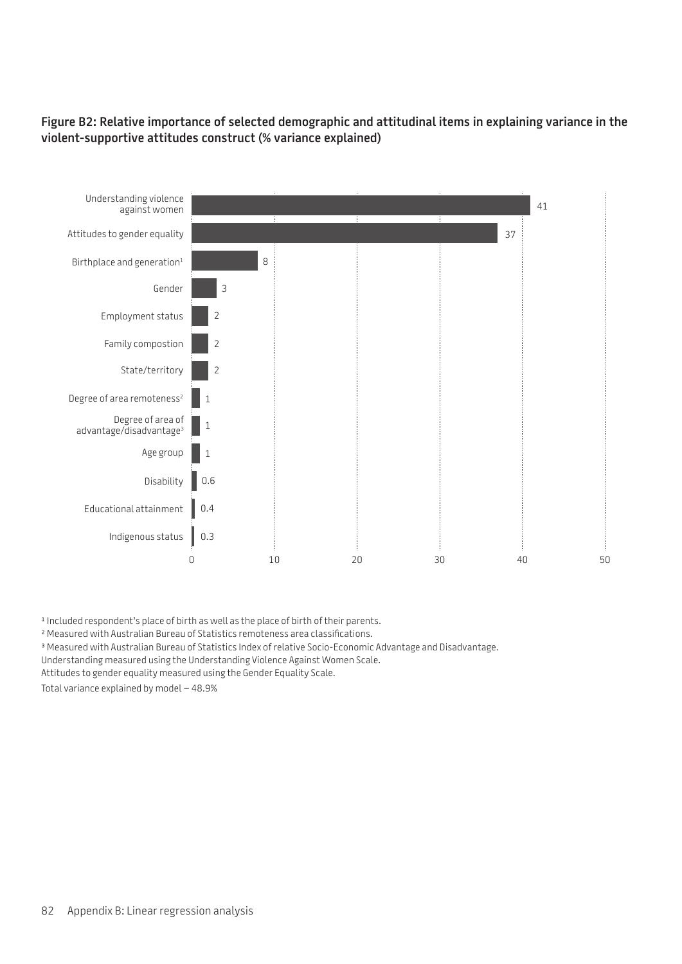#### **Figure B2: Relative importance of selected demographic and attitudinal items in explaining variance in the violent-supportive attitudes construct (% variance explained)**



<sup>1</sup> Included respondent's place of birth as well as the place of birth of their parents.

² Measured with Australian Bureau of Statistics remoteness area classifications.

³ Measured with Australian Bureau of Statistics Index of relative Socio-Economic Advantage and Disadvantage.

Understanding measured using the Understanding Violence Against Women Scale.

Attitudes to gender equality measured using the Gender Equality Scale.

Total variance explained by model – 48.9%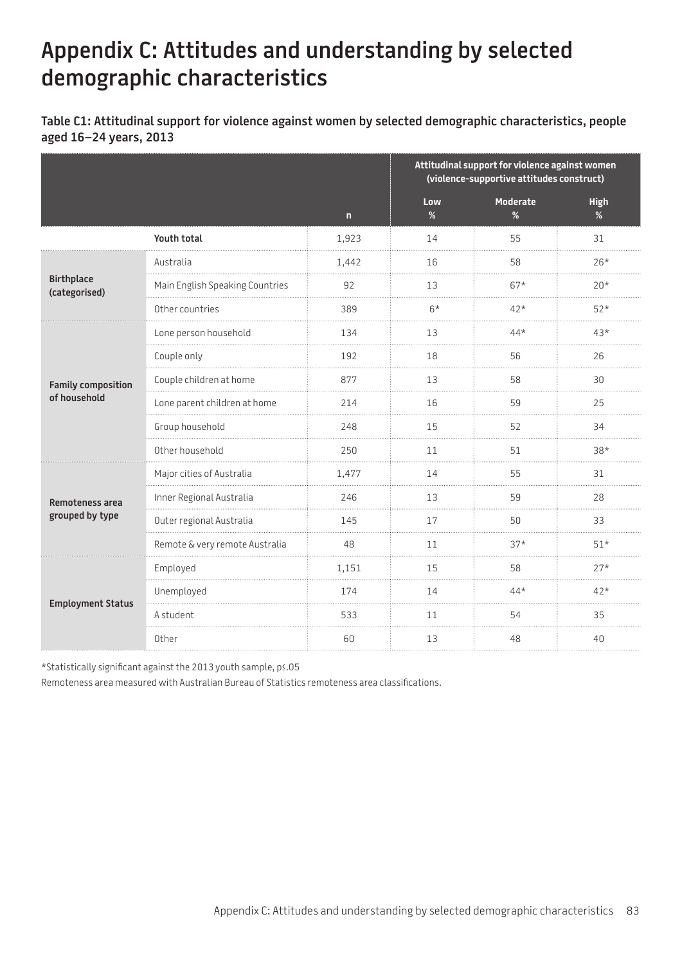## **Appendix C: Attitudes and understanding by selected demographic characteristics**

**Table C1: Attitudinal support for violence against women by selected demographic characteristics, people aged 16–24 years, 2013**

|                                    |                                 | Attitudinal support for violence against women<br>(violence-supportive attitudes construct) |          |               |                  |
|------------------------------------|---------------------------------|---------------------------------------------------------------------------------------------|----------|---------------|------------------|
|                                    |                                 | n                                                                                           | Low<br>% | Moderate<br>% | <b>High</b><br>% |
|                                    | Youth total                     | 1,923                                                                                       | 14       | 55            | 31               |
|                                    | Australia                       | 1,442                                                                                       | 16       | 58            | $26*$            |
| <b>Birthplace</b><br>(categorised) | Main English Speaking Countries | 92                                                                                          | 13       | $67*$         | $20*$            |
|                                    | Other countries                 | 389                                                                                         | $6*$     | $42*$         | $52*$            |
|                                    | Lone person household           | 134                                                                                         | 13       | $44*$         | $43*$            |
|                                    | Couple only                     | 192                                                                                         | 18       | 56            | 26               |
| <b>Family composition</b>          | Couple children at home         | 877                                                                                         | 13       | 58            | 30               |
| of household                       | Lone parent children at home    | 214                                                                                         | 16       | 59            | 25               |
|                                    | Group household                 | 248                                                                                         | 15       | 52            | 34               |
|                                    | Other household                 | 250                                                                                         | 11       | 51            | $38*$            |
|                                    | Major cities of Australia       | 1.477                                                                                       | 14       | 55            | 31               |
| Remoteness area                    | Inner Regional Australia        | 246                                                                                         | 13       | 59            | 28               |
| grouped by type                    | Outer regional Australia        | 145                                                                                         | 17       | 50            | 33               |
|                                    | Remote & very remote Australia  | 48                                                                                          | 11       | $37*$         | $51*$            |
|                                    | Employed                        | 1,151                                                                                       | 15       | 58            | $27*$            |
| <b>Employment Status</b>           | Unemployed                      | 174                                                                                         | 14       | $44*$         | $42*$            |
|                                    | A student                       | 533                                                                                         | 11       | 54            | 35               |
|                                    | Other                           | 60                                                                                          | 13       | 48            | 40               |

\*Statistically significant against the 2013 youth sample, p≤.05

Remoteness area measured with Australian Bureau of Statistics remoteness area classifications.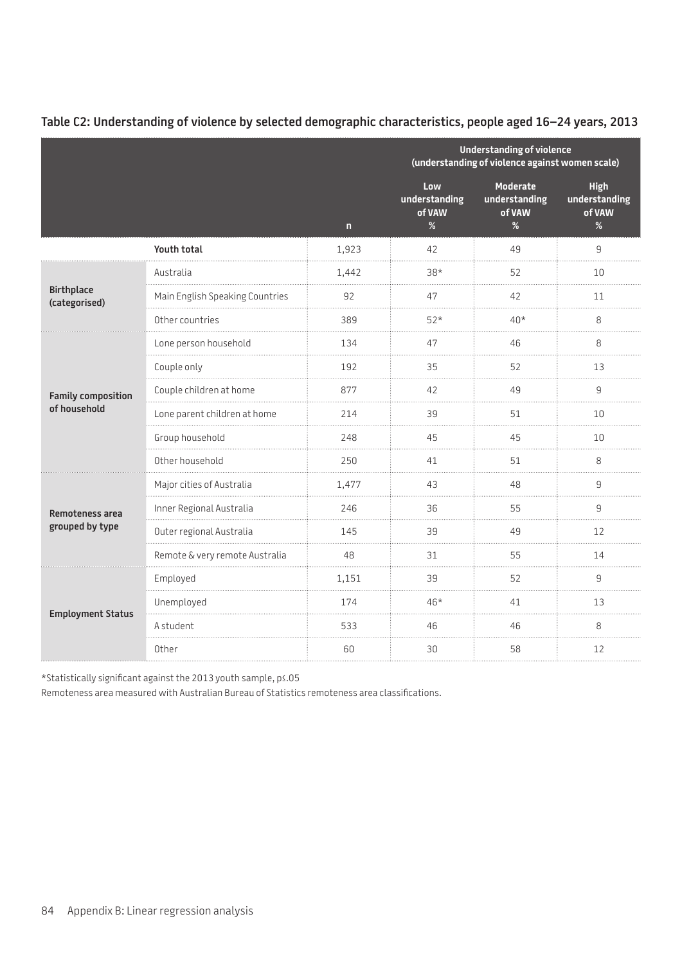|                                    |                                 |       | <b>Understanding of violence</b><br>(understanding of violence against women scale) |                                                 |                                             |
|------------------------------------|---------------------------------|-------|-------------------------------------------------------------------------------------|-------------------------------------------------|---------------------------------------------|
|                                    |                                 | n     | Low<br>understanding<br>of VAW<br>%                                                 | <b>Moderate</b><br>understanding<br>of VAW<br>% | <b>High</b><br>understanding<br>of VAW<br>% |
|                                    | Youth total                     | 1,923 | 42                                                                                  | 49                                              | 9                                           |
|                                    | Australia                       | 1,442 | $38*$                                                                               | 52                                              | 10                                          |
| <b>Birthplace</b><br>(categorised) | Main English Speaking Countries | 92    | 47                                                                                  | 42                                              | 11                                          |
|                                    | Other countries                 | 389   | $52*$                                                                               | $40*$                                           | 8                                           |
|                                    | Lone person household           | 134   | 47                                                                                  | 46                                              | 8                                           |
|                                    | Couple only                     | 192   | 35                                                                                  | 52                                              | 13                                          |
| <b>Family composition</b>          | Couple children at home         | 877   | 42                                                                                  | 49                                              | 9                                           |
| of household                       | Lone parent children at home    | 214   | 39                                                                                  | 51                                              | 10                                          |
|                                    | Group household                 | 248   | 45                                                                                  | 45                                              | 10                                          |
|                                    | Other household                 | 250   | 41                                                                                  | 51                                              | 8                                           |
|                                    | Major cities of Australia       | 1,477 | 43                                                                                  | 48                                              | 9                                           |
| Remoteness area                    | Inner Regional Australia        | 246   | 36                                                                                  | 55                                              | 9                                           |
| grouped by type                    | Outer regional Australia        | 145   | 39                                                                                  | 49                                              | 12                                          |
|                                    | Remote & very remote Australia  | 48    | 31                                                                                  | 55                                              | 14                                          |
|                                    | Employed                        | 1,151 | 39                                                                                  | 52                                              | 9                                           |
| <b>Employment Status</b>           | Unemploved                      | 174   | $46*$                                                                               | 41                                              | 13                                          |
|                                    | A student                       | 533   | 46                                                                                  | 46                                              | 8                                           |
|                                    | Other                           | 60    | 30                                                                                  | 58                                              | 12                                          |

#### **Table C2: Understanding of violence by selected demographic characteristics, people aged 16–24 years, 2013**

\*Statistically significant against the 2013 youth sample, p≤.05

Remoteness area measured with Australian Bureau of Statistics remoteness area classifications.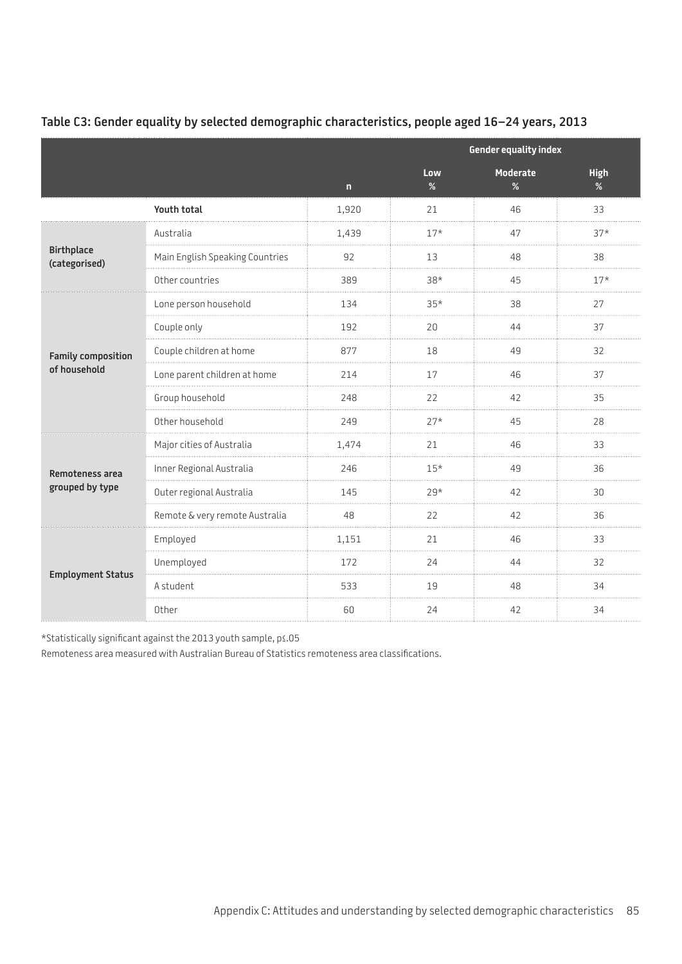|                                    |                                 | <b>Gender equality index</b> |          |                      |                  |
|------------------------------------|---------------------------------|------------------------------|----------|----------------------|------------------|
|                                    |                                 | $\mathsf{n}$                 | Low<br>% | <b>Moderate</b><br>% | <b>High</b><br>% |
|                                    | Youth total                     | 1,920                        | 21       | 46                   | 33               |
|                                    | Australia                       | 1,439                        | $17*$    | 47                   | $37*$            |
| <b>Birthplace</b><br>(categorised) | Main English Speaking Countries | 92                           | 13       | 48                   | 38               |
|                                    | Other countries                 | 389                          | $38*$    | 45                   | $17*$            |
|                                    | Lone person household           | 134                          | $35*$    | 38                   | 27               |
|                                    | Couple only                     | 192                          | 20       | 44                   | 37               |
| <b>Family composition</b>          | Couple children at home         | 877                          | 18       | 49                   | 32               |
| of household                       | Lone parent children at home    | 214                          | 17       | 46                   | 37               |
|                                    | Group household                 | 248                          | 22       | 42                   | 35               |
|                                    | Other household                 | 249                          | $27*$    | 45                   | 28               |
|                                    | Major cities of Australia       | 1,474                        | 21       | 46                   | 33               |
| Remoteness area                    | Inner Regional Australia        | 246                          | $15*$    | 49                   | 36               |
| grouped by type                    | Outer regional Australia        | 145                          | $29*$    | 42                   | 30               |
|                                    | Remote & very remote Australia  | 48                           | 22       | 42                   | 36               |
|                                    | Employed                        | 1,151                        | 21       | 46                   | 33               |
| <b>Employment Status</b>           | Unemployed                      | 172                          | 24       | 44                   | 32               |
|                                    | A student                       | 533                          | 19       | 48                   | 34               |
|                                    | Other                           | 60                           | 24       | 42                   | 34               |

#### **Table C3: Gender equality by selected demographic characteristics, people aged 16–24 years, 2013**

\*Statistically significant against the 2013 youth sample, p≤.05

Remoteness area measured with Australian Bureau of Statistics remoteness area classifications.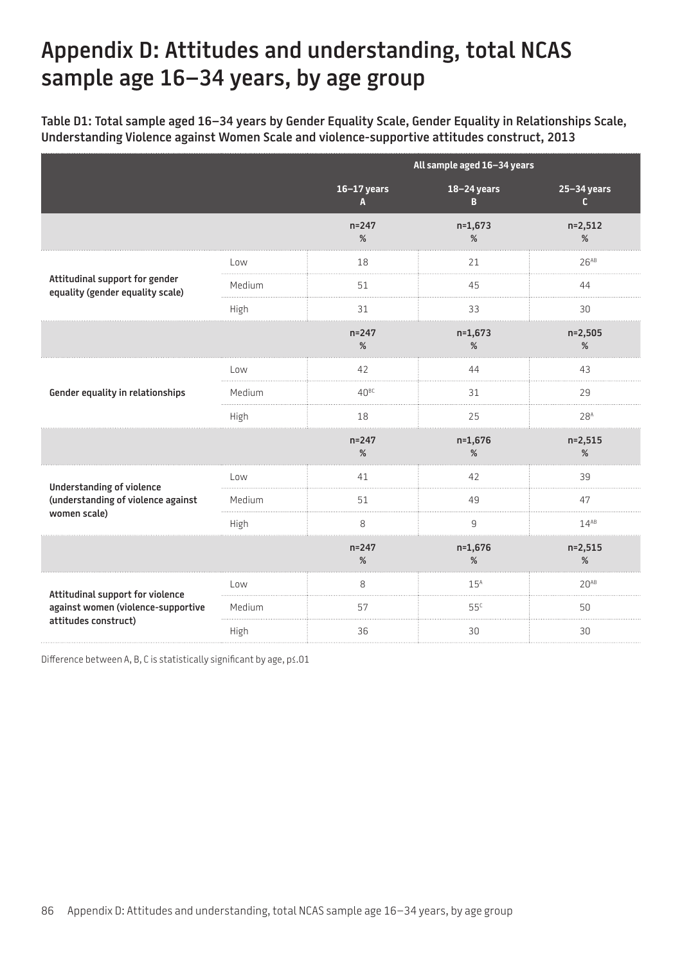# **Appendix D: Attitudes and understanding, total NCAS sample age 16–34 years, by age group**

**Table D1: Total sample aged 16–34 years by Gender Equality Scale, Gender Equality in Relationships Scale, Understanding Violence against Women Scale and violence-supportive attitudes construct, 2013**

|                                                                    |          | All sample aged 16-34 years |                            |                                 |
|--------------------------------------------------------------------|----------|-----------------------------|----------------------------|---------------------------------|
|                                                                    |          | $16-17$ years<br>A          | $18 - 24$ years<br>B       | $25 - 34$ years<br>$\mathbf{C}$ |
|                                                                    |          | $n = 247$<br>%              | $n=1,673$<br>$\frac{9}{6}$ | $n=2,512$<br>$\frac{9}{6}$      |
|                                                                    | Low      | 18                          | 21                         | $26^{AB}$                       |
| Attitudinal support for gender<br>equality (gender equality scale) | Medium   | 51                          | 45                         | 44                              |
|                                                                    | High     | 31                          | 33                         | 30                              |
|                                                                    |          | $n = 247$<br>%              | $n=1,673$<br>%             | $n=2,505$<br>%                  |
|                                                                    | Low      | 42                          | 44                         | 43                              |
| Gender equality in relationships                                   | Medium   | $40^{BC}$                   | 31                         | 29                              |
|                                                                    | High     | 18                          | 25                         | 28 <sup>A</sup>                 |
|                                                                    |          | $n = 247$<br>%              | $n=1,676$<br>%             | $n=2,515$<br>%                  |
| Understanding of violence                                          | Low<br>. | 41                          | 42                         | 39                              |
| (understanding of violence against                                 | Medium   | 51                          | 49                         | 47                              |
| women scale)                                                       | High     | 8                           | 9                          | $14^{AB}$                       |
|                                                                    |          | $n = 247$<br>%              | $n=1,676$<br>$\frac{9}{6}$ | $n=2,515$<br>$\frac{9}{6}$      |
| Attitudinal support for violence                                   | Low      | 8                           | $15^A$                     | $20^{AB}$                       |
| against women (violence-supportive                                 | Medium   | 57                          | 55 <sup>c</sup>            | 50                              |
| attitudes construct)                                               | High     | 36                          | 30                         | 30                              |

Difference between A, B, C is statistically significant by age, p≤.01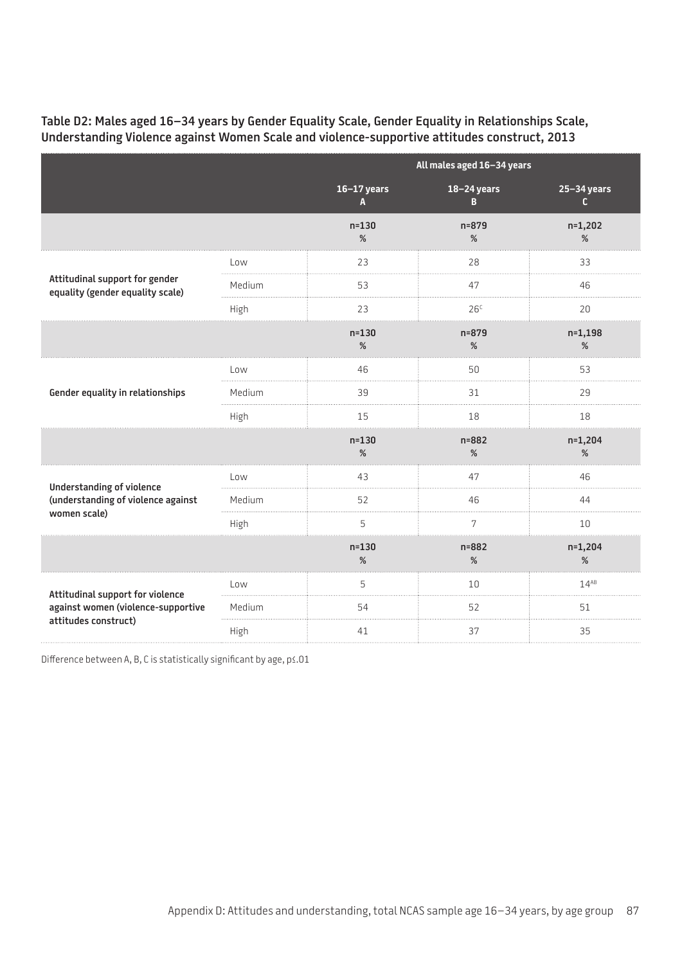**Table D2: Males aged 16–34 years by Gender Equality Scale, Gender Equality in Relationships Scale, Understanding Violence against Women Scale and violence-supportive attitudes construct, 2013**

|                                                                    |        | All males aged 16-34 years |                      |                                 |
|--------------------------------------------------------------------|--------|----------------------------|----------------------|---------------------------------|
|                                                                    |        | $16-17$ years<br>A         | $18 - 24$ years<br>B | $25 - 34$ years<br>$\mathsf{C}$ |
|                                                                    |        | $n = 130$<br>%             | n=879<br>%           | $n=1,202$<br>%                  |
|                                                                    | Low    | 23                         | 28                   | 33                              |
| Attitudinal support for gender<br>equality (gender equality scale) | Medium | 53                         | 47                   | 46                              |
|                                                                    | High   | 23                         | 26 <sup>c</sup>      | 20                              |
|                                                                    |        | $n = 130$<br>%             | n=879<br>%           | $n=1,198$<br>%                  |
|                                                                    | Low    | 46                         | 50                   | 53                              |
| Gender equality in relationships                                   | Medium | 39                         | 31                   | 29                              |
|                                                                    | High   | 15                         | 18                   | 18                              |
|                                                                    |        | $n = 130$<br>$\%$          | n=882<br>%           | $n=1,204$<br>%                  |
| Understanding of violence                                          | Low    | 43                         | 47                   | 46                              |
| (understanding of violence against                                 | Medium | 52                         | 46                   | 44                              |
| women scale)                                                       | High   | 5                          | 7                    | 10                              |
|                                                                    |        | $n = 130$<br>%             | n=882<br>%           | $n=1,204$<br>%                  |
| Attitudinal support for violence                                   | Low    | 5                          | 10                   | $14^{AB}$                       |
| against women (violence-supportive                                 | Medium | 54                         | 52                   | 51                              |
| attitudes construct)                                               | High   | 41                         | 37                   | 35                              |

Difference between A, B, C is statistically significant by age, p≤.01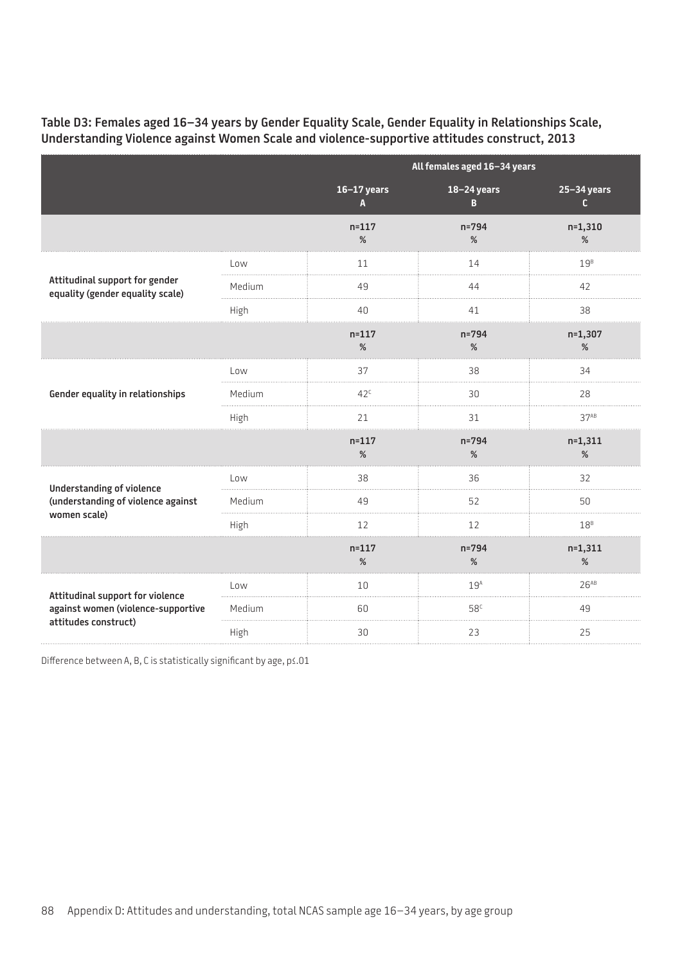|                                                                    |             | All females aged 16-34 years    |                      |                                 |
|--------------------------------------------------------------------|-------------|---------------------------------|----------------------|---------------------------------|
|                                                                    |             | $16 - 17$ years<br>$\mathbf{A}$ | $18 - 24$ years<br>B | $25 - 34$ years<br>$\mathsf{C}$ |
|                                                                    |             | $n = 117$<br>$\%$               | $n = 794$<br>%       | $n=1,310$<br>%                  |
|                                                                    | Low         | 11                              | 14                   | 19 <sup>B</sup>                 |
| Attitudinal support for gender<br>equality (gender equality scale) | Medium      | 49                              | 44                   | 42                              |
|                                                                    | High        | 40                              | 41                   | 38                              |
|                                                                    |             | $n = 117$<br>%                  | n=794<br>%           | $n=1,307$<br>%                  |
|                                                                    | Low<br>.    | 37                              | 38                   | 34                              |
| Gender equality in relationships                                   | Medium      | 42 <sup>c</sup>                 | 30                   | 28                              |
|                                                                    | High        | 21                              | 31                   | 37AB                            |
|                                                                    |             | $n = 117$<br>$\%$               | $n = 794$<br>%       | $n=1,311$<br>%                  |
| <b>Understanding of violence</b>                                   | Low         | 38                              | 36                   | 32                              |
| (understanding of violence against                                 | Medium<br>. | 49                              | 52                   | 50                              |
| women scale)                                                       | High        | 12                              | 12                   | 18 <sup>B</sup>                 |
|                                                                    |             | $n = 117$<br>$\%$               | n=794<br>%           | $n=1,311$<br>%                  |
| Attitudinal support for violence                                   | Low         | 10                              | 19 <sup>A</sup>      | $26^{AB}$                       |
| against women (violence-supportive                                 | Medium      | 60                              | 58 <sup>c</sup>      | 49                              |
| attitudes construct)                                               | High        | 30                              | 23                   | 25                              |

**Table D3: Females aged 16–34 years by Gender Equality Scale, Gender Equality in Relationships Scale, Understanding Violence against Women Scale and violence-supportive attitudes construct, 2013**

Difference between A, B, C is statistically significant by age, p≤.01